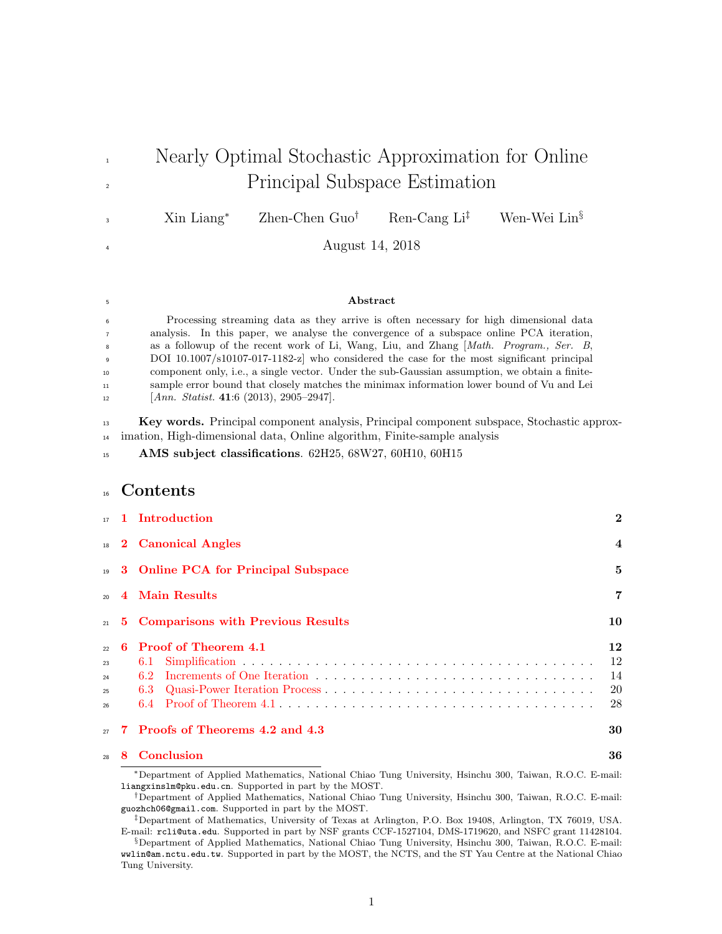<sup>1</sup> Nearly Optimal Stochastic Approximation for Online <sup>2</sup> Principal Subspace Estimation Xin Liang<sup>∗</sup> Zhen-Chen Guo† Ren-Cang Li‡ Wen-Wei Lin§ 3 <sup>4</sup> August 14, 2018 <sup>5</sup> Abstract <sup>6</sup> Processing streaming data as they arrive is often necessary for high dimensional data <sup>7</sup> analysis. In this paper, we analyse the convergence of a subspace online PCA iteration, 8 as a followup of the recent work of Li, Wang, Liu, and Zhang [*Math. Program., Ser. B*, <sup>9</sup> DOI 10.1007/s10107-017-1182-z] who considered the case for the most significant principal <sup>10</sup> component only, i.e., a single vector. Under the sub-Gaussian assumption, we obtain a finite-<sup>11</sup> sample error bound that closely matches the minimax information lower bound of Vu and Lei  $12$  [*Ann. Statist.* 41:6 (2013), 2905–2947]. <sup>13</sup> Key words. Principal component analysis, Principal component subspace, Stochastic approx-<sup>14</sup> imation, High-dimensional data, Online algorithm, Finite-sample analysis 15 AMS subject classifications. 62H25, 68W27, 60H10, 60H15 <sup>16</sup> Contents [1 Introduction](#page-1-0) 2  $18$  [2 Canonical Angles](#page-3-0) 4 <sup>19</sup> [3 Online PCA for Principal Subspace](#page-4-0) 5  $20 \quad 4 \quad \text{Main Results}$  7 <sup>21</sup> [5 Comparisons with Previous Results](#page-9-0) 10  $\alpha$  2 [6 Proof of Theorem](#page-11-0) [4.1](#page-6-1) 12 <sup>23</sup> [6.1 Simplification](#page-11-1) . . . . . . . . . . . . . . . . . . . . . . . . . . . . . . . . . . . . . . . 12 <sup>24</sup> [6.2 Increments of One Iteration](#page-13-0) . . . . . . . . . . . . . . . . . . . . . . . . . . . . . . . 14  $25 \qquad 6.3 \quad \text{Quasi-Power Iteration Process} \qquad \ldots \qquad \ldots \qquad \ldots \qquad \ldots \qquad \ldots \qquad \ldots \qquad \ldots \qquad 20$ <sup>26</sup> [6.4 Proof of Theorem](#page-27-0) [4.1](#page-6-1) . . . . . . . . . . . . . . . . . . . . . . . . . . . . . . . . . . . 28 <sup>27</sup> [7 Proofs of Theorems](#page-29-0) [4.2](#page-7-0) and [4.3](#page-8-0) 30 <sup>28</sup> [8 Conclusion](#page-35-0) 36 <sup>∗</sup>Department of Applied Mathematics, National Chiao Tung University, Hsinchu 300, Taiwan, R.O.C. E-mail: liangxinslm@pku.edu.cn. Supported in part by the MOST.

<sup>†</sup>Department of Applied Mathematics, National Chiao Tung University, Hsinchu 300, Taiwan, R.O.C. E-mail: guozhch06@gmail.com. Supported in part by the MOST.

<sup>‡</sup>Department of Mathematics, University of Texas at Arlington, P.O. Box 19408, Arlington, TX 76019, USA. E-mail: rcli@uta.edu. Supported in part by NSF grants CCF-1527104, DMS-1719620, and NSFC grant 11428104.

<sup>§</sup>Department of Applied Mathematics, National Chiao Tung University, Hsinchu 300, Taiwan, R.O.C. E-mail: wwlin@am.nctu.edu.tw. Supported in part by the MOST, the NCTS, and the ST Yau Centre at the National Chiao Tung University.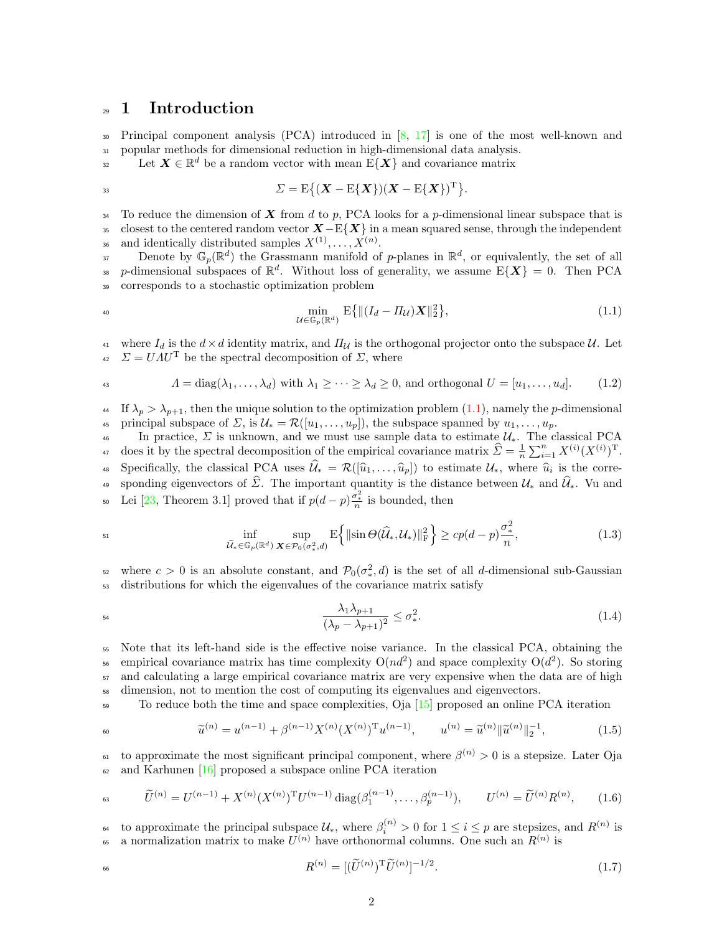### <span id="page-1-0"></span><sup>29</sup> 1 Introduction

<sup>30</sup> Principal component analysis (PCA) introduced in [\[8,](#page-35-1) [17\]](#page-35-2) is one of the most well-known and <sup>31</sup> popular methods for dimensional reduction in high-dimensional data analysis.

 $\mathbf{L}$  Let  $\mathbf{X} \in \mathbb{R}^d$  be a random vector with mean  $\mathrm{E}\{\mathbf{X}\}\$  and covariance matrix

$$
\varSigma = \mathrm{E}\big\{(\boldsymbol{X}-\mathrm{E}\{\boldsymbol{X}\})(\boldsymbol{X}-\mathrm{E}\{\boldsymbol{X}\})^{\mathrm{T}}\big\}.
$$

<sup>34</sup> To reduce the dimension of X from d to p, PCA looks for a p-dimensional linear subspace that is <sup>35</sup> closest to the centered random vector  $X-\mathrm{E}\{X\}$  in a mean squared sense, through the independent <sup>36</sup> and identically distributed samples  $X^{(1)}, \ldots, X^{(n)}$ .

Denote by  $\mathbb{G}_p(\mathbb{R}^d)$  the Grassmann manifold of p-planes in  $\mathbb{R}^d$ , or equivalently, the set of all <sup>38</sup> p-dimensional subspaces of  $\mathbb{R}^d$ . Without loss of generality, we assume  $E\{X\} = 0$ . Then PCA <sup>39</sup> corresponds to a stochastic optimization problem

<span id="page-1-1"></span>
$$
\min_{\mathcal{U}\in\mathbb{G}_p(\mathbb{R}^d)} \mathbf{E}\{ \|(I_d - \varPi_{\mathcal{U}})X\|_2^2 \},\tag{1.1}
$$

41 where  $I_d$  is the  $d \times d$  identity matrix, and  $\Pi_{\mathcal{U}}$  is the orthogonal projector onto the subspace  $\mathcal{U}$ . Let <sup>42</sup>  $\Sigma = U \Lambda U^{T}$  be the spectral decomposition of  $\Sigma$ , where

<span id="page-1-3"></span>
$$
A = \text{diag}(\lambda_1, \dots, \lambda_d) \text{ with } \lambda_1 \geq \dots \geq \lambda_d \geq 0 \text{, and orthogonal } U = [u_1, \dots, u_d]. \tag{1.2}
$$

<sup>44</sup> If  $\lambda_p > \lambda_{p+1}$ , then the unique solution to the optimization problem [\(1.1\)](#page-1-1), namely the p-dimensional 45 principal subspace of  $\Sigma$ , is  $\mathcal{U}_* = \mathcal{R}([u_1, \ldots, u_p])$ , the subspace spanned by  $u_1, \ldots, u_p$ .

46 In practice,  $\Sigma$  is unknown, and we must use sample data to estimate  $\mathcal{U}_*$ . The classical PCA <sup>47</sup> does it by the spectral decomposition of the empirical covariance matrix  $\hat{\Sigma} = \frac{1}{n} \sum_{i=1}^{n} X^{(i)} (X^{(i)})^{\mathrm{T}}$ . Specifically, the classical PCA uses  $\mathcal{U}_* = \mathcal{R}([\hat{u}_1, \dots, \hat{u}_p])$  to estimate  $\mathcal{U}_*$ , where  $\hat{u}_i$  is the corresponding eigenvectors of  $\widehat{\Sigma}$ . The important quantity is the distance between  $\mathcal{U}_*$  and  $\widehat{\mathcal{U}}_*$ . Vu and <sup>50</sup> Lei [\[23,](#page-36-0) Theorem 3.1] proved that if  $p(d-p)\frac{\sigma_x^2}{n}$  is bounded, then

<span id="page-1-4"></span>
$$
\inf_{\widetilde{\mathcal{U}}_* \in \mathbb{G}_p(\mathbb{R}^d)} \sup_{\mathbf{X} \in \mathcal{P}_0(\sigma^2_*, d)} \mathbb{E} \Big\{ \| \sin \Theta(\widehat{\mathcal{U}}_*, \mathcal{U}_*) \|_{\mathcal{F}}^2 \Big\} \ge c p(d-p) \frac{\sigma^2_*}{n},\tag{1.3}
$$

<sup>52</sup> where  $c > 0$  is an absolute constant, and  $\mathcal{P}_0(\sigma_*^2, d)$  is the set of all d-dimensional sub-Gaussian <sup>53</sup> distributions for which the eigenvalues of the covariance matrix satisfy

$$
\frac{\lambda_1 \lambda_{p+1}}{(\lambda_p - \lambda_{p+1})^2} \le \sigma_*^2. \tag{1.4}
$$

<sup>55</sup> Note that its left-hand side is the effective noise variance. In the classical PCA, obtaining the <sup>56</sup> empirical covariance matrix has time complexity  $O(nd^2)$  and space complexity  $O(d^2)$ . So storing <sub>57</sub> and calculating a large empirical covariance matrix are very expensive when the data are of high <sup>58</sup> dimension, not to mention the cost of computing its eigenvalues and eigenvectors.

59 To reduce both the time and space complexities, Oja [\[15\]](#page-35-3) proposed an online PCA iteration

<span id="page-1-2"></span>
$$
\tilde{u}^{(n)} = u^{(n-1)} + \beta^{(n-1)} X^{(n)} (X^{(n)})^{\mathrm{T}} u^{(n-1)}, \qquad u^{(n)} = \tilde{u}^{(n)} ||\tilde{u}^{(n)}||_2^{-1}, \tag{1.5}
$$

<sup>61</sup> to approximate the most significant principal component, where  $\beta^{(n)} > 0$  is a stepsize. Later Oja  $62$  and Karhunen [\[16\]](#page-35-4) proposed a subspace online PCA iteration

<span id="page-1-5"></span>
$$
\tilde{U}^{(n)} = U^{(n-1)} + X^{(n)} (X^{(n)})^{\mathrm{T}} U^{(n-1)} \operatorname{diag}(\beta_1^{(n-1)}, \dots, \beta_p^{(n-1)}), \qquad U^{(n)} = \tilde{U}^{(n)} R^{(n)}, \qquad (1.6)
$$

to approximate the principal subspace  $\mathcal{U}_*$ , where  $\beta_i^{(n)} > 0$  for  $1 \leq i \leq p$  are stepsizes, and  $R^{(n)}$  is <sup>65</sup> a normalization matrix to make  $U^{(n)}$  have orthonormal columns. One such an  $R^{(n)}$  is

<span id="page-1-6"></span>
$$
R^{(n)} = [(\widetilde{U}^{(n)})^{\mathrm{T}} \widetilde{U}^{(n)}]^{-1/2}.
$$
\n(1.7)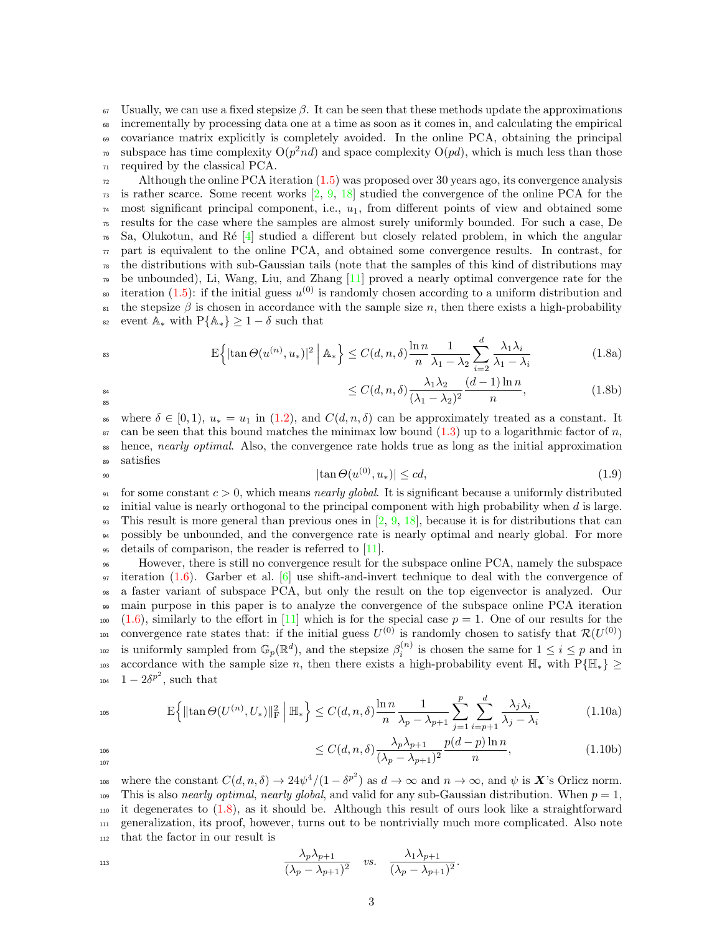Usually, we can use a fixed stepsize β. It can be seen that these methods update the approximations incrementally by processing data one at a time as soon as it comes in, and calculating the empirical covariance matrix explicitly is completely avoided. In the online PCA, obtaining the principal <sup>70</sup> subspace has time complexity  $O(p^2nd)$  and space complexity  $O(pd)$ , which is much less than those required by the classical PCA.

 $\mu$ <sub>72</sub> Although the online PCA iteration [\(1.5\)](#page-1-2) was proposed over 30 years ago, its convergence analysis  $73$  is rather scarce. Some recent works  $\left[2, 9, 18\right]$  $\left[2, 9, 18\right]$  $\left[2, 9, 18\right]$  $\left[2, 9, 18\right]$  $\left[2, 9, 18\right]$  studied the convergence of the online PCA for the  $\tau_4$  most significant principal component, i.e.,  $u_1$ , from different points of view and obtained some <sup>75</sup> results for the case where the samples are almost surely uniformly bounded. For such a case, De  $76\,$  Sa, Olukotun, and Ré [\[4\]](#page-35-7) studied a different but closely related problem, in which the angular  $\pi$  part is equivalent to the online PCA, and obtained some convergence results. In contrast, for  $78$  the distributions with sub-Gaussian tails (note that the samples of this kind of distributions may <sup>79</sup> be unbounded), Li, Wang, Liu, and Zhang [\[11\]](#page-35-8) proved a nearly optimal convergence rate for the so iteration [\(1.5\)](#page-1-2): if the initial guess  $u^{(0)}$  is randomly chosen according to a uniform distribution and  $\theta$ <sub>81</sub> the stepsize β is chosen in accordance with the sample size n, then there exists a high-probability 82 event  $\mathbb{A}_{*}$  with  $P\{\mathbb{A}_{*}\}\geq 1-\delta$  such that

$$
\mathbb{E}\left\{|\tan\Theta(u^{(n)}, u_*)|^2 \mid \mathbb{A}_*\right\} \le C(d, n, \delta)\frac{\ln n}{n}\frac{1}{\lambda_1 - \lambda_2} \sum_{i=2}^d \frac{\lambda_1 \lambda_i}{\lambda_1 - \lambda_i}
$$
(1.8a)

<span id="page-2-3"></span><span id="page-2-0"></span> $\leq C(d, n, \delta) \frac{\lambda_1 \lambda_2}{\lambda_1 \lambda_2}$ 

$$
\leq C(d, n, \delta) \frac{\lambda_1 \lambda_2}{(\lambda_1 - \lambda_2)^2} \frac{(\alpha - 1) \ln n}{n},\tag{1.8b}
$$

 $(\lambda_1 - \lambda_2)^2$ 86 where  $\delta \in [0, 1), u_* = u_1$  in [\(1.2\)](#page-1-3), and  $C(d, n, \delta)$  can be approximately treated as a constant. It  $\epsilon_{\rm s7}$  can be seen that this bound matches the minimax low bound [\(1.3\)](#page-1-4) up to a logarithmic factor of n, hence, nearly optimal. Also, the convergence rate holds true as long as the initial approximation <sup>89</sup> satisfies

$$
|\tan \Theta(u^{(0)}, u_*)| \leq cd,\tag{1.9}
$$

<span id="page-2-1"></span> $(d-1)\ln n$ 

91 for some constant  $c > 0$ , which means *nearly global*. It is significant because a uniformly distributed  $\frac{92}{2}$  initial value is nearly orthogonal to the principal component with high probability when d is large. <sup>93</sup> This result is more general than previous ones in  $[2, 9, 18]$  $[2, 9, 18]$  $[2, 9, 18]$  $[2, 9, 18]$  $[2, 9, 18]$ , because it is for distributions that can <sup>94</sup> possibly be unbounded, and the convergence rate is nearly optimal and nearly global. For more <sup>95</sup> details of comparison, the reader is referred to [\[11\]](#page-35-8).

<sup>96</sup> However, there is still no convergence result for the subspace online PCA, namely the subspace  $97$  iteration [\(1.6\)](#page-1-5). Garber et al. [\[6\]](#page-35-9) use shift-and-invert technique to deal with the convergence of <sup>98</sup> a faster variant of subspace PCA, but only the result on the top eigenvector is analyzed. Our <sup>99</sup> main purpose in this paper is to analyze the convergence of the subspace online PCA iteration  $100 \quad (1.6)$  $100 \quad (1.6)$ , similarly to the effort in [\[11\]](#page-35-8) which is for the special case  $p = 1$ . One of our results for the <sup>101</sup> convergence rate states that: if the initial guess  $U^{(0)}$  is randomly chosen to satisfy that  $\mathcal{R}(U^{(0)})$ <sup>102</sup> is uniformly sampled from  $\mathbb{G}_p(\mathbb{R}^d)$ , and the stepsize  $\beta_i^{(n)}$  is chosen the same for  $1 \le i \le p$  and in 103 accordance with the sample size n, then there exists a high-probability event  $\mathbb{H}_*$  with  $P\{\mathbb{H}_*\}\geq$ 104  $1-2\delta^{p^2}$ , such that

<span id="page-2-2"></span>
$$
\mathbb{E}\Big\{\|\tan\Theta(U^{(n)},U_*)\|_{\mathcal{F}}^2\Big|\ \mathbb{H}_*\Big\} \le C(d,n,\delta)\frac{\ln n}{n}\frac{1}{\lambda_p-\lambda_{p+1}}\sum_{j=1}^p\sum_{i=p+1}^d\frac{\lambda_j\lambda_i}{\lambda_j-\lambda_i}
$$
(1.10a)

$$
\leq C(d,n,\delta)\frac{\lambda_p\lambda_{p+1}}{(\lambda_p-\lambda_{p+1})^2}\frac{p(d-p)\ln n}{n},\tag{1.10b}
$$

107

108 where the constant  $C(d, n, \delta) \to 24\psi^4/(1 - {\delta^p}^2)$  as  $d \to \infty$  and  $n \to \infty$ , and  $\psi$  is X's Orlicz norm. 109 This is also *nearly optimal, nearly global*, and valid for any sub-Gaussian distribution. When  $p = 1$ , <sup>110</sup> it degenerates to [\(1.8\)](#page-2-0), as it should be. Although this result of ours look like a straightforward <sup>111</sup> generalization, its proof, however, turns out to be nontrivially much more complicated. Also note <sup>112</sup> that the factor in our result is

$$
\frac{\lambda_p \lambda_{p+1}}{(\lambda_p - \lambda_{p+1})^2} \quad vs. \quad \frac{\lambda_1 \lambda_{p+1}}{(\lambda_p - \lambda_{p+1})^2}.
$$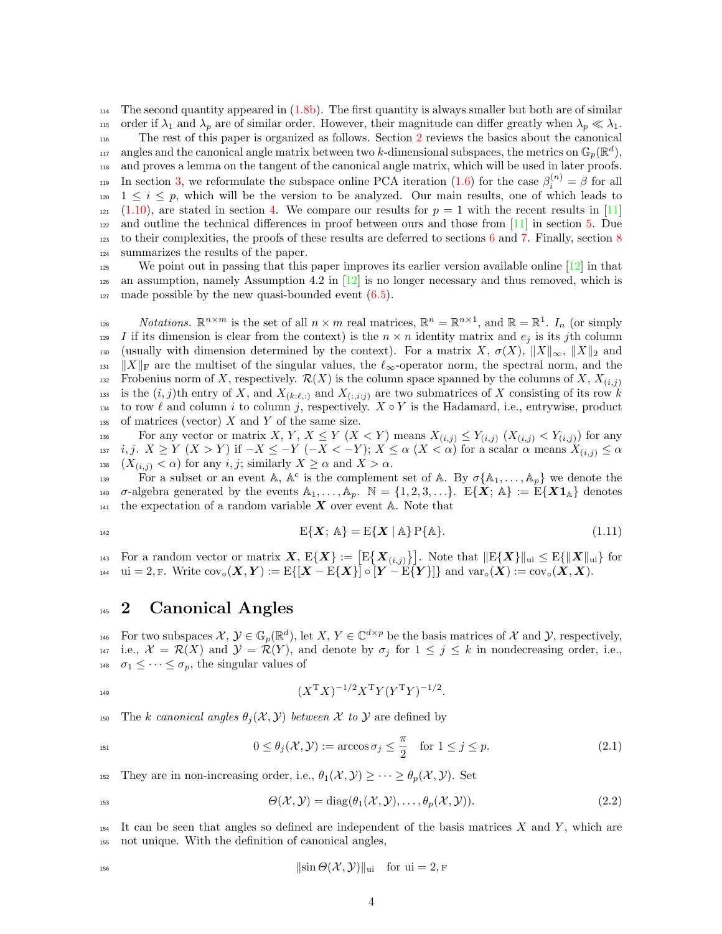$_{114}$  The second quantity appeared in [\(1.8b\)](#page-2-1). The first quantity is always smaller but both are of similar 115 order if  $\lambda_1$  and  $\lambda_p$  are of similar order. However, their magnitude can differ greatly when  $\lambda_p \ll \lambda_1$ . <sup>116</sup> The rest of this paper is organized as follows. Section [2](#page-3-0) reviews the basics about the canonical <sup>117</sup> angles and the canonical angle matrix between two k-dimensional subspaces, the metrics on  $\mathbb{G}_p(\mathbb{R}^d)$ , <sup>118</sup> and proves a lemma on the tangent of the canonical angle matrix, which will be used in later proofs. 119 In section [3,](#page-4-0) we reformulate the subspace online PCA iteration [\(1.6\)](#page-1-5) for the case  $\beta_i^{(n)} = \beta$  for all  $1 \leq i \leq p$ , which will be the version to be analyzed. Our main results, one of which leads to  $121 \quad (1.10)$  $121 \quad (1.10)$ , are stated in section [4.](#page-6-0) We compare our results for  $p = 1$  with the recent results in [\[11\]](#page-35-8) <sup>122</sup> and outline the technical differences in proof between ours and those from [\[11\]](#page-35-8) in section [5.](#page-9-0) Due <sup>123</sup> to their complexities, the proofs of these results are deferred to sections [6](#page-11-0) and [7.](#page-29-0) Finally, section [8](#page-35-0) <sup>124</sup> summarizes the results of the paper.

 $\frac{1}{25}$  We point out in passing that this paper improves its earlier version available online [\[12\]](#page-35-10) in that  $_{126}$  an assumption, namely Assumption 4.2 in  $[12]$  is no longer necessary and thus removed, which is  $_{127}$  made possible by the new quasi-bounded event  $(6.5)$ .

notations.  $\mathbb{R}^{n \times m}$  is the set of all  $n \times m$  real matrices,  $\mathbb{R}^n = \mathbb{R}^{n \times 1}$ , and  $\mathbb{R} = \mathbb{R}^1$ .  $I_n$  (or simply <sup>129</sup> I if its dimension is clear from the context) is the  $n \times n$  identity matrix and  $e_j$  is its jth column 130 (usually with dimension determined by the context). For a matrix X,  $\sigma(X)$ ,  $||X||_{\infty}$ ,  $||X||_2$  and  $\|X\|_{\text{F}}$  are the multiset of the singular values, the  $\ell_{\infty}$ -operator norm, the spectral norm, and the Frobenius norm of X, respectively.  $\mathcal{R}(X)$  is the column space spanned by the columns of X,  $X_{(i,j)}$ 132 133 is the  $(i, j)$ th entry of X, and  $X_{(k:\ell,:)}$  and  $X_{(:,i:j)}$  are two submatrices of X consisting of its row k 134 to row  $\ell$  and column i to column j, respectively.  $X \circ Y$  is the Hadamard, i.e., entrywise, product  $_{135}$  of matrices (vector) X and Y of the same size.

136 For any vector or matrix X, Y,  $X \leq Y$  ( $X < Y$ ) means  $X_{(i,j)} \leq Y_{(i,j)}$  ( $X_{(i,j)} < Y_{(i,j)}$ ) for any 137 *i*, *j*.  $X \ge Y$   $(X > Y)$  if  $-X \le -Y$   $(-X < -Y)$ ;  $X \le \alpha$   $(X < \alpha)$  for a scalar  $\alpha$  means  $X_{(i,j)} \le \alpha$ 138  $(X_{(i,j)} < \alpha)$  for any  $i, j$ ; similarly  $X \geq \alpha$  and  $X > \alpha$ .

139 For a subset or an event A,  $A^c$  is the complement set of A. By  $\sigma\{A_1,\ldots,A_p\}$  we denote the 140  $\sigma$ -algebra generated by the events  $\mathbb{A}_1, \ldots, \mathbb{A}_p$ .  $\mathbb{N} = \{1, 2, 3, \ldots\}$ .  $E\{X; \mathbb{A}\} := E\{X\mathbf{1}_{\mathbb{A}}\}$  denotes <sup>141</sup> the expectation of a random variable  $X$  over event  $A$ . Note that

<span id="page-3-3"></span>
$$
E\{\boldsymbol{X}; \,\mathbb{A}\} = E\{\boldsymbol{X} \mid \mathbb{A}\} P\{\mathbb{A}\}.
$$
\n(1.11)

<sup>143</sup> For a random vector or matrix  $X, E\{X\} := \big[E\big\{X_{(i,j)}\big\}\big]$ . Note that  $\|E\{X\}\|_{\text{ui}} \le E\{\|X\|_{\text{ui}}\}$  for 144 ui = 2, F. Write  $\text{cov}_{\circ}(X, Y) := \text{E}\{[X - \text{E}\{X\}] \circ [Y - \text{E}\{Y\}]\}$  and  $\text{var}_{\circ}(X) := \text{cov}_{\circ}(X, X)$ .

## <span id="page-3-0"></span><sup>145</sup> 2 Canonical Angles

146 For two subspaces  $\mathcal{X}, \mathcal{Y} \in \mathbb{G}_p(\mathbb{R}^d)$ , let  $X, Y \in \mathbb{C}^{d \times p}$  be the basis matrices of  $\mathcal{X}$  and  $\mathcal{Y}$ , respectively, 147 i.e.,  $\mathcal{X} = \mathcal{R}(X)$  and  $\mathcal{Y} = \mathcal{R}(Y)$ , and denote by  $\sigma_j$  for  $1 \leq j \leq k$  in nondecreasing order, i.e., <sup>148</sup>  $\sigma_1 \leq \cdots \leq \sigma_p$ , the singular values of

$$
(XTX)-1/2XTY(YTY)-1/2.
$$

150 The k canonical angles  $\theta_i(\mathcal{X}, \mathcal{Y})$  between X to Y are defined by

<span id="page-3-1"></span>
$$
0 \le \theta_j(\mathcal{X}, \mathcal{Y}) := \arccos \sigma_j \le \frac{\pi}{2} \quad \text{for } 1 \le j \le p. \tag{2.1}
$$

152 They are in non-increasing order, i.e.,  $\theta_1(\mathcal{X}, \mathcal{Y}) \geq \cdots \geq \theta_n(\mathcal{X}, \mathcal{Y})$ . Set

<span id="page-3-2"></span>
$$
\Theta(\mathcal{X}, \mathcal{Y}) = \text{diag}(\theta_1(\mathcal{X}, \mathcal{Y}), \dots, \theta_p(\mathcal{X}, \mathcal{Y})).
$$
\n(2.2)

154 It can be seen that angles so defined are independent of the basis matrices X and Y, which are <sup>155</sup> not unique. With the definition of canonical angles,

$$
\|\sin\Theta(\mathcal{X},\mathcal{Y})\|_{\text{ui}} \quad \text{for ui} = 2, \text{F}
$$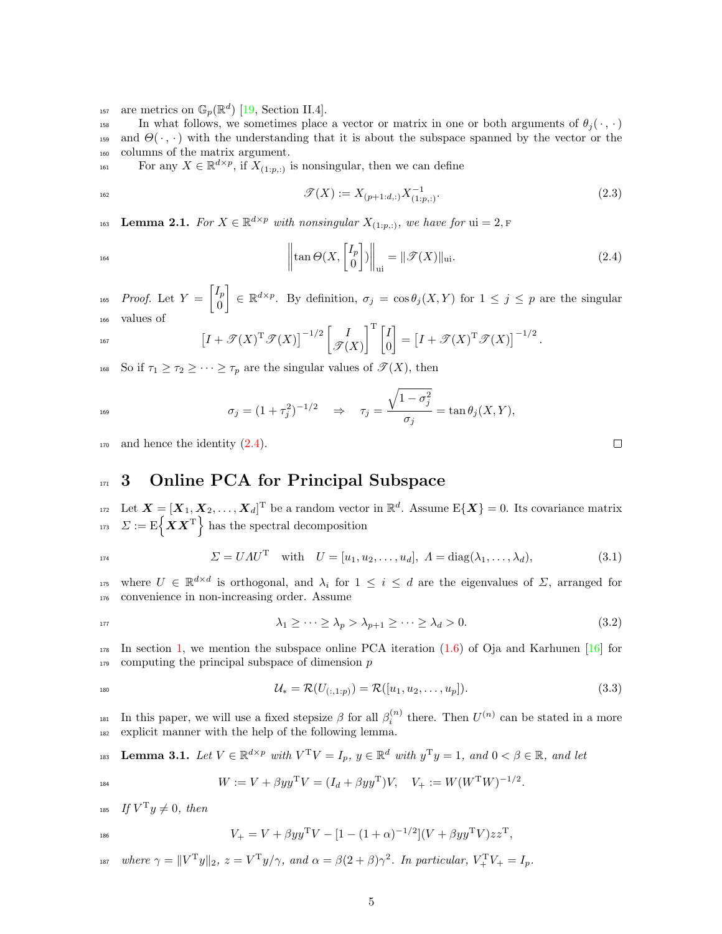<sup>157</sup> are metrics on  $\mathbb{G}_p(\mathbb{R}^d)$  [\[19,](#page-36-2) Section II.4].

158 In what follows, we sometimes place a vector or matrix in one or both arguments of  $\theta_i(\cdot, \cdot)$ 159 and  $\Theta(\cdot, \cdot)$  with the understanding that it is about the subspace spanned by the vector or the <sup>160</sup> columns of the matrix argument.

For any  $X \in \mathbb{R}^{d \times p}$ , if  $X_{(1:p,:)}$  is nonsingular, then we can define

<span id="page-4-3"></span>
$$
\mathcal{T}(X) := X_{(p+1:d,:)} X_{(1:p,:)}^{-1}.
$$
\n(2.3)

Lemma 2.1. For  $X \in \mathbb{R}^{d \times p}$  with nonsingular  $X_{(1:p,:)}$ , we have for  $ui = 2$ , F

<span id="page-4-1"></span>
$$
\left\| \tan \Theta(X, \begin{bmatrix} I_p \\ 0 \end{bmatrix}) \right\|_{\text{ui}} = \| \mathcal{T}(X) \|_{\text{ui}}.
$$
 (2.4)

*Proof.* Let  $Y = \begin{bmatrix} I_p \\ 0 \end{bmatrix}$ 0 <sup>165</sup> Proof. Let  $Y = \begin{bmatrix} I_p \ G \end{bmatrix} \in \mathbb{R}^{d \times p}$ . By definition,  $\sigma_j = \cos \theta_j(X, Y)$  for  $1 \leq j \leq p$  are the singular <sup>166</sup> values of

$$
\left[I + \mathcal{T}(X)^{\mathrm{T}}\mathcal{T}(X)\right]^{-1/2} \begin{bmatrix} I \\ \mathcal{T}(X) \end{bmatrix}^{\mathrm{T}} \begin{bmatrix} I \\ 0 \end{bmatrix} = \left[I + \mathcal{T}(X)^{\mathrm{T}}\mathcal{T}(X)\right]^{-1/2}.
$$

168 So if  $\tau_1 \geq \tau_2 \geq \cdots \geq \tau_p$  are the singular values of  $\mathscr{T}(X)$ , then

$$
\sigma_j = (1 + \tau_j^2)^{-1/2} \quad \Rightarrow \quad \tau_j = \frac{\sqrt{1 - \sigma_j^2}}{\sigma_j} = \tan \theta_j(X, Y),
$$

 $_{170}$  and hence the identity  $(2.4)$ .

# <span id="page-4-0"></span>171 3 Online PCA for Principal Subspace

<sup>172</sup> Let  $\mathbf{X} = [\mathbf{X}_1, \mathbf{X}_2, \dots, \mathbf{X}_d]^{\mathrm{T}}$  be a random vector in  $\mathbb{R}^d$ . Assume  $E\{\mathbf{X}\}=0$ . Its covariance matrix <sup>173</sup>  $\Sigma := \mathrm{E} \{ \boldsymbol{X} \boldsymbol{X}^{\mathrm{T}} \}$  has the spectral decomposition

$$
\Sigma = U \Lambda U^{T} \text{ with } U = [u_1, u_2, \dots, u_d], \Lambda = \text{diag}(\lambda_1, \dots, \lambda_d), \tag{3.1}
$$

<sup>175</sup> where  $U \in \mathbb{R}^{d \times d}$  is orthogonal, and  $\lambda_i$  for  $1 \leq i \leq d$  are the eigenvalues of  $\Sigma$ , arranged for <sup>176</sup> convenience in non-increasing order. Assume

$$
\lambda_1 \ge \dots \ge \lambda_p > \lambda_{p+1} \ge \dots \ge \lambda_d > 0. \tag{3.2}
$$

 $_{178}$  In section [1,](#page-1-0) we mention the subspace online PCA iteration [\(1.6\)](#page-1-5) of Oja and Karhunen [\[16\]](#page-35-4) for  $179$  computing the principal subspace of dimension p

$$
\mathcal{U}_{*} = \mathcal{R}(U_{(:,1:p)}) = \mathcal{R}([u_1, u_2, \dots, u_p]). \tag{3.3}
$$

<sup>181</sup> In this paper, we will use a fixed stepsize  $\beta$  for all  $\beta_i^{(n)}$  there. Then  $U^{(n)}$  can be stated in a more <sup>182</sup> explicit manner with the help of the following lemma.

<span id="page-4-2"></span>**Lemma 3.1.** Let 
$$
V \in \mathbb{R}^{d \times p}
$$
 with  $V^T V = I_p$ ,  $y \in \mathbb{R}^d$  with  $y^T y = 1$ , and  $0 < \beta \in \mathbb{R}$ , and let

$$
W := V + \beta y y^{\mathrm{T}} V = (I_d + \beta y y^{\mathrm{T}}) V, \quad V_+ := W (W^{\mathrm{T}} W)^{-1/2}.
$$

185 If  $V^{\mathrm{T}}y \neq 0$ , then

$$
V_{+} = V + \beta y y^{\mathrm{T}} V - [1 - (1 + \alpha)^{-1/2}] (V + \beta y y^{\mathrm{T}} V) z z^{\mathrm{T}},
$$

187 where  $\gamma = ||V^T y||_2$ ,  $z = V^T y/\gamma$ , and  $\alpha = \beta(2+\beta)\gamma^2$ . In particular,  $V^T_+ V_+ = I_p$ .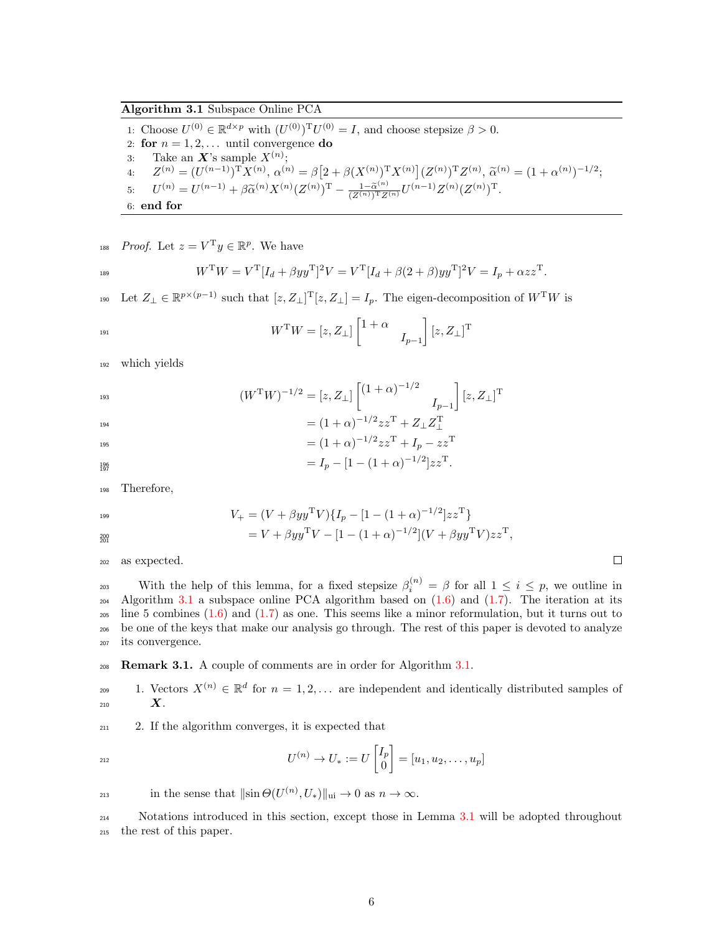<span id="page-5-0"></span>1: Choose  $U^{(0)} \in \mathbb{R}^{d \times p}$  with  $(U^{(0)})^{\mathrm{T}} U^{(0)} = I$ , and choose stepsize  $\beta > 0$ .

- 2: for  $n = 1, 2, \ldots$  until convergence do
- 3: Take an  $X$ 's sample  $X^{(n)}$ ;
- 4:  $Z^{(n)} = (U^{(n-1)})^{\mathrm{T}} X^{(n)}, \alpha^{(n)} = \beta \left[ 2 + \beta (X^{(n)})^{\mathrm{T}} X^{(n)} \right] (Z^{(n)})^{\mathrm{T}} Z^{(n)}, \tilde{\alpha}^{(n)} = (1 + \alpha^{(n)})^{-1/2};$ 5:  $U^{(n)} = U^{(n-1)} + \beta \tilde{\alpha}^{(n)} X^{(n)} (Z^{(n)})^{\mathrm{T}} - \frac{1 - \tilde{\alpha}^{(n)}}{(Z^{(n)})^{\mathrm{T}} Z^{(n)}} U^{(n-1)} Z^{(n)} (Z^{(n)})^{\mathrm{T}}.$

6: end for

<sup>188</sup> Proof. Let  $z = V^{\mathrm{T}}y \in \mathbb{R}^p$ . We have

$$
W^{T}W = V^{T}[I_{d} + \beta yy^{T}]^{2}V = V^{T}[I_{d} + \beta(2+\beta)yy^{T}]^{2}V = I_{p} + \alpha zz^{T}.
$$

190 Let  $Z_{\perp} \in \mathbb{R}^{p \times (p-1)}$  such that  $[z, Z_{\perp}]^{\mathrm{T}}[z, Z_{\perp}] = I_p$ . The eigen-decomposition of  $W^{\mathrm{T}}W$  is

$$
W^{\mathrm{T}}W = [z, Z_{\perp}] \begin{bmatrix} 1 + \alpha & \\ & I_{p-1} \end{bmatrix} [z, Z_{\perp}]^{\mathrm{T}}
$$

<sup>192</sup> which yields

$$
(W^{\mathrm{T}}W)^{-1/2} = [z, Z_{\perp}] \begin{bmatrix} (1+\alpha)^{-1/2} & & & \\ & I_{p-1} \end{bmatrix} [z, Z_{\perp}]^{\mathrm{T}} = (1+\alpha)^{-1/2}zz^{\mathrm{T}} + Z_{\perp}Z_{\perp}^{\mathrm{T}} = (1+\alpha)^{-1/2}zz^{\mathrm{T}} + I_p - zz^{\mathrm{T}}
$$

$$
=I_p-[1-(1+\alpha)^{-1/2}]zz^{\rm T}.
$$

<sup>198</sup> Therefore,

201

$$
V_{+} = (V + \beta y y^{\mathrm{T}} V) \{ I_{p} - [1 - (1 + \alpha)^{-1/2}] z z^{\mathrm{T}} \}
$$

$$
= V + \beta y y^{\mathrm{T}} V - [1 - (1 + \alpha)^{-1/2}] (V + \beta y y^{\mathrm{T}} V) z z^{\mathrm{T}},
$$

<sup>202</sup> as expected.

With the help of this lemma, for a fixed stepsize  $\beta_i^{(n)} = \beta$  for all  $1 \leq i \leq p$ , we outline in Algorithm [3.1](#page-5-0) a subspace online PCA algorithm based on [\(1.6\)](#page-1-5) and [\(1.7\)](#page-1-6). The iteration at its line 5 combines [\(1.6\)](#page-1-5) and [\(1.7\)](#page-1-6) as one. This seems like a minor reformulation, but it turns out to be one of the keys that make our analysis go through. The rest of this paper is devoted to analyze its convergence.

<sup>208</sup> Remark 3.1. A couple of comments are in order for Algorithm [3.1.](#page-5-0)

209 1. Vectors  $X^{(n)} \in \mathbb{R}^d$  for  $n = 1, 2, \ldots$  are independent and identically distributed samples of 210  $X$ .

<sup>211</sup> 2. If the algorithm converges, it is expected that

$$
U^{(n)} \to U_* := U \begin{bmatrix} I_p \\ 0 \end{bmatrix} = [u_1, u_2, \dots, u_p]
$$

213 in the sense that  $\|\sin \Theta(U^{(n)}, U_*)\|_{\text{ui}} \to 0$  as  $n \to \infty$ .

<sup>214</sup> Notations introduced in this section, except those in Lemma [3.1](#page-4-2) will be adopted throughout <sup>215</sup> the rest of this paper.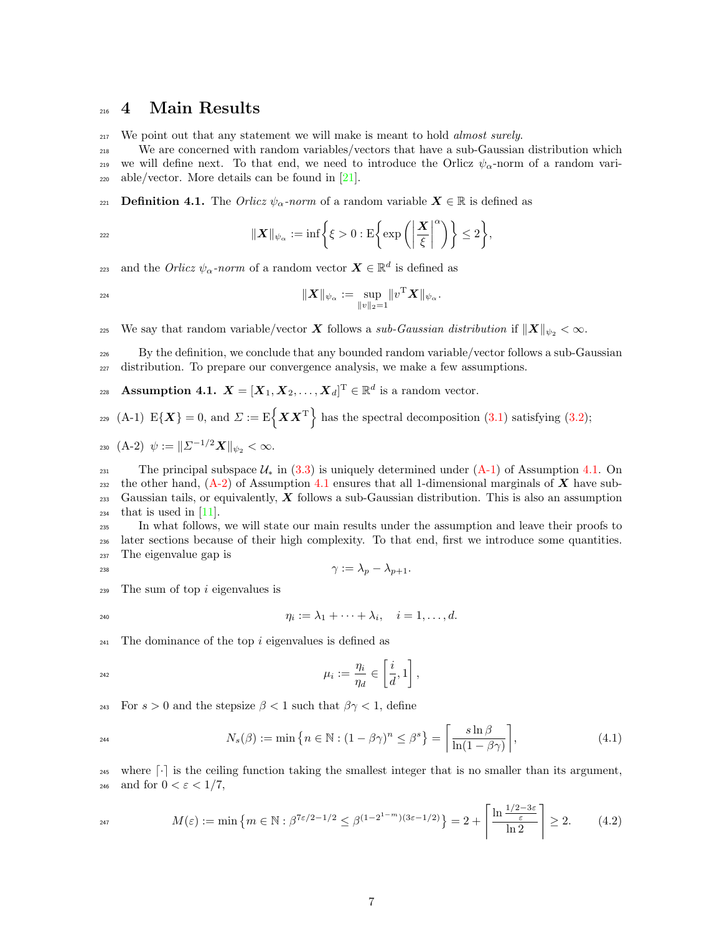## <span id="page-6-0"></span><sup>216</sup> 4 Main Results

<sup>217</sup> We point out that any statement we will make is meant to hold *almost surely*.

<sup>218</sup> We are concerned with random variables/vectors that have a sub-Gaussian distribution which 219 we will define next. To that end, we need to introduce the Orlicz  $\psi_{\alpha}$ -norm of a random vari- $_{220}$  able/vector. More details can be found in [\[21\]](#page-36-3).

221 **Definition 4.1.** The Orlicz  $\psi_{\alpha}$ -norm of a random variable  $X \in \mathbb{R}$  is defined as

$$
\|\boldsymbol{X}\|_{\psi_{\alpha}} := \inf \bigg\{ \xi > 0 : \mathrm{E} \bigg\{ \exp \bigg( \bigg| \frac{\boldsymbol{X}}{\xi} \bigg|^{ \alpha} \bigg) \bigg\} \leq 2 \bigg\},
$$

223 and the *Orlicz*  $\psi_{\alpha}$ -norm of a random vector  $\mathbf{X} \in \mathbb{R}^d$  is defined as

$$
\|{\bm X}\|_{\psi_{\alpha}}:=\sup_{\|v\|_2=1}\|v^{\rm T}{\bm X}\|_{\psi_{\alpha}}.
$$

225 We say that random variable/vector X follows a sub-Gaussian distribution if  $||X||_{\psi_2} < \infty$ .

<sup>226</sup> By the definition, we conclude that any bounded random variable/vector follows a sub-Gaussian <sup>227</sup> distribution. To prepare our convergence analysis, we make a few assumptions.

<span id="page-6-3"></span>228 **Assumption 4.1.**  $\boldsymbol{X} = [\boldsymbol{X}_1, \boldsymbol{X}_2, \dots, \boldsymbol{X}_d]^{\text{T}} \in \mathbb{R}^d$  is a random vector.

<span id="page-6-2"></span>
$$
229 \text{ (A-1) } E\{\boldsymbol{X}\} = 0 \text{, and } \boldsymbol{\Sigma} := E\left\{\boldsymbol{X}\boldsymbol{X}^{\mathrm{T}}\right\} \text{ has the spectral decomposition (3.1) satisfying (3.2);}
$$

<span id="page-6-4"></span>230 
$$
(A-2) \psi := ||\Sigma^{-1/2}X||_{\psi_2} < \infty
$$
.

231 The principal subspace  $\mathcal{U}_*$  in [\(3.3\)](#page-4-3) is uniquely determined under  $(A-1)$  of Assumption [4.1.](#page-6-3) On <sub>232</sub> the other hand,  $(A-2)$  of Assumption [4.1](#page-6-3) ensures that all 1-dimensional marginals of X have sub- $_{233}$  Gaussian tails, or equivalently, X follows a sub-Gaussian distribution. This is also an assumption  $_{234}$  that is used in [\[11\]](#page-35-8).

<sup>235</sup> In what follows, we will state our main results under the assumption and leave their proofs to <sup>236</sup> later sections because of their high complexity. To that end, first we introduce some quantities. <sup>237</sup> The eigenvalue gap is

$$
\gamma := \lambda_p - \lambda_{p+1}.
$$

 $239$  The sum of top i eigenvalues is

$$
\eta_i := \lambda_1 + \cdots + \lambda_i, \quad i = 1, \ldots, d.
$$

 $241$  The dominance of the top i eigenvalues is defined as

$$
\mu_i := \frac{\eta_i}{\eta_d} \in \left[\frac{i}{d},1\right],
$$

<sup>243</sup> For  $s > 0$  and the stepsize  $\beta < 1$  such that  $\beta \gamma < 1$ , define

$$
N_s(\beta) := \min\left\{n \in \mathbb{N} : (1 - \beta\gamma)^n \le \beta^s\right\} = \left\lceil \frac{s \ln \beta}{\ln(1 - \beta\gamma)} \right\rceil,\tag{4.1}
$$

<sup>245</sup> where  $\lceil \cdot \rceil$  is the ceiling function taking the smallest integer that is no smaller than its argument, 246 and for  $0 < \varepsilon < 1/7$ ,

<span id="page-6-1"></span>
$$
M(\varepsilon) := \min\left\{m \in \mathbb{N} : \beta^{7\varepsilon/2 - 1/2} \leq \beta^{(1 - 2^{1 - m})(3\varepsilon - 1/2)}\right\} = 2 + \left\lceil \frac{\ln \frac{1/2 - 3\varepsilon}{\varepsilon}}{\ln 2} \right\rceil \geq 2. \tag{4.2}
$$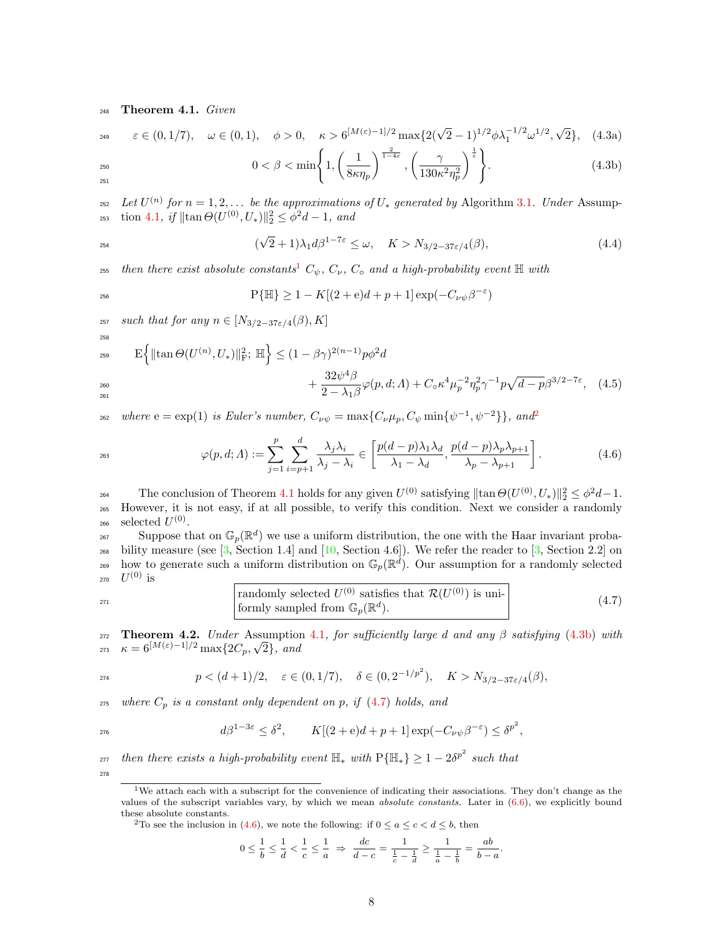<sup>248</sup> Theorem 4.1. Given

$$
\varepsilon \in (0, 1/7), \quad \omega \in (0, 1), \quad \phi > 0, \quad \kappa > 6^{\lfloor M(\varepsilon) - 1 \rfloor / 2} \max\{2(\sqrt{2} - 1)^{1/2} \phi \lambda_1^{-1/2} \omega^{1/2}, \sqrt{2}\}, \quad (4.3a)
$$

<span id="page-7-4"></span>
$$
0 < \beta < \min\left\{1, \left(\frac{1}{8\kappa\eta_p}\right)^{\frac{2}{1-4\varepsilon}}, \left(\frac{\gamma}{130\kappa^2\eta_p^2}\right)^{\frac{1}{\varepsilon}}\right\}.\tag{4.3b}
$$

251

258

<sup>252</sup> Let  $U^{(n)}$  for  $n = 1, 2, ...$  be the approximations of  $U_*$  generated by Algorithm [3.1](#page-5-0). Under Assump-253 tion [4.1](#page-6-3), if  $\|\tan \Theta(U^{(0)}, U_*)\|_2^2 \leq \phi^2 d - 1$ , and

$$
(\sqrt{2}+1)\lambda_1 d\beta^{1-7\varepsilon} \le \omega, \quad K > N_{3/2-37\varepsilon/4}(\beta), \tag{4.4}
$$

<sup>255</sup> then there exist absolute constants<sup>[1](#page-7-2)</sup>  $C_{\psi}$ ,  $C_{\nu}$ ,  $C_{\circ}$  and a high-probability event  $\mathbb H$  with

$$
P\{\mathbb{H}\} \ge 1 - K[(2 + e)d + p + 1] \exp(-C_{\nu\psi}\beta^{-\varepsilon})
$$

257 such that for any  $n \in [N_{3/2-37\varepsilon/4}(\beta), K]$ 

<span id="page-7-1"></span>
$$
\mathcal{E}\left\{\|\tan\Theta(U^{(n)}, U_*)\|_{\mathcal{F}}^2; \ \mathbb{H}\right\} \le (1 - \beta\gamma)^{2(n-1)} p\phi^2 d + \frac{32\psi^4 \beta}{2 - \lambda_1 \beta} \varphi(p, d; \Lambda) + C_0 \kappa^4 \mu_p^{-2} \eta_p^2 \gamma^{-1} p \sqrt{d - p} \beta^{3/2 - 7\varepsilon}, \tag{4.5}
$$

where  $e = \exp(1)$  is Euler's number,  $C_{\nu\psi} = \max\{C_{\nu}\mu_p, C_{\psi}\min\{\psi^{-1}, \psi^{-2}\}\}\$  $C_{\nu\psi} = \max\{C_{\nu}\mu_p, C_{\psi}\min\{\psi^{-1}, \psi^{-2}\}\}\$  $C_{\nu\psi} = \max\{C_{\nu}\mu_p, C_{\psi}\min\{\psi^{-1}, \psi^{-2}\}\}\$ , and<sup>2</sup> 262

<span id="page-7-6"></span>
$$
\varphi(p, d; \Lambda) := \sum_{j=1}^{p} \sum_{i=p+1}^{d} \frac{\lambda_j \lambda_i}{\lambda_j - \lambda_i} \in \left[ \frac{p(d-p)\lambda_1 \lambda_d}{\lambda_1 - \lambda_d}, \frac{p(d-p)\lambda_p \lambda_{p+1}}{\lambda_p - \lambda_{p+1}} \right].
$$
\n(4.6)

264 The conclusion of Theorem [4.1](#page-6-1) holds for any given  $U^{(0)}$  satisfying  $\|\tan \Theta(U^{(0)}, U_*)\|_2^2 \leq \phi^2 d - 1$ . <sup>265</sup> However, it is not easy, if at all possible, to verify this condition. Next we consider a randomly 266 selected  $U^{(0)}$ .

Suppose that on  $\mathbb{G}_p(\mathbb{R}^d)$  we use a uniform distribution, the one with the Haar invariant proba-268 bility measure (see  $[3,$  Section 1.4] and  $[10,$  Section 4.6]). We refer the reader to  $[3,$  Section 2.2] on <sup>269</sup> how to generate such a uniform distribution on  $\mathbb{G}_p(\mathbb{R}^d)$ . Our assumption for a randomly selected  $_{\rm 270}$   $\;$   $U^{(0)}$  is

<span id="page-7-5"></span><sup>271</sup> randomly selected 
$$
U^{(0)}
$$
 satisfies that  $\mathcal{R}(U^{(0)})$  is uni-  
formly sampled from  $\mathbb{G}_p(\mathbb{R}^d)$ . (4.7)

<span id="page-7-0"></span>272 Theorem 4.2. Under Assumption [4.1](#page-6-3), for sufficiently large d and any  $\beta$  satisfying [\(4.3b\)](#page-7-4) with **Theorem 4.2.** Under Ass<br> $\kappa = 6^{[M(\varepsilon)-1]/2} \max\{2C_p, \sqrt{\frac{2C_p}{n}}\}$ 273  $\kappa = 6^{\lfloor M(\varepsilon) - 1 \rfloor / 2} \max\{2C_p, \sqrt{2}\},$  and

$$
p < (d+1)/2, \quad \varepsilon \in (0, 1/7), \quad \delta \in (0, 2^{-1/p^2}), \quad K > N_{3/2 - 37\varepsilon/4}(\beta),
$$

 $275$  where  $C_p$  is a constant only dependent on p, if [\(4.7\)](#page-7-5) holds, and

$$
d\beta^{1-3\varepsilon} \le \delta^2, \qquad K[(2+\mathrm{e})d+p+1]\exp(-C_{\nu\psi}\beta^{-\varepsilon}) \le \delta^{p^2},
$$

 $\tau_{277}$  then there exists a high-probability event  $\mathbb{H}_*$  with  $\mathrm{P}\{\mathbb{H}_*\} \geq 1-2\delta^{p^2}$  such that 278

<span id="page-7-3"></span><sup>2</sup>To see the inclusion in [\(4.6\)](#page-7-6), we note the following: if  $0 \le a \le c < d \le b$ , then

$$
0 \leq \frac{1}{b} \leq \frac{1}{d} < \frac{1}{c} \leq \frac{1}{a} \ \Rightarrow \ \frac{dc}{d-c} = \frac{1}{\frac{1}{c} - \frac{1}{d}} \geq \frac{1}{\frac{1}{a} - \frac{1}{b}} = \frac{ab}{b-a}.
$$

<span id="page-7-2"></span><sup>&</sup>lt;sup>1</sup>We attach each with a subscript for the convenience of indicating their associations. They don't change as the values of the subscript variables vary, by which we mean *absolute constants*. Later in  $(6.6)$ , we explicitly bound these absolute constants.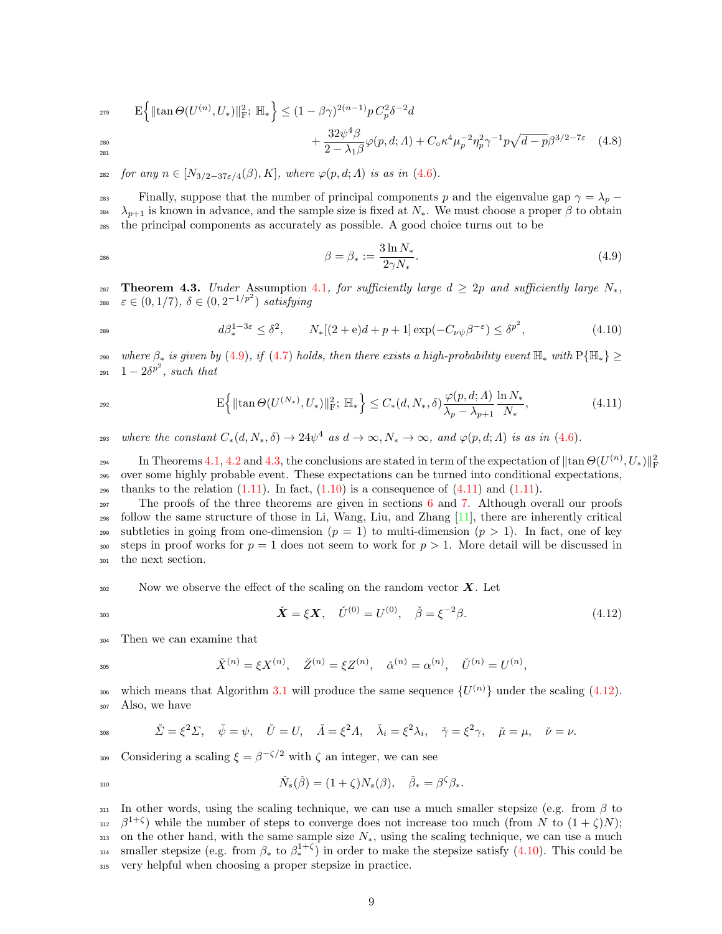$$
_{^{279}} \qquad \mathcal{E}\Big\{ \|\tan\Theta(U^{(n)}, U_*)\|_{\mathcal{F}}^2; \ \mathbb{H}_*\Big\} \leq (1 - \beta\gamma)^{2(n-1)} p C_p^2 \delta^{-2} d
$$

$$
+\frac{32\psi^4\beta}{2-\lambda_1\beta}\varphi(p,d;A)+C_\circ\kappa^4\mu_p^{-2}\eta_p^2\gamma^{-1}p\sqrt{d-p}\beta^{3/2-7\varepsilon} \quad (4.8)
$$

282 for any  $n \in [N_{3/2-37\varepsilon/4}(\beta), K]$ , where  $\varphi(p, d; \Lambda)$  is as in  $(4.6)$ .

<sup>283</sup> Finally, suppose that the number of principal components p and the eigenvalue gap  $\gamma = \lambda_p$  – <sup>284</sup>  $\lambda_{p+1}$  is known in advance, and the sample size is fixed at  $N_*$ . We must choose a proper  $\beta$  to obtain <sup>285</sup> the principal components as accurately as possible. A good choice turns out to be

$$
\beta = \beta_* := \frac{3\ln N_*}{2\gamma N_*}.\tag{4.9}
$$

<span id="page-8-0"></span>287 Theorem 4.3. Under Assumption [4.1](#page-6-3), for sufficiently large  $d \geq 2p$  and sufficiently large  $N_*$ , <sup>288</sup>  $\varepsilon \in (0, 1/7), \ \delta \in (0, 2^{-1/p^2})$  satisfying

$$
d\beta_*^{1-3\varepsilon} \le \delta^2, \qquad N_*[(2+\mathbf{e})d+p+1] \exp(-C_{\nu\psi}\beta^{-\varepsilon}) \le \delta^{p^2}, \tag{4.10}
$$

290 where  $\beta_*$  is given by [\(4.9\)](#page-2-3), if [\(4.7\)](#page-7-5) holds, then there exists a high-probability event  $\mathbb{H}_*$  with  $P\{\mathbb{H}_*\}$  ≥  $_{291}$   $1-2\delta^{p^2}$ , such that

$$
\mathcal{E}\Big\{\|\tan\Theta(U^{(N_*)}, U_*)\|_{\mathcal{F}}^2; \ \mathbb{H}_*\Big\} \le C_*(d, N_*, \delta) \frac{\varphi(p, d; \Lambda)}{\lambda_p - \lambda_{p+1}} \frac{\ln N_*}{N_*},\tag{4.11}
$$

<sup>293</sup> where the constant  $C_*(d, N_*, \delta) \to 24\psi^4$  as  $d \to \infty, N_* \to \infty$ , and  $\varphi(p, d; \Lambda)$  is as in [\(4.6\)](#page-7-6).

In Theorems [4.1,](#page-6-1) [4.2](#page-7-0) and [4.3,](#page-8-0) the conclusions are stated in term of the expectation of  $\|\tan\Theta(U^{(n)},U_*)\|_{\rm F}^2$ 294 <sup>295</sup> over some highly probable event. These expectations can be turned into conditional expectations, <sup>296</sup> thanks to the relation  $(1.11)$ . In fact,  $(1.10)$  is a consequence of  $(4.11)$  and  $(1.11)$ .

 $297$  The proofs of the three theorems are given in sections [6](#page-11-0) and [7.](#page-29-0) Although overall our proofs <sup>298</sup> follow the same structure of those in Li, Wang, Liu, and Zhang [\[11\]](#page-35-8), there are inherently critical <sup>299</sup> subtleties in going from one-dimension  $(p = 1)$  to multi-dimension  $(p > 1)$ . In fact, one of key 300 steps in proof works for  $p = 1$  does not seem to work for  $p > 1$ . More detail will be discussed in <sup>301</sup> the next section.

 $302$  Now we observe the effect of the scaling on the random vector  $\boldsymbol{X}$ . Let

<span id="page-8-1"></span>
$$
\check{\mathbf{X}} = \xi \mathbf{X}, \quad \check{U}^{(0)} = U^{(0)}, \quad \check{\beta} = \xi^{-2} \beta. \tag{4.12}
$$

<sup>304</sup> Then we can examine that

$$
\check{X}^{(n)} = \xi X^{(n)}, \quad \check{Z}^{(n)} = \xi Z^{(n)}, \quad \check{\alpha}^{(n)} = \alpha^{(n)}, \quad \check{U}^{(n)} = U^{(n)},
$$

which means that Algorithm [3.1](#page-5-0) will produce the same sequence  $\{U^{(n)}\}$  under the scaling [\(4.12\)](#page-8-1). <sup>307</sup> Also, we have

$$
\dot{\sum} =
$$

281

308  $\check{\Sigma} = \xi^2 \Sigma, \quad \check{\psi} = \psi, \quad \check{U} = U, \quad \check{A} = \xi^2 A, \quad \check{\lambda}_i = \xi^2 \lambda_i, \quad \check{\gamma} = \xi^2 \gamma, \quad \check{\mu} = \mu, \quad \check{\nu} = \nu.$ 

<sup>309</sup> Considering a scaling  $\xi = \beta^{-\zeta/2}$  with  $\zeta$  an integer, we can see

$$
\check{N}_s(\check{\beta}) = (1+\zeta)N_s(\beta), \quad \check{\beta}_* = \beta^{\zeta}\beta_*.
$$

311 In other words, using the scaling technique, we can use a much smaller stepsize (e.g. from  $\beta$  to <sup>312</sup>  $\beta^{1+\zeta}$ ) while the number of steps to converge does not increase too much (from N to  $(1+\zeta)N$ ); 313 on the other hand, with the same sample size  $N_*$ , using the scaling technique, we can use a much smaller stepsize (e.g. from  $\beta_*$  to  $\beta_*^{1+\zeta}$ ) in order to make the stepsize satisfy [\(4.10\)](#page-2-2). This could be <sup>315</sup> very helpful when choosing a proper stepsize in practice.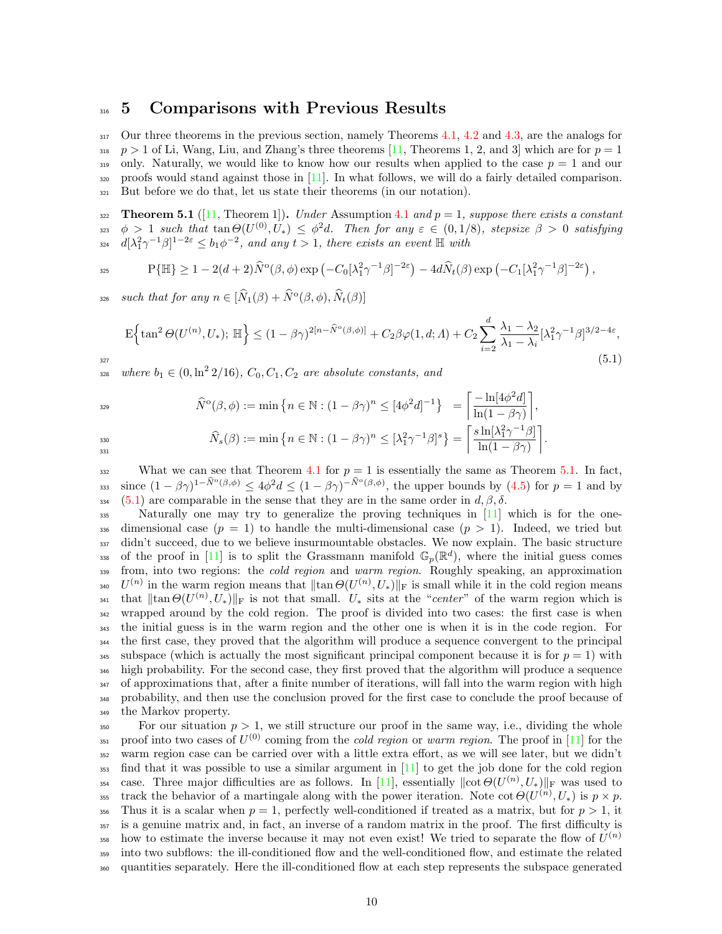### <span id="page-9-0"></span>316 5 Comparisons with Previous Results

317 Our three theorems in the previous section, namely Theorems [4.1,](#page-6-1) [4.2](#page-7-0) and [4.3,](#page-8-0) are the analogs for 318 p > 1 of Li, Wang, Liu, and Zhang's three theorems [\[11,](#page-35-8) Theorems 1, 2, and 3] which are for  $p = 1$ 319 only. Naturally, we would like to know how our results when applied to the case  $p = 1$  and our <sup>320</sup> proofs would stand against those in [\[11\]](#page-35-8). In what follows, we will do a fairly detailed comparison. <sup>321</sup> But before we do that, let us state their theorems (in our notation).

<span id="page-9-1"></span>322 Theorem 5.1 ([\[11,](#page-35-8) Theorem 1]). Under Assumption [4.1](#page-6-3) and  $p = 1$ , suppose there exists a constant 323  $\phi > 1$  such that  $\tan \Theta(U^{(0)}, U_*) \leq \phi^2 d$ . Then for any  $\varepsilon \in (0, 1/8)$ , stepsize  $\beta > 0$  satisfying  $\int_{2^{24}} d[\lambda_1^2 \gamma^{-1} \beta]^{1-2\varepsilon} \leq b_1 \phi^{-2}$ , and any  $t > 1$ , there exists an event  $\mathbb{H}$  with

$$
\Pr\{\mathbb{H}\} \ge 1 - 2(d+2)\widehat{N}^{\circ}(\beta,\phi)\exp\left(-C_0[\lambda_1^2\gamma^{-1}\beta]^{-2\varepsilon}\right) - 4d\widehat{N}_t(\beta)\exp\left(-C_1[\lambda_1^2\gamma^{-1}\beta]^{-2\varepsilon}\right),
$$

 $\text{such that for any } n \in [\hat{N}_1(\beta) + \hat{N}^{\text{o}}(\beta, \phi), \hat{N}_t(\beta)]$ 

$$
\mathcal{E}\left\{\tan^{2}\Theta(U^{(n)}, U_{*}); \ \mathbb{H}\right\} \leq (1 - \beta\gamma)^{2[n - \hat{N}^{o}(\beta, \phi)]} + C_{2}\beta\varphi(1, d; \Lambda) + C_{2} \sum_{i=2}^{d} \frac{\lambda_{1} - \lambda_{2}}{\lambda_{1} - \lambda_{i}} [\lambda_{1}^{2}\gamma^{-1}\beta]^{3/2 - 4\varepsilon},\tag{5.1}
$$

<sup>328</sup> where  $b_1 \in (0, \ln^2 2/16)$ ,  $C_0, C_1, C_2$  are absolute constants, and

$$
\hat{N}^{o}(\beta,\phi) := \min \left\{ n \in \mathbb{N} : (1 - \beta\gamma)^{n} \leq [4\phi^{2}d]^{-1} \right\} = \left[ \frac{-\ln[4\phi^{2}d]}{\ln(1 - \beta\gamma)} \right],
$$
\n
$$
\hat{N}_{s}(\beta) := \min \left\{ n \in \mathbb{N} : (1 - \beta\gamma)^{n} \leq [\lambda_{1}^{2}\gamma^{-1}\beta]^{s} \right\} = \left[ \frac{s\ln[\lambda_{1}^{2}\gamma^{-1}\beta]}{\ln(1 - \beta\gamma)} \right].
$$

331

332 What we can see that Theorem [4.1](#page-6-1) for  $p = 1$  is essentially the same as Theorem [5.1.](#page-9-1) In fact, 333 since  $(1-\beta\gamma)^{1-\hat{N}^{\circ}(\beta,\phi)} \leq 4\phi^2 d \leq (1-\beta\gamma)^{-\hat{N}^{\circ}(\beta,\phi)}$ , the upper bounds by  $(4.5)$  for  $p=1$  and by 334 [\(5.1\)](#page-3-1) are comparable in the sense that they are in the same order in  $d, \beta, \delta$ .

<sup>335</sup> Naturally one may try to generalize the proving techniques in [\[11\]](#page-35-8) which is for the one-336 dimensional case  $(p = 1)$  to handle the multi-dimensional case  $(p > 1)$ . Indeed, we tried but 337 didn't succeed, due to we believe insurmountable obstacles. We now explain. The basic structure 338 of the proof in [\[11\]](#page-35-8) is to split the Grassmann manifold  $\mathbb{G}_p(\mathbb{R}^d)$ , where the initial guess comes 339 from, into two regions: the *cold region* and warm region. Roughly speaking, an approximation <sup>340</sup> U<sup>(n)</sup> in the warm region means that  $\|\tan\Theta(U^{(n)}, U_*)\|_{\text{F}}$  is small while it in the cold region means <sup>341</sup> that  $\|\tan \Theta(U^{(n)}, U_*)\|_{\text{F}}$  is not that small.  $U_*$  sits at the "center" of the warm region which is <sup>342</sup> wrapped around by the cold region. The proof is divided into two cases: the first case is when <sup>343</sup> the initial guess is in the warm region and the other one is when it is in the code region. For <sup>344</sup> the first case, they proved that the algorithm will produce a sequence convergent to the principal 345 subspace (which is actually the most significant principal component because it is for  $p = 1$ ) with <sup>346</sup> high probability. For the second case, they first proved that the algorithm will produce a sequence <sup>347</sup> of approximations that, after a finite number of iterations, will fall into the warm region with high <sup>348</sup> probability, and then use the conclusion proved for the first case to conclude the proof because of <sup>349</sup> the Markov property.

<sup>350</sup> For our situation  $p > 1$ , we still structure our proof in the same way, i.e., dividing the whole 351 proof into two cases of  $U^{(0)}$  coming from the *cold region* or warm region. The proof in [\[11\]](#page-35-8) for the <sup>352</sup> warm region case can be carried over with a little extra effort, as we will see later, but we didn't <sup>353</sup> find that it was possible to use a similar argument in [\[11\]](#page-35-8) to get the job done for the cold region <sup>354</sup> case. Three major difficulties are as follows. In [\[11\]](#page-35-8), essentially  $\|\cot \Theta(U^{(n)}, U_*)\|_{\text{F}}$  was used to <sup>355</sup> track the behavior of a martingale along with the power iteration. Note cot  $\Theta(U^{(n)}, U_*)$  is  $p \times p$ . 356 Thus it is a scalar when  $p = 1$ , perfectly well-conditioned if treated as a matrix, but for  $p > 1$ , it <sup>357</sup> is a genuine matrix and, in fact, an inverse of a random matrix in the proof. The first difficulty is how to estimate the inverse because it may not even exist! We tried to separate the flow of  $U^{(n)}$ 358 <sup>359</sup> into two subflows: the ill-conditioned flow and the well-conditioned flow, and estimate the related <sup>360</sup> quantities separately. Here the ill-conditioned flow at each step represents the subspace generated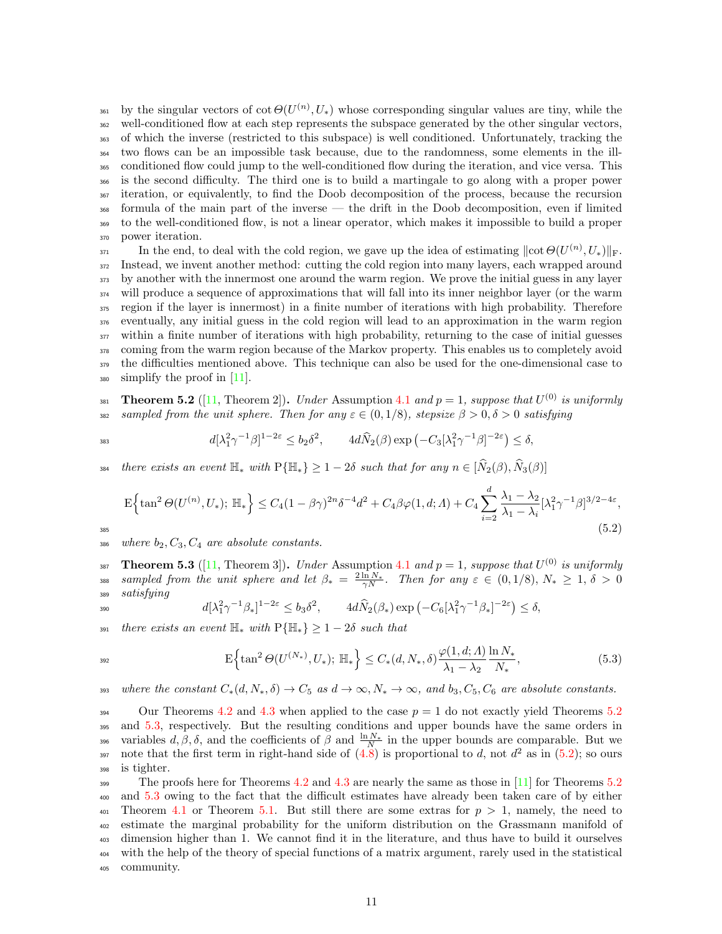<sup>361</sup> by the singular vectors of cot  $\Theta(U^{(n)}, U_*)$  whose corresponding singular values are tiny, while the well-conditioned flow at each step represents the subspace generated by the other singular vectors, of which the inverse (restricted to this subspace) is well conditioned. Unfortunately, tracking the two flows can be an impossible task because, due to the randomness, some elements in the ill- conditioned flow could jump to the well-conditioned flow during the iteration, and vice versa. This is the second difficulty. The third one is to build a martingale to go along with a proper power iteration, or equivalently, to find the Doob decomposition of the process, because the recursion formula of the main part of the inverse — the drift in the Doob decomposition, even if limited to the well-conditioned flow, is not a linear operator, which makes it impossible to build a proper power iteration.

In the end, to deal with the cold region, we gave up the idea of estimating  $\|\cot \Theta(U^{(n)}, U_*)\|_{\text{F}}$ . Instead, we invent another method: cutting the cold region into many layers, each wrapped around by another with the innermost one around the warm region. We prove the initial guess in any layer will produce a sequence of approximations that will fall into its inner neighbor layer (or the warm region if the layer is innermost) in a finite number of iterations with high probability. Therefore eventually, any initial guess in the cold region will lead to an approximation in the warm region within a finite number of iterations with high probability, returning to the case of initial guesses <sup>378</sup> coming from the warm region because of the Markov property. This enables us to completely avoid the difficulties mentioned above. This technique can also be used for the one-dimensional case to simplify the proof in [\[11\]](#page-35-8).

<span id="page-10-0"></span>381 Theorem 5.2 ([\[11,](#page-35-8) Theorem 2]). Under Assumption [4.1](#page-6-3) and  $p = 1$ , suppose that  $U^{(0)}$  is uniformly 382 sampled from the unit sphere. Then for any  $\varepsilon \in (0, 1/8)$ , stepsize  $\beta > 0$ ,  $\delta > 0$  satisfying

$$
d[\lambda_1^2 \gamma^{-1} \beta]^{1-2\varepsilon} \le b_2 \delta^2, \qquad 4d\widehat{N}_2(\beta) \exp\left(-C_3[\lambda_1^2 \gamma^{-1} \beta]^{-2\varepsilon}\right) \le \delta,
$$

<sup>384</sup> there exists an event  $\mathbb{H}_*$  with  $P\{\mathbb{H}_*\} \geq 1-2\delta$  such that for any  $n \in [\hat{N}_2(\beta), \hat{N}_3(\beta)]$ 

$$
\mathcal{E}\left\{\tan^2\Theta(U^{(n)}, U_*); \ \mathbb{H}_*\right\} \le C_4(1-\beta\gamma)^{2n}\delta^{-4}d^2 + C_4\beta\varphi(1, d; \Lambda) + C_4\sum_{i=2}^d \frac{\lambda_1 - \lambda_2}{\lambda_1 - \lambda_i}[\lambda_1^2\gamma^{-1}\beta]^{3/2 - 4\epsilon},\tag{5.2}
$$

386 where  $b_2, C_3, C_4$  are absolute constants.

<span id="page-10-1"></span>387 **Theorem 5.3** ([\[11,](#page-35-8) Theorem 3]). Under Assumption [4.1](#page-6-3) and  $p = 1$ , suppose that  $U^{(0)}$  is uniformly <sup>388</sup> sampled from the unit sphere and let  $\beta_* = \frac{2 \ln N_*}{\gamma N}$ . Then for any  $\varepsilon \in (0, 1/8)$ ,  $N_* \geq 1$ ,  $\delta > 0$ <sup>389</sup> satisfying

$$
d[\lambda_1^2 \gamma^{-1} \beta_*]^{1-2\varepsilon} \le b_3 \delta^2, \qquad 4d\widehat{N}_2(\beta_*) \exp\left(-C_6[\lambda_1^2 \gamma^{-1} \beta_*]^{-2\varepsilon}\right) \le \delta,
$$

391 there exists an event  $\mathbb{H}_*$  with  $P\{\mathbb{H}_*\} \geq 1-2\delta$  such that

$$
E\left\{\tan^2\Theta(U^{(N_*)}, U_*); \ \mathbb{H}_*\right\} \le C_*(d, N_*, \delta) \frac{\varphi(1, d; \Lambda)}{\lambda_1 - \lambda_2} \frac{\ln N_*}{N_*},\tag{5.3}
$$

393 where the constant  $C_*(d, N_*, \delta) \to C_5$  as  $d \to \infty$ ,  $N_* \to \infty$ , and  $b_3$ ,  $C_5$ ,  $C_6$  are absolute constants.

<sup>394</sup> Our Theorems [4.2](#page-7-0) and [4.3](#page-8-0) when applied to the case  $p = 1$  do not exactly yield Theorems [5.2](#page-10-0) 395 and [5.3,](#page-10-1) respectively. But the resulting conditions and upper bounds have the same orders in <sup>396</sup> variables  $d, \beta, \delta$ , and the coefficients of  $\beta$  and  $\frac{\ln N_*}{N}$  in the upper bounds are comparable. But we 397 note that the first term in right-hand side of  $(4.8)$  is proportional to d, not  $d^2$  as in  $(5.2)$ ; so ours <sup>398</sup> is tighter.

399 The proofs here for Theorems [4.2](#page-7-0) and [4.3](#page-8-0) are nearly the same as those in  $[11]$  for Theorems [5.2](#page-10-0) <sup>400</sup> and [5.3](#page-10-1) owing to the fact that the difficult estimates have already been taken care of by either 401 Theorem [4.1](#page-6-1) or Theorem [5.1.](#page-9-1) But still there are some extras for  $p > 1$ , namely, the need to <sup>402</sup> estimate the marginal probability for the uniform distribution on the Grassmann manifold of <sup>403</sup> dimension higher than 1. We cannot find it in the literature, and thus have to build it ourselves <sup>404</sup> with the help of the theory of special functions of a matrix argument, rarely used in the statistical <sup>405</sup> community.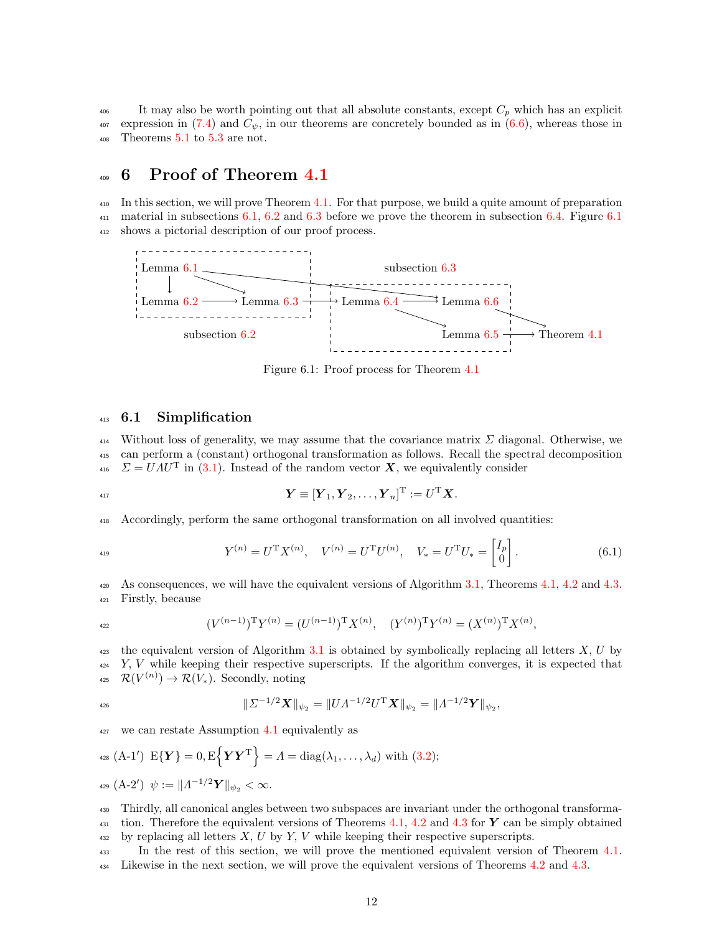<sup>406</sup> It may also be worth pointing out that all absolute constants, except  $C_p$  which has an explicit  $_{407}$  expression in [\(7.4\)](#page-4-1) and  $C_{\psi}$ , in our theorems are concretely bounded as in [\(6.6\)](#page-7-6), whereas those in  $408$  Theorems  $5.1$  to  $5.3$  are not.

## <span id="page-11-0"></span>409 6 Proof of Theorem [4.1](#page-6-1)

<sup>410</sup> In this section, we will prove Theorem [4.1.](#page-6-1) For that purpose, we build a quite amount of preparation <sup>411</sup> material in subsections [6.1,](#page-11-1) [6.2](#page-13-0) and [6.3](#page-19-0) before we prove the theorem in subsection [6.4.](#page-27-0) Figure [6.1](#page-11-2) <sup>412</sup> shows a pictorial description of our proof process.

<span id="page-11-2"></span>

Figure 6.1: Proof process for Theorem [4.1](#page-6-1)

#### <span id="page-11-1"></span>413 6.1 Simplification

414 Without loss of generality, we may assume that the covariance matrix  $\Sigma$  diagonal. Otherwise, we <sup>415</sup> can perform a (constant) orthogonal transformation as follows. Recall the spectral decomposition <sup>416</sup>  $\Sigma = UAU^{T}$  in [\(3.1\)](#page-3-1). Instead of the random vector **X**, we equivalently consider

$$
\boldsymbol{Y} \equiv [\boldsymbol{Y}_1, \boldsymbol{Y}_2, \dots, \boldsymbol{Y}_n]^{\text{T}} := U^{\text{T}} \boldsymbol{X}.
$$

<sup>418</sup> Accordingly, perform the same orthogonal transformation on all involved quantities:

$$
Y^{(n)} = U^{\mathrm{T}} X^{(n)}, \quad V^{(n)} = U^{\mathrm{T}} U^{(n)}, \quad V_* = U^{\mathrm{T}} U_* = \begin{bmatrix} I_p \\ 0 \end{bmatrix}.
$$
 (6.1)

420 As consequences, we will have the equivalent versions of Algorithm [3.1,](#page-5-0) Theorems [4.1,](#page-6-1) [4.2](#page-7-0) and [4.3.](#page-8-0) <sup>421</sup> Firstly, because

$$
(V^{(n-1)})^{\mathrm{T}}Y^{(n)} = (U^{(n-1)})^{\mathrm{T}}X^{(n)}, \quad (Y^{(n)})^{\mathrm{T}}Y^{(n)} = (X^{(n)})^{\mathrm{T}}X^{(n)},
$$

 $\mu_{423}$  the equivalent version of Algorithm [3.1](#page-5-0) is obtained by symbolically replacing all letters X, U by  $424$  Y, V while keeping their respective superscripts. If the algorithm converges, it is expected that <sup>425</sup>  $\mathcal{R}(V^{(n)}) \to \mathcal{R}(V_*)$ . Secondly, noting

$$
\| \Sigma^{-1/2} \bm{X} \|_{\psi_2} = \| U \Lambda^{-1/2} U^{\mathrm{T}} \bm{X} \|_{\psi_2} = \| \Lambda^{-1/2} \bm{Y} \|_{\psi_2},
$$

 $427$  we can restate Assumption [4.1](#page-6-3) equivalently as

$$
428 (A-1') \tE{Y} = 0, E{YYT} = \Lambda = diag(\lambda_1, ..., \lambda_d) with (3.2);
$$
  

$$
429 (A-2') \t\psi := ||\Lambda^{-1/2}Y||_{\psi_2} < \infty.
$$

<sup>430</sup> Thirdly, all canonical angles between two subspaces are invariant under the orthogonal transforma-431 tion. Therefore the equivalent versions of Theorems [4.1,](#page-6-1) [4.2](#page-7-0) and [4.3](#page-8-0) for Y can be simply obtained  $432$  by replacing all letters  $X, U$  by  $Y, V$  while keeping their respective superscripts.

<sup>433</sup> In the rest of this section, we will prove the mentioned equivalent version of Theorem [4.1.](#page-6-1) <sup>434</sup> Likewise in the next section, we will prove the equivalent versions of Theorems [4.2](#page-7-0) and [4.3.](#page-8-0)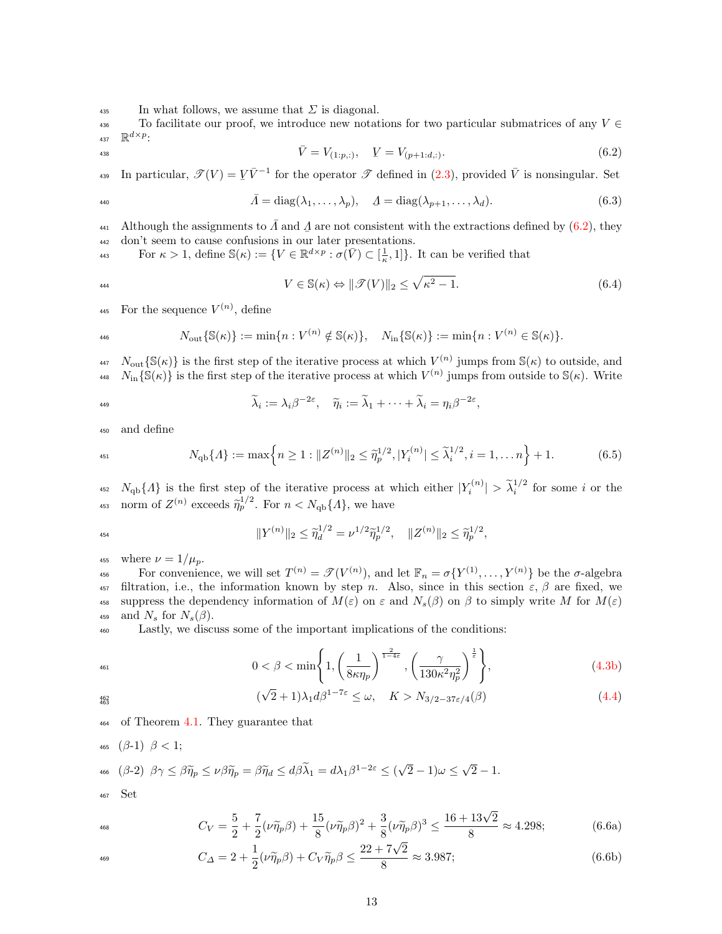$\frac{435}{435}$  In what follows, we assume that  $\Sigma$  is diagonal.

436 To facilitate our proof, we introduce new notations for two particular submatrices of any  $V \in$ 437  $\mathbb{R}^{d \times p}$ :

$$
\bar{V} = V_{(1:p,:)}, \quad V = V_{(p+1:d,:)}. \tag{6.2}
$$

In particular,  $\mathscr{T}(V) = V\bar{V}^{-1}$  for the operator  $\mathscr{T}$  defined in [\(2.3\)](#page-4-3), provided  $\bar{V}$  is nonsingular. Set

$$
\bar{\Lambda} = \text{diag}(\lambda_1, \dots, \lambda_p), \quad \underline{\Lambda} = \text{diag}(\lambda_{p+1}, \dots, \lambda_d). \tag{6.3}
$$

441 Although the assignments to  $\bar{A}$  and  $\bar{A}$  are not consistent with the extractions defined by [\(6.2\)](#page-3-2), they 442 don't seem to cause confusions in our later presentations.

For  $\kappa > 1$ , define  $\mathbb{S}(\kappa) := \{ V \in \mathbb{R}^{d \times p} : \sigma(\overline{V}) \subset [\frac{1}{\kappa}, 1] \}$ . It can be verified that

$$
V \in \mathbb{S}(\kappa) \Leftrightarrow \|\mathcal{F}(V)\|_2 \le \sqrt{\kappa^2 - 1}.\tag{6.4}
$$

445 For the sequence  $V^{(n)}$ , define

$$
N_{\text{out}}\{\mathbb{S}(\kappa)\} := \min\{n: V^{(n)} \notin \mathbb{S}(\kappa)\}, \quad N_{\text{in}}\{\mathbb{S}(\kappa)\} := \min\{n: V^{(n)} \in \mathbb{S}(\kappa)\}.
$$

 $N_{\text{out}}\{\mathbb{S}(\kappa)\}\$ is the first step of the iterative process at which  $V^{(n)}$  jumps from  $\mathbb{S}(\kappa)$  to outside, and  $N_{\text{in}}\{\mathbb{S}(\kappa)\}\$ is the first step of the iterative process at which  $V^{(n)}$  jumps from outside to  $\mathbb{S}(\kappa)$ . Write

$$
^{149}
$$

$$
\widetilde{\lambda}_i := \lambda_i \beta^{-2\varepsilon}, \quad \widetilde{\eta}_i := \widetilde{\lambda}_1 + \cdots + \widetilde{\lambda}_i = \eta_i \beta^{-2\varepsilon},
$$

<sup>450</sup> and define

$$
N_{\text{qb}}\{A\} := \max\left\{n \ge 1 : \|Z^{(n)}\|_2 \le \tilde{\eta}_p^{1/2}, |Y_i^{(n)}| \le \tilde{\lambda}_i^{1/2}, i = 1, \dots n\right\} + 1. \tag{6.5}
$$

<sup>452</sup>  $N_{\text{qb}}\{A\}$  is the first step of the iterative process at which either  $|Y_i^{(n)}| > \tilde{\lambda}_i^{1/2}$  for some i or the <sup>453</sup> norm of  $Z^{(n)}$  exceeds  $\tilde{\eta}_p^{1/2}$ . For  $n < N_{\text{qb}}\{A\}$ , we have

$$
\|Y^{(n)}\|_2 \leq \tilde{\eta}_d^{1/2} = \nu^{1/2} \tilde{\eta}_p^{1/2}, \quad \|Z^{(n)}\|_2 \leq \tilde{\eta}_p^{1/2},
$$

455 where  $\nu = 1/\mu_p$ .

456 For convenience, we will set  $T^{(n)} = \mathscr{T}(V^{(n)})$ , and let  $\mathbb{F}_n = \sigma\{Y^{(1)}, \ldots, Y^{(n)}\}$  be the  $\sigma$ -algebra 457 filtration, i.e., the information known by step n. Also, since in this section  $\varepsilon$ ,  $\beta$  are fixed, we 458 suppress the dependency information of  $M(\varepsilon)$  on  $\varepsilon$  and  $N_s(\beta)$  on  $\beta$  to simply write M for  $M(\varepsilon)$ 459 and  $N_s$  for  $N_s(\beta)$ .

<sup>460</sup> Lastly, we discuss some of the important implications of the conditions:

$$
0 < \beta < \min\left\{1, \left(\frac{1}{8\kappa\eta_p}\right)^{\frac{2}{1-4\varepsilon}}, \left(\frac{\gamma}{130\kappa^2\eta_p^2}\right)^{\frac{1}{\varepsilon}}\right\},\tag{4.3b}
$$
\n
$$
(\sqrt{2}+1)\lambda_1 d\beta^{1-7\varepsilon} \le \omega, \quad K > N_{3/2-37\varepsilon/4}(\beta) \tag{4.4}
$$

$$
\begin{array}{c} 462 \\ 463 \end{array}
$$

<sup>464</sup> of Theorem [4.1.](#page-6-1) They guarantee that

<span id="page-12-1"></span>466 
$$
(\beta-2)
$$
  $\beta\gamma \leq \beta\widetilde{\eta}_p \leq \nu\beta\widetilde{\eta}_p = \beta\widetilde{\eta}_d \leq d\beta\widetilde{\lambda}_1 = d\lambda_1\beta^{1-2\varepsilon} \leq (\sqrt{2}-1)\omega \leq \sqrt{2}-1.$ 

<span id="page-12-2"></span><span id="page-12-0"></span>(

<sup>467</sup> Set

465  $(\beta-1)$   $\beta < 1$ ;

$$
C_V = \frac{5}{2} + \frac{7}{2}(\nu \tilde{\eta}_p \beta) + \frac{15}{8}(\nu \tilde{\eta}_p \beta)^2 + \frac{3}{8}(\nu \tilde{\eta}_p \beta)^3 \le \frac{16 + 13\sqrt{2}}{8} \approx 4.298; \tag{6.6a}
$$

$$
C_{\Delta} = 2 + \frac{1}{2}(\nu \tilde{\eta}_p \beta) + C_V \tilde{\eta}_p \beta \le \frac{22 + 7\sqrt{2}}{8} \approx 3.987; \tag{6.6b}
$$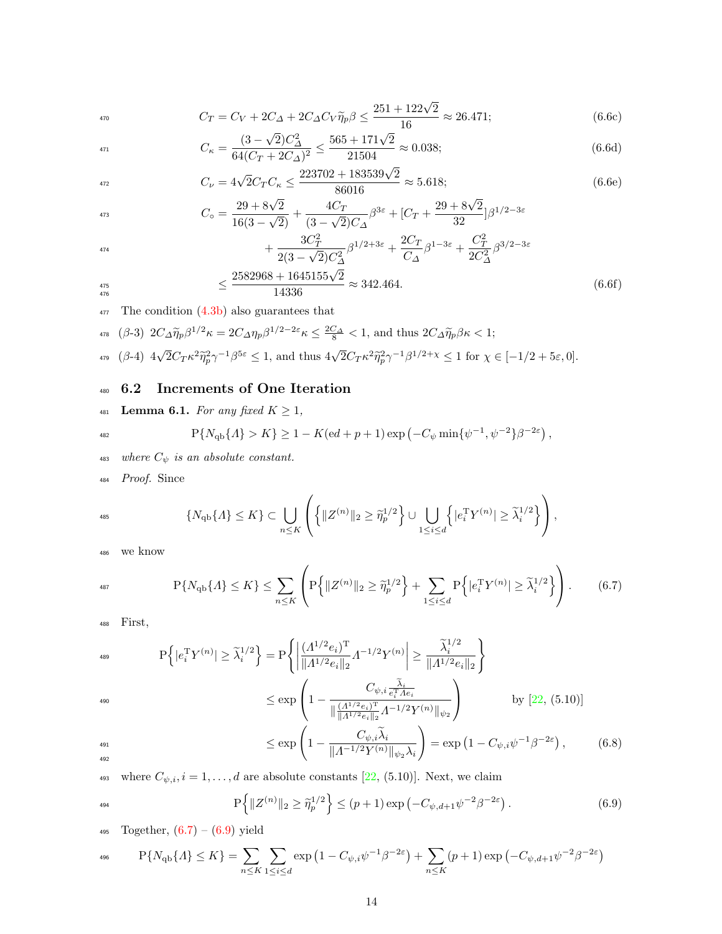<span id="page-13-2"></span>
$$
C_T = C_V + 2C_\Delta + 2C_\Delta C_V \tilde{\eta}_p \beta \le \frac{251 + 122\sqrt{2}}{16} \approx 26.471; \tag{6.6c}
$$

<span id="page-13-4"></span>
$$
C_{\kappa} = \frac{(3 - \sqrt{2})C_{\Delta}^2}{64(C_T + 2C_{\Delta})^2} \le \frac{565 + 171\sqrt{2}}{21504} \approx 0.038; \tag{6.6d}
$$

<span id="page-13-7"></span>
$$
C_{\nu} = 4\sqrt{2}C_{T}C_{\kappa} \le \frac{223702 + 183539\sqrt{2}}{86016} \approx 5.618; \tag{6.6e}
$$

$$
C_{\circ} = \frac{29 + 8\sqrt{2}}{16(3 - \sqrt{2})} + \frac{4C_T}{(3 - \sqrt{2})C_{\Delta}} \beta^{3\varepsilon} + [C_T + \frac{29 + 8\sqrt{2}}{32}] \beta^{1/2 - 3\varepsilon}
$$

<span id="page-13-6"></span>
$$
+\frac{3C_T^2}{2(3-\sqrt{2})C_{\Delta}^2}\beta^{1/2+3\varepsilon} + \frac{2C_T}{C_{\Delta}}\beta^{1-3\varepsilon} + \frac{C_T^2}{2C_{\Delta}^2}\beta^{3/2-3\varepsilon}
$$
  

$$
\leq \frac{2582968 + 1645155\sqrt{2}}{14336} \approx 342.464.
$$
 (6.6f)

$$
\begin{array}{c} 476 \\ 476 \end{array}
$$

 $477$  The condition  $(4.3b)$  also guarantees that

<span id="page-13-3"></span>
$$
\text{478} \quad \text{(}\beta-3\text{)} \quad 2C_{\Delta} \widetilde{\eta}_p \beta^{1/2} \kappa = 2C_{\Delta} \eta_p \beta^{1/2 - 2\varepsilon} \kappa \le \frac{2C_{\Delta}}{8} < 1 \text{, and thus } 2C_{\Delta} \widetilde{\eta}_p \beta \kappa < 1;
$$

<span id="page-13-5"></span>
$$
\text{and}\quad \text{and}\quad ( \beta - 4) \ 4\sqrt{2} C_T \kappa^2 \widetilde{\eta}_{p}^2 \gamma^{-1} \beta^{5\epsilon} \leq 1, \text{ and thus } 4\sqrt{2} C_T \kappa^2 \widetilde{\eta}_{p}^2 \gamma^{-1} \beta^{1/2 + \chi} \leq 1 \text{ for } \chi \in [-1/2 + 5\epsilon, 0].
$$

# <span id="page-13-0"></span><sup>480</sup> 6.2 Increments of One Iteration

<span id="page-13-1"></span>
$$
481 \quad \textbf{Lemma 6.1.} For any fixed } K \geq 1,
$$

$$
^{482}
$$

$$
P\{N_{\rm qb}\{A\} > K\} \ge 1 - K(\mathrm{e}d + p + 1)\exp\left(-C_{\psi}\min\{\psi^{-1},\psi^{-2}\}\beta^{-2\varepsilon}\right),
$$

- 483 where  $C_{\psi}$  is an absolute constant.
- <sup>484</sup> Proof. Since

$$
\{N_{\mathrm{qb}}\{A\} \leq K\} \subset \bigcup_{n \leq K} \left( \left\{\|Z^{(n)}\|_2 \geq \widetilde{\eta}_p^{1/2}\right\} \cup \bigcup_{1 \leq i \leq d} \left\{|e_i^{\mathrm{T}} Y^{(n)}| \geq \widetilde{\lambda}_i^{1/2}\right\}\right),
$$

<sup>486</sup> we know

$$
P\{N_{qb}\{A\} \le K\} \le \sum_{n \le K} \left( P\left\{ \|Z^{(n)}\|_2 \ge \tilde{\eta}_p^{1/2} \right\} + \sum_{1 \le i \le d} P\left\{ |e_i^{\mathrm{T}} Y^{(n)}| \ge \tilde{\lambda}_i^{1/2} \right\} \right). \tag{6.7}
$$

<sup>488</sup> First,

$$
P\left\{|e_i^{\mathrm{T}}Y^{(n)}| \ge \tilde{\lambda}_i^{1/2}\right\} = P\left\{ \left|\frac{(A^{1/2}e_i)^{\mathrm{T}}}{\|A^{1/2}e_i\|_2}A^{-1/2}Y^{(n)}\right| \ge \frac{\tilde{\lambda}_i^{1/2}}{\|A^{1/2}e_i\|_2} \right\}
$$

490 
$$
\leq \exp\left(1 - \frac{\frac{C_{\psi,i}}{\|\left(\frac{(A^1)^2 e_i\right)^{\mathrm{T}}}{\|A^{1/2} e_i\|_2} A^{-1/2} Y^{(n)}\|_{\psi_2}}}\right) \qquad \text{by [22, (5.10)]}
$$
  
491 
$$
\leq \exp\left(1 - \frac{C_{\psi,i}\tilde{\lambda}_i}{\|A^{-1/2} Y^{(n)}\|_{\psi_2} \lambda_i}\right) = \exp\left(1 - C_{\psi,i} \psi^{-1} \beta^{-2\varepsilon}\right), \qquad (6.8)
$$

492

<sup>493</sup> where  $C_{\psi,i}$ ,  $i = 1, ..., d$  are absolute constants [\[22,](#page-36-4) (5.10)]. Next, we claim

$$
\mathbb{P}\left\{\|Z^{(n)}\|_2 \ge \tilde{\eta}_p^{1/2}\right\} \le (p+1)\exp\left(-C_{\psi,d+1}\psi^{-2}\beta^{-2\varepsilon}\right). \tag{6.9}
$$

495 Together,  $(6.7) - (6.9)$  $(6.7) - (6.9)$  $(6.7) - (6.9)$  yield

$$
P\{N_{\rm qb}\{A\} \le K\} = \sum_{n \le K} \sum_{1 \le i \le d} \exp\left(1 - C_{\psi,i}\psi^{-1}\beta^{-2\varepsilon}\right) + \sum_{n \le K} (p+1) \exp\left(-C_{\psi,d+1}\psi^{-2}\beta^{-2\varepsilon}\right)
$$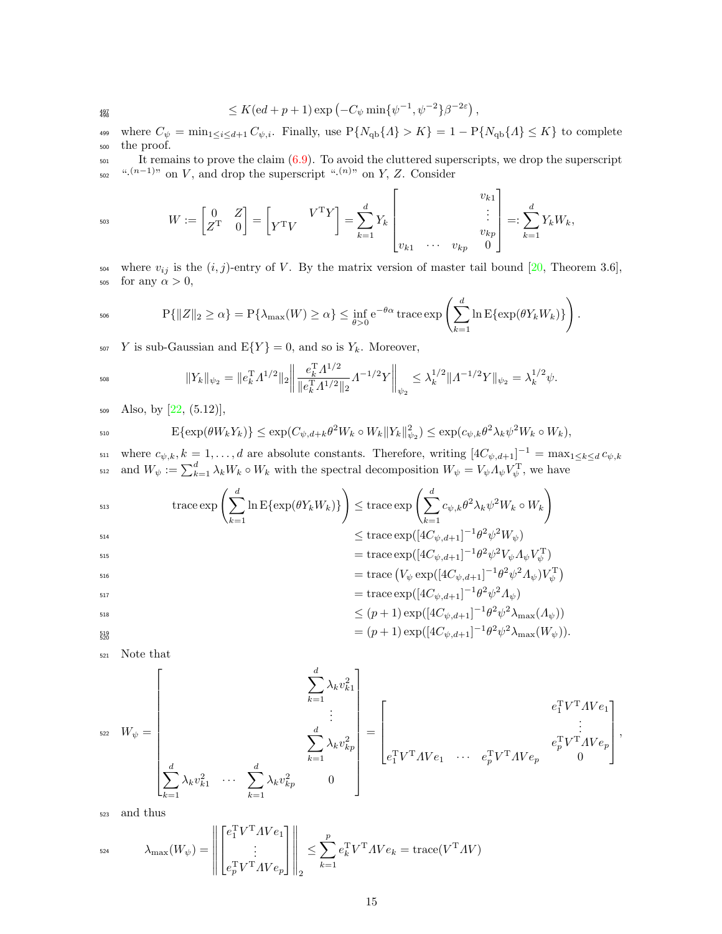$$
\leq K(\mathrm{e} d + p + 1) \exp \left(-C_{\psi} \min \{ \psi^{-1}, \psi^{-2} \} \beta^{-2\varepsilon} \right),
$$

where  $C_{\psi} = \min_{1 \leq i \leq d+1} C_{\psi, i}$ . Finally, use  $P\{N_{qb}\{A\} > K\} = 1 - P\{N_{qb}\{A\} \leq K\}$  to complete <sup>500</sup> the proof.

 $_{501}$  It remains to prove the claim  $(6.9)$ . To avoid the cluttered superscripts, we drop the superscript <sup>502</sup> <sup>".(n-1)</sup>" on V, and drop the superscript "<sup>.(n)</sup>" on Y, Z. Consider

$$
W := \begin{bmatrix} 0 & Z \\ Z^{\mathrm{T}} & 0 \end{bmatrix} = \begin{bmatrix} V^{\mathrm{T}}V \\ Y^{\mathrm{T}}V \end{bmatrix} = \sum_{k=1}^{d} Y_k \begin{bmatrix} v_{k1} \\ \vdots \\ v_{k1} & \cdots & v_{kp} \end{bmatrix} =: \sum_{k=1}^{d} Y_k W_k,
$$

504 where  $v_{ij}$  is the  $(i, j)$ -entry of V. By the matrix version of master tail bound [\[20,](#page-36-5) Theorem 3.6], 505 for any  $\alpha > 0$ ,

$$
\Pr\{\|Z\|_2 \geq \alpha\} = \Pr\{\lambda_{\max}(W) \geq \alpha\} \leq \inf_{\theta > 0} e^{-\theta \alpha} \operatorname{trace} \exp\left(\sum_{k=1}^d \ln \mathbb{E}\{\exp(\theta Y_k W_k)\}\right).
$$

507 Y is sub-Gaussian and  $E\{Y\} = 0$ , and so is  $Y_k$ . Moreover,

$$
\|Y_k\|_{\psi_2} = \|e_k^T A^{1/2}\|_2 \left\| \frac{e_k^T A^{1/2}}{\|e_k^T A^{1/2}\|_2} A^{-1/2} Y \right\|_{\psi_2} \le \lambda_k^{1/2} \|A^{-1/2} Y\|_{\psi_2} = \lambda_k^{1/2} \psi.
$$

 $509$  Also, by  $[22, (5.12)],$  $[22, (5.12)],$ 

$$
\mathrm{E}\{\exp(\theta W_k Y_k)\} \leq \exp(C_{\psi,d+k}\theta^2 W_k \circ W_k \|Y_k\|_{\psi_2}^2) \leq \exp(c_{\psi,k}\theta^2 \lambda_k \psi^2 W_k \circ W_k),
$$

 $\mathbf{L}_{\text{min}}$  where  $c_{\psi,k}, k = 1, \ldots, d$  are absolute constants. Therefore, writing  $[4C_{\psi,d+1}]^{-1} = \max_{1 \leq k \leq d} c_{\psi,k}$ <sup>512</sup> and  $W_{\psi} := \sum_{k=1}^{d} \lambda_k W_k \circ W_k$  with the spectral decomposition  $W_{\psi} = V_{\psi} A_{\psi} V_{\psi}^{\mathrm{T}}$ , we have

513  
\n
$$
\operatorname{trace} \exp \left( \sum_{k=1}^{d} \ln \mathbb{E} \{ \exp(\theta Y_k W_k) \} \right) \leq \operatorname{trace} \exp \left( \sum_{k=1}^{d} c_{\psi,k} \theta^2 \lambda_k \psi^2 W_k \circ W_k \right)
$$
\n
$$
\leq \operatorname{trace} \exp([4C_{\psi,d+1}]^{-1} \theta^2 \psi^2 W_{\psi})
$$
\n515  
\n516  
\n517  
\n518  
\n519  
\n519  
\n510  
\n511  
\n519  
\n510  
\n511  
\n512  
\n513  
\n514  
\n515  
\n516  
\n518  
\n519  
\n519  
\n510  
\n510  
\n511  
\n511  
\n512  
\n513  
\n514  
\n519  
\n510  
\n511  
\n511  
\n512  
\n513  
\n513  
\n513  
\n513  
\n513  
\n513  
\n513  
\n513  
\n513  
\n513  
\n513  
\n513  
\n513  
\n513  
\n513  
\n513  
\n513  
\n513  
\n513  
\n513  
\n513  
\n513  
\n513  
\n513  
\n513  
\n513  
\n513  
\n513  
\n513  
\n513  
\n513  
\n513  
\n513  
\n513  
\n513  
\n513  
\n513  
\n513  
\n513  
\n513  
\n513  
\n513  
\n513  
\n513  
\n513  
\n513  
\n513  
\n513  
\n513  
\n513  
\n513  
\n513  
\n513  
\n513  
\n513  
\n513  
\n513  
\n513  
\n513  
\n513  
\n513  
\n513  
\n513  
\n513  
\n513  
\n513  
\n513  
\n513  
\n514  
\n514  
\n515

$$
= \operatorname{trace} (V_{\psi} \exp([4C_{\psi,d+1}]^{-1} \theta^2 \psi^2 \Lambda_{\psi}) V_{\psi}^{\mathrm{T}})
$$
  
= trace  $\exp([4C_{\psi,d+1}]^{-1} \theta^2 \psi^2 \Lambda_{\psi})$ 

$$
\leq (p+1) \exp([4C_{\psi,d+1}]^{-1} \theta^2 \psi^2 \lambda_{\max}(\Lambda_{\psi}))
$$

$$
= (p+1) \exp([4C_{\psi,d+1}]^{-1} \theta^2 \psi^2 \lambda_{\max}(W_{\psi})).
$$

<sup>521</sup> Note that

519

$$
W_{\psi} = \begin{bmatrix} \sum_{k=1}^{d} \lambda_{k} v_{k1}^{2} \\ \vdots \\ \sum_{k=1}^{d} \lambda_{k} v_{kp}^{2} \\ \vdots \\ \sum_{k=1}^{d} \lambda_{k} v_{kp}^{2} \\ \vdots \\ \sum_{k=1}^{d} \lambda_{k} v_{kp}^{2} \\ \end{bmatrix} = \begin{bmatrix} e_{1}^{T}V^{T}AU e_{1} \\ \vdots \\ e_{1}^{T}V^{T}AU e_{1} \\ \vdots \\ e_{p}^{T}V^{T}AU e_{p} \\ \end{bmatrix},
$$

<sup>523</sup> and thus

$$
\lambda_{\max}(W_{\psi}) = \left\| \begin{bmatrix} e_1^{\mathrm{T}} V^{\mathrm{T}} A V e_1 \\ \vdots \\ e_p^{\mathrm{T}} V^{\mathrm{T}} A V e_p \end{bmatrix} \right\|_2 \le \sum_{k=1}^p e_k^{\mathrm{T}} V^{\mathrm{T}} A V e_k = \text{trace}(V^{\mathrm{T}} A V)
$$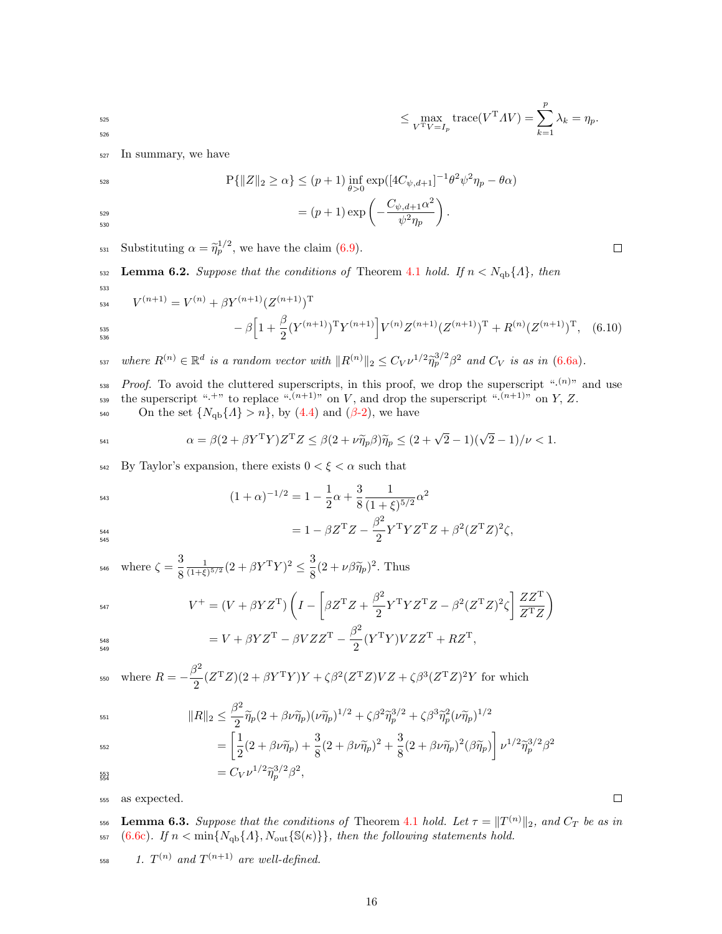$$
\leq \max_{V^{\mathrm{T}}V=I_p} \mathrm{trace}(V^{\mathrm{T}}AV)=\sum_{k=1}^p \lambda_k=\eta_p.
$$

<sup>527</sup> In summary, we have

526

530

528  
\n
$$
P\{\|Z\|_2 \ge \alpha\} \le (p+1) \inf_{\theta>0} \exp([4C_{\psi,d+1}]^{-1} \theta^2 \psi^2 \eta_p - \theta \alpha)
$$
\n
$$
= (p+1) \exp\left(-\frac{C_{\psi,d+1} \alpha^2}{\psi^2 \eta_p}\right).
$$

 $\text{Substituting } \alpha = \tilde{\eta}_p^{1/2}, \text{ we have the claim (6.9).}$  $\text{Substituting } \alpha = \tilde{\eta}_p^{1/2}, \text{ we have the claim (6.9).}$  $\text{Substituting } \alpha = \tilde{\eta}_p^{1/2}, \text{ we have the claim (6.9).}$ 

<span id="page-15-0"></span>532 Lemma 6.2. Suppose that the conditions of Theorem [4.1](#page-6-1) hold. If  $n < N_{\text{qb}}\{A\}$ , then

$$
V^{(n+1)} = V^{(n)} + \beta Y^{(n+1)} (Z^{(n+1)})^{\mathrm{T}} - \beta \Big[ 1 + \frac{\beta}{2} (Y^{(n+1)})^{\mathrm{T}} Y^{(n+1)} \Big] V^{(n)} Z^{(n+1)} (Z^{(n+1)})^{\mathrm{T}} + R^{(n)} (Z^{(n+1)})^{\mathrm{T}}, \quad (6.10)
$$

 $\text{where } R^{(n)} \in \mathbb{R}^d \text{ is a random vector with } ||R^{(n)}||_2 \leq C_V \nu^{1/2} \tilde{\eta}_p^{3/2} \beta^2 \text{ and } C_V \text{ is as in (6.6a).}$  $\text{where } R^{(n)} \in \mathbb{R}^d \text{ is a random vector with } ||R^{(n)}||_2 \leq C_V \nu^{1/2} \tilde{\eta}_p^{3/2} \beta^2 \text{ and } C_V \text{ is as in (6.6a).}$  $\text{where } R^{(n)} \in \mathbb{R}^d \text{ is a random vector with } ||R^{(n)}||_2 \leq C_V \nu^{1/2} \tilde{\eta}_p^{3/2} \beta^2 \text{ and } C_V \text{ is as in (6.6a).}$ 

 $P_{\text{root}}$ . To avoid the cluttered superscripts, in this proof, we drop the superscript " $\cdot$ <sup>(n)</sup>" and use the superscript " $\cdot^{+n}$  to replace " $\cdot^{(n+1)n}$  on V, and drop the superscript " $\cdot^{(n+1)n}$  on Y, Z.

540 On the set  $\{N_{\text{qb}}\{A\} > n\}$ , by [\(4.4\)](#page-4-1) and ( $\beta$ [-2\)](#page-12-1), we have

$$
\alpha = \beta(2 + \beta Y^{\mathrm{T}} Y) Z^{\mathrm{T}} Z \leq \beta(2 + \nu \widetilde{\eta}_p \beta) \widetilde{\eta}_p \leq (2 + \sqrt{2} - 1)(\sqrt{2} - 1)/\nu < 1.
$$

542 By Taylor's expansion, there exists  $0 < \xi < \alpha$  such that

$$
(1+\alpha)^{-1/2} = 1 - \frac{1}{2}\alpha + \frac{3}{8} \frac{1}{(1+\xi)^{5/2}} \alpha^2
$$

$$
=1-\beta Z^{\mathrm{T}}Z-\frac{\beta^2}{2}Y^{\mathrm{T}}YZ^{\mathrm{T}}Z+\beta^2(Z^{\mathrm{T}}Z)^2\zeta,
$$
<sup>545</sup>

where  $\zeta = \frac{3}{2}$ 8  $\frac{1}{(1+\xi)^{5/2}}(2+\beta Y^TY)^2 \leq \frac{3}{8}$ 546 where  $\zeta = \frac{3}{8} \frac{1}{(1+\xi)^{5/2}} (2 + \beta Y^T Y)^2 \leq \frac{3}{8} (2 + \nu \beta \tilde{\eta}_p)^2$ . Thus

$$
V^+ = (V + \beta Y Z^{\mathrm{T}}) \left( I - \left[ \beta Z^{\mathrm{T}} Z + \frac{\beta^2}{2} Y^{\mathrm{T}} Y Z^{\mathrm{T}} Z - \beta^2 (Z^{\mathrm{T}} Z)^2 \zeta \right] \frac{Z Z^{\mathrm{T}}}{Z^{\mathrm{T}} Z} \right)
$$

$$
= V + \beta Y Z^{\mathrm{T}} - \beta V Z Z^{\mathrm{T}} - \frac{\beta^2}{2} (Y^{\mathrm{T}} Y) V Z Z^{\mathrm{T}} + R Z^{\mathrm{T}},
$$

$$
F_{550} \quad \text{where } R = -\frac{\beta^2}{2} (Z^{\mathrm{T}}Z)(2 + \beta Y^{\mathrm{T}}Y)Y + \zeta \beta^2 (Z^{\mathrm{T}}Z)VZ + \zeta \beta^3 (Z^{\mathrm{T}}Z)^2 Y \text{ for which}
$$

$$
\|R\|_2 \le \frac{\beta^2}{2} \widetilde{\eta}_p (2 + \beta \nu \widetilde{\eta}_p)(\nu \widetilde{\eta}_p)^{1/2} + \zeta \beta^2 \widetilde{\eta}_p^{3/2} + \zeta \beta^3 \widetilde{\eta}_p^2 (\nu \widetilde{\eta}_p)^{1/2}
$$
  
\n
$$
\left[1 \left(\beta + \beta + \widetilde{\beta} \right)^3 \left(\beta + \beta + \widetilde{\beta} \right)^3 \left(\beta + \beta + \widetilde{\beta} \right)^3 \left(\beta + \beta + \widetilde{\beta} \right)^3 \left(\beta + \beta + \widetilde{\beta} \right)^3 \left(\beta + \beta + \widetilde{\beta} \right)^3 \left(\beta + \beta + \widetilde{\beta} \right)^3 \left(\beta + \beta + \widetilde{\beta} \right)^3 \left(\beta + \beta + \widetilde{\beta} \right)^3 \left(\beta + \beta + \widetilde{\beta} \right)^3 \left(\beta + \beta + \widetilde{\beta} \right)^3 \left(\beta + \beta + \widetilde{\beta} \right)^3 \left(\beta + \beta + \widetilde{\beta} \right)^3 \left(\beta + \beta + \widetilde{\beta} \right)^3 \left(\beta + \beta + \widetilde{\beta} \right)^3 \left(\beta + \beta + \widetilde{\beta} \right)^3 \left(\beta + \beta + \widetilde{\beta} \right)^3 \left(\beta + \beta + \widetilde{\beta} \right)^3 \left(\beta + \beta + \widetilde{\beta} \right)^3 \left(\beta + \beta + \widetilde{\beta} \right)^3 \left(\beta + \beta + \widetilde{\beta} \right)^3 \left(\beta + \beta + \widetilde{\beta} \right)^3 \left(\beta + \beta + \widetilde{\beta} \right)^3 \left(\beta + \beta + \widetilde{\beta} \right)^3 \left(\beta + \beta + \widetilde{\beta} \right)^3 \left(\beta + \beta + \widetilde{\beta} \right)^3 \left(\beta + \beta + \widetilde{\beta} \right)^3 \left(\beta + \beta + \widetilde{\beta} \right)^3 \left(\beta + \beta + \widetilde{\beta} \right)^3 \left(\beta + \beta + \widetilde{\beta} \right)^3 \left(\beta + \beta + \widetilde{\beta} \right)^3 \left(\beta + \beta + \widetilde{\beta} \right)^3 \left(\beta + \beta + \widetilde{\beta} \right)^3 \left(\beta + \
$$

$$
= \left[\frac{1}{2}(2+\beta\nu\widetilde{\eta}_p) + \frac{3}{8}(2+\beta\nu\widetilde{\eta}_p)^2 + \frac{3}{8}(2+\beta\nu\widetilde{\eta}_p)^2(\beta\widetilde{\eta}_p)\right]\nu^{1/2}\widetilde{\eta}_p^{3/2}\beta^2
$$
  
=  $C_1\upsilon^{1/2}\widetilde{\eta}_p^{3/2}\beta^2$ 

$$
=C_V \nu^{1/2} \widetilde{\eta}_p^{3/2} \beta^2,
$$

<sup>555</sup> as expected.

<span id="page-15-1"></span>556 Lemma 6.3. Suppose that the conditions of Theorem [4.1](#page-6-1) hold. Let  $\tau = \|T^{(n)}\|_2$ , and  $C_T$  be as in 557 [\(6.6c\)](#page-13-2). If  $n < \min\{N_{\text{qb}}\{A\}, N_{\text{out}}\{\mathbb{S}(\kappa)\}\}\$ , then the following statements hold.

<span id="page-15-2"></span> $\emph{1. }$   $T^{(n)}$  and  $T^{(n+1)}$  are well-defined.

 $\Box$ 

 $\Box$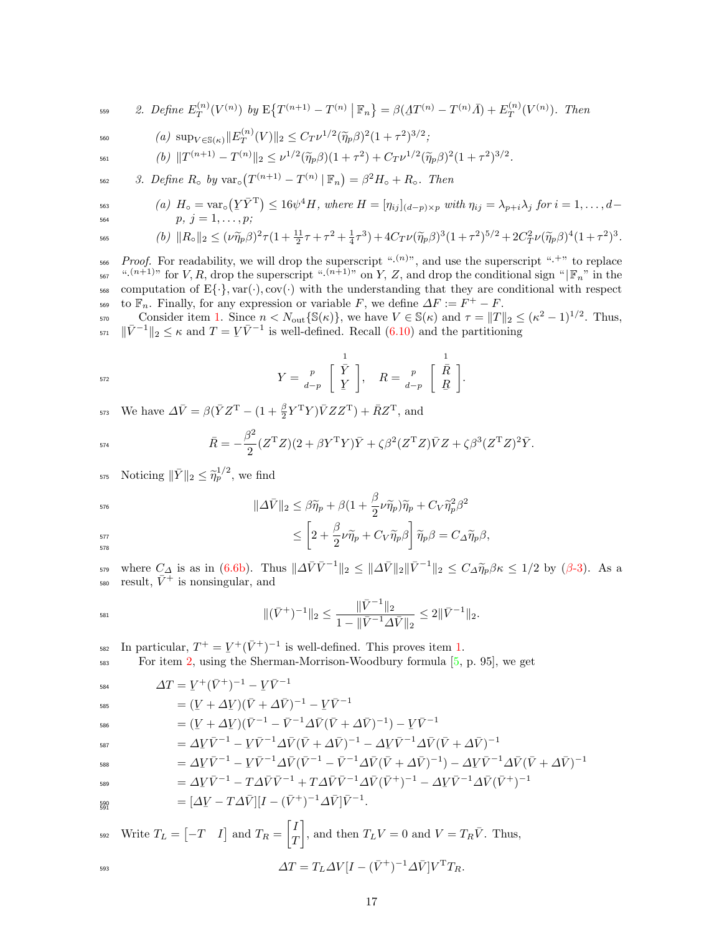<span id="page-16-0"></span>
$$
2. Define E_T^{(n)}(V^{(n)}) by E\{T^{(n+1)} - T^{(n)} | \mathbb{F}_n\} = \beta(\Delta T^{(n)} - T^{(n)}\bar{A}) + E_T^{(n)}(V^{(n)}).
$$
 Then

<span id="page-16-1"></span>
$$
\text{so} \qquad (a) \ \sup_{V \in \mathcal{S}(\kappa)} \Vert E_T^{(n)}(V) \Vert_2 \leq C_T \nu^{1/2} (\widetilde{\eta}_p \beta)^2 (1 + \tau^2)^{3/2};
$$

<span id="page-16-2"></span>
$$
^{561} \qquad (b) \ \Vert T^{(n+1)} - T^{(n)} \Vert_2 \leq \nu^{1/2} (\widetilde{\eta}_p \beta)(1+\tau^2) + C_T \nu^{1/2} (\widetilde{\eta}_p \beta)^2 (1+\tau^2)^{3/2}.
$$

<span id="page-16-3"></span>
$$
562 \qquad 3. \ \nDefine \ R_\circ \ by \ \text{var}_\circ \big( T^{(n+1)} - T^{(n)} \mid \mathbb{F}_n \big) = \beta^2 H_\circ + R_\circ. \ \ Then
$$

<span id="page-16-4"></span>
$$
\text{so} \qquad \qquad (a) \ \ H_{\circ} = \text{var}_{\circ}(\underline{Y}\bar{Y}^{\mathrm{T}}) \leq 16\psi^{4}H, \ \text{where} \ H = [\eta_{ij}]_{(d-p)\times p} \ \text{with} \ \eta_{ij} = \lambda_{p+i}\lambda_{j} \ \text{for} \ i = 1,\ldots,d-1.
$$

$$
\begin{array}{lll}\n\text{563} & (a) \ H_0 = \text{Var}_0(I \mid I) \leq 10\psi \ \text{H}, \ \text{where} \ \mathbf{H} = [I_{ij}](d-p) \times p \ \text{with} \ I_{ij} = \lambda_{p+i} \lambda_j \ \text{for} \ i = 1, \dots, d; \\
& p, \ j = 1, \dots, p; \n\end{array}
$$

<span id="page-16-5"></span>
$$
\text{565} \qquad \qquad (b) \ \ \|R_{\circ}\|_2 \leq (\nu \widetilde{\eta}_p \beta)^2 \tau (1 + \tfrac{11}{2} \tau + \tau^2 + \tfrac{1}{4} \tau^3) + 4C_T \nu (\widetilde{\eta}_p \beta)^3 (1 + \tau^2)^{5/2} + 2C_T^2 \nu (\widetilde{\eta}_p \beta)^4 (1 + \tau^2)^3.
$$

<sup>566</sup> Proof. For readability, we will drop the superscript " $(n)$ ", and use the superscript " $+$ " to replace <sup>567</sup> ".<sup>(n+1)</sup>" for V, R, drop the superscript ".<sup>(n+1)</sup>" on Y, Z, and drop the conditional sign " $|\mathbb{F}_n$ " in the 568 computation of  $E\{\cdot\}$ , var( $\cdot$ ), cov( $\cdot$ ) with the understanding that they are conditional with respect to  $\mathbb{F}_n$ . Finally, for any expression or variable F, we define  $\Delta F := F^+ - F$ .

STO Consider item [1.](#page-15-2) Since  $n < N_{\text{out}}\{\mathbb{S}(\kappa)\}\,$ , we have  $V \in \mathbb{S}(\kappa)$  and  $\tau = ||T||_2 \leq (\kappa^2 - 1)^{1/2}$ . Thus, <sup>571</sup>  $\|\bar{V}^{-1}\|_2 \leq \kappa$  and  $T = \underline{V}\bar{V}^{-1}$  is well-defined. Recall [\(6.10\)](#page-2-2) and the partitioning

$$
Y = \frac{p}{d-p} \begin{bmatrix} \frac{1}{Y} \\ Y \end{bmatrix}, \quad R = \frac{p}{d-p} \begin{bmatrix} \frac{1}{R} \\ R \end{bmatrix}.
$$

<sup>573</sup> We have  $\Delta \bar{V} = \beta(\bar{Y}Z^{T} - (1 + \frac{\beta}{2}Y^{T}Y)\bar{V}ZZ^{T}) + \bar{R}Z^{T}$ , and

$$
\bar{R} = -\frac{\beta^2}{2} (Z^{\mathrm{T}} Z)(2 + \beta Y^{\mathrm{T}} Y) \bar{Y} + \zeta \beta^2 (Z^{\mathrm{T}} Z) \bar{V} Z + \zeta \beta^3 (Z^{\mathrm{T}} Z)^2 \bar{Y}.
$$

<sup>575</sup> Noticing  $\|\bar{Y}\|_2 \leq \tilde{\eta}_p^{1/2}$ , we find

$$
\|\varDelta\bar{V}\|_2 \leq \beta\widetilde{\eta}_p + \beta(1+\frac{\beta}{2}\nu\widetilde{\eta}_p)\widetilde{\eta}_p + C_V\widetilde{\eta}_p^2\beta^2
$$

$$
\leq \left[2+\frac{\beta}{2}\nu\widetilde{\eta}_p+C_V\widetilde{\eta}_p\beta\right]\widetilde{\eta}_p\beta=C_\varDelta\widetilde{\eta}_p\beta,
$$
578

where  $C_{\Delta}$  is as in [\(6.6b\)](#page-12-2). Thus  $\|\Delta \bar{V} \bar{V}^{-1}\|_2 \leq \|\Delta \bar{V}\|_2 \|\bar{V}^{-1}\|_2 \leq C_{\Delta} \tilde{\eta}_p \beta \kappa \leq 1/2$  by ( $\beta$ [-3\)](#page-13-3). As a <sup>580</sup> result,  $\bar{V}^+$  is nonsingular, and

$$
\|(\bar{V}^+)^{-1}\|_2 \le \frac{\|\bar{V}^{-1}\|_2}{1 - \|\bar{V}^{-1}\Delta\bar{V}\|_2} \le 2\|\bar{V}^{-1}\|_2.
$$

<sup>582</sup> In particular,  $T^+ = Y^+ (\bar{V}^+)^{-1}$  is well-defined. This proves item [1.](#page-15-2)

For item 2, using the Sherman-Morrison-Woodbury formula 
$$
[5, p. 95]
$$
, we get

$$
\Delta T = \underline{V}^+(\bar{V}^+)^{-1} - \underline{V}\bar{V}^{-1}
$$

$$
= (Y + \Delta Y)(\bar{V} + \Delta \bar{V})^{-1} - Y\bar{V}^{-1}
$$

$$
= (Y + \Delta V)(\bar{V}^{-1} - \bar{V}^{-1}\Delta \bar{V}(\bar{V} + \Delta \bar{V})^{-1}) - V\bar{V}^{-1}
$$

$$
= \Delta V \bar{V}^{-1} - V \bar{V}^{-1} \Delta \bar{V} (\bar{V} + \Delta \bar{V})^{-1} - \Delta V \bar{V}^{-1} \Delta \bar{V} (\bar{V} + \Delta \bar{V})^{-1}
$$

$$
= \Delta V \bar{V}^{-1} - V \bar{V}^{-1} \Delta \bar{V} (\bar{V}^{-1} - \bar{V}^{-1} \Delta \bar{V} (\bar{V} + \Delta \bar{V})^{-1}) - \Delta V \bar{V}^{-1} \Delta \bar{V} (\bar{V} + \Delta \bar{V})^{-1}
$$

$$
= \Delta \underline{V} \bar{V}^{-1} - T \Delta \bar{V} \bar{V}^{-1} + T \Delta \bar{V} \bar{V}^{-1} \Delta \bar{V} (\bar{V}^{+})^{-1} - \Delta \underline{V} \bar{V}^{-1} \Delta \bar{V} (\bar{V}^{+})^{-1}
$$

 $= [\Delta V - T \Delta \bar{V}] [I - (\bar{V}^+)^{-1} \Delta \bar{V}] \bar{V}^{-1}.$ 591

$$
\text{Write } T_L = \begin{bmatrix} -T & I \end{bmatrix} \text{ and } T_R = \begin{bmatrix} I \\ T \end{bmatrix}, \text{ and then } T_L V = 0 \text{ and } V = T_R \bar{V}. \text{ Thus,}
$$
\n
$$
\Delta T = T_L \Delta V [I - (\bar{V}^+)^{-1} \Delta \bar{V}] V^{\mathrm{T}} T_R.
$$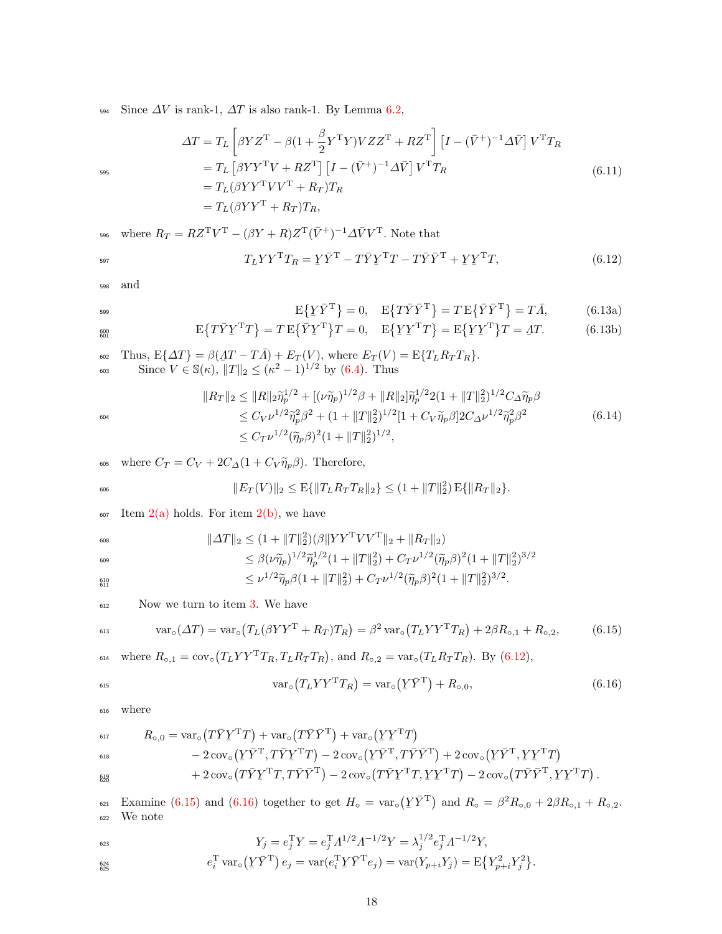594 Since  $\Delta V$  is rank-1,  $\Delta T$  is also rank-1. By Lemma [6.2,](#page-15-0)

$$
\Delta T = T_L \left[ \beta Y Z^{\mathrm{T}} - \beta (1 + \frac{\beta}{2} Y^{\mathrm{T}} Y) V Z Z^{\mathrm{T}} + R Z^{\mathrm{T}} \right] \left[ I - (\bar{V}^+)^{-1} \Delta \bar{V} \right] V^{\mathrm{T}} T_R
$$
  
\n
$$
= T_L \left[ \beta Y Y^{\mathrm{T}} V + R Z^{\mathrm{T}} \right] \left[ I - (\bar{V}^+)^{-1} \Delta \bar{V} \right] V^{\mathrm{T}} T_R
$$
  
\n
$$
= T_L (\beta Y Y^{\mathrm{T}} V V^{\mathrm{T}} + R_T) T_R
$$
  
\n
$$
= T_L (\beta Y Y^{\mathrm{T}} + R_T) T_R,
$$
  
\n(6.11)

<sup>596</sup> where  $R_T = RZ^{\mathrm{T}}V^{\mathrm{T}} - (\beta Y + R)Z^{\mathrm{T}}(\bar{V}^+)^{-1} \Delta \bar{V}V^{\mathrm{T}}$ . Note that

$$
T_L Y Y^{\mathrm{T}} T_R = Y \bar{Y}^{\mathrm{T}} - T \bar{Y} Y^{\mathrm{T}} T - T \bar{Y} \bar{Y}^{\mathrm{T}} + Y Y^{\mathrm{T}} T,\tag{6.12}
$$

<span id="page-17-2"></span><sup>598</sup> and

$$
E\left\{Y\bar{Y}^{T}\right\} = 0, \quad E\left\{T\bar{Y}\bar{Y}^{T}\right\} = T E\left\{\bar{Y}\bar{Y}^{T}\right\} = T\bar{A},\tag{6.13a}
$$

$$
E\{T\bar{Y}Y^{T}T\} = T E\{\bar{Y}Y^{T}\}T = 0, \quad E\{YY^{T}T\} = E\{YY^{T}\}T = \Delta T.
$$
\n(6.13b)

602 Thus,  $E\{\Delta T\} = \beta(\Delta T - T\overline{A}) + E_T(V)$ , where  $E_T(V) = E\{T_L R_T T_R\}$ .<br>Since  $V \subseteq \mathbb{S}(\mu)$ ,  $||T|| \leq (\mu^2 - 1)^{1/2}$  by  $(\ell, 4)$ . Thus 603 Since  $V \in \mathbb{S}(\kappa)$ ,  $||T||_2 \leq (\kappa^2 - 1)^{1/2}$  by [\(6.4\)](#page-4-1). Thus

$$
||R_T||_2 \le ||R||_2 \tilde{\eta}_p^{1/2} + [(\nu \tilde{\eta}_p)^{1/2} \beta + ||R||_2] \tilde{\eta}_p^{1/2} 2 (1 + ||T||_2^2)^{1/2} C_\Delta \tilde{\eta}_p \beta
$$
  
\n
$$
\le C_V \nu^{1/2} \tilde{\eta}_p^2 \beta^2 + (1 + ||T||_2^2)^{1/2} [1 + C_V \tilde{\eta}_p \beta] 2 C_\Delta \nu^{1/2} \tilde{\eta}_p^2 \beta^2
$$
  
\n
$$
\le C_T \nu^{1/2} (\tilde{\eta}_p \beta)^2 (1 + ||T||_2^2)^{1/2},
$$
\n(6.14)

605 where  $C_T = C_V + 2C_A(1 + C_V \tilde{\eta}_p \beta)$ . Therefore,

$$
||E_T(V)||_2 \leq E\{||T_L R_T T_R||_2\} \leq (1 + ||T||_2^2) E\{||R_T||_2\}.
$$

 $\frac{1}{607}$  Item  $2(a)$  holds. For item  $2(b)$ , we have

$$
\|\Delta T\|_2 \le (1 + \|T\|_2^2)(\beta \|YY^T VV^T\|_2 + \|R_T\|_2)
$$
  
\n
$$
\le \beta(\nu \tilde{\eta}_p)^{1/2} \tilde{\eta}_p^{1/2} (1 + \|T\|_2^2) + C_T \nu^{1/2} (\tilde{\eta}_p \beta)^2 (1 + \|T\|_2^2)^{3/2}
$$
  
\n
$$
\le \nu^{1/2} \tilde{\eta}_p \beta (1 + \|T\|_2^2) + C_T \nu^{1/2} (\tilde{\eta}_p \beta)^2 (1 + \|T\|_2^2)^{3/2}.
$$

<sup>612</sup> Now we turn to item [3.](#page-16-3) We have

<span id="page-17-0"></span>
$$
\text{var}_{\circ}( \Delta T) = \text{var}_{\circ} \left( T_L (\beta Y Y^{\mathsf{T}} + R_T) T_R \right) = \beta^2 \text{var}_{\circ} \left( T_L Y Y^{\mathsf{T}} T_R \right) + 2\beta R_{\circ,1} + R_{\circ,2},\tag{6.15}
$$

 $\epsilon_{614}$  where  $R_{\circ,1} = \text{cov}_{\circ}(T_L Y Y^{\text{T}} T_R, T_L R_T T_R)$ , and  $R_{\circ,2} = \text{var}_{\circ}(T_L R_T T_R)$ . By [\(6.12\)](#page-8-1),

<span id="page-17-1"></span>
$$
\text{var}_{\circ}(T_L Y Y^{\mathsf{T}} T_R) = \text{var}_{\circ}(\underline{Y} \overline{Y}^{\mathsf{T}}) + R_{\circ,0},\tag{6.16}
$$

<sup>616</sup> where

$$
R_{\circ,0} = \text{var}_{\circ}(T\bar{Y}Y^{\mathrm{T}}T) + \text{var}_{\circ}(T\bar{Y}\bar{Y}^{\mathrm{T}}) + \text{var}_{\circ}(Y\bar{Y}^{\mathrm{T}}T)
$$
  
\n
$$
- 2 \text{cov}_{\circ}(Y\bar{Y}^{\mathrm{T}}, T\bar{Y}Y^{\mathrm{T}}T) - 2 \text{cov}_{\circ}(Y\bar{Y}^{\mathrm{T}}, T\bar{Y}\bar{Y}^{\mathrm{T}}) + 2 \text{cov}_{\circ}(Y\bar{Y}^{\mathrm{T}}, YY^{\mathrm{T}}T)
$$
  
\n
$$
+ 2 \text{cov}_{\circ}(T\bar{Y}Y^{\mathrm{T}}T, T\bar{Y}\bar{Y}^{\mathrm{T}}) - 2 \text{cov}_{\circ}(T\bar{Y}Y^{\mathrm{T}}T, YY^{\mathrm{T}}T) - 2 \text{cov}_{\circ}(T\bar{Y}\bar{Y}^{\mathrm{T}}, YY^{\mathrm{T}}T).
$$

Examine [\(6.15\)](#page-17-0) and [\(6.16\)](#page-17-1) together to get  $H_0 = \text{var}_{\text{o}}(Y\overline{Y}^T)$  and  $R_0 = \beta^2 R_{\text{o},0} + 2\beta R_{\text{o},1} + R_{\text{o},2}$ . <sup>622</sup> We note

$$
Y_j = e_j^{\mathrm{T}} Y = e_j^{\mathrm{T}} A^{1/2} A^{-1/2} Y = \lambda_j^{1/2} e_j^{\mathrm{T}} A^{-1/2} Y,
$$
  
\n
$$
e_i^{\mathrm{T}} \operatorname{var}_\circ (Y \bar{Y}^{\mathrm{T}}) e_j = \operatorname{var}(e_i^{\mathrm{T}} Y \bar{Y}^{\mathrm{T}} e_j) = \operatorname{var}(Y_{p+i} Y_j) = \mathrm{E} \{ Y_{p+i}^2 Y_j^2 \}.
$$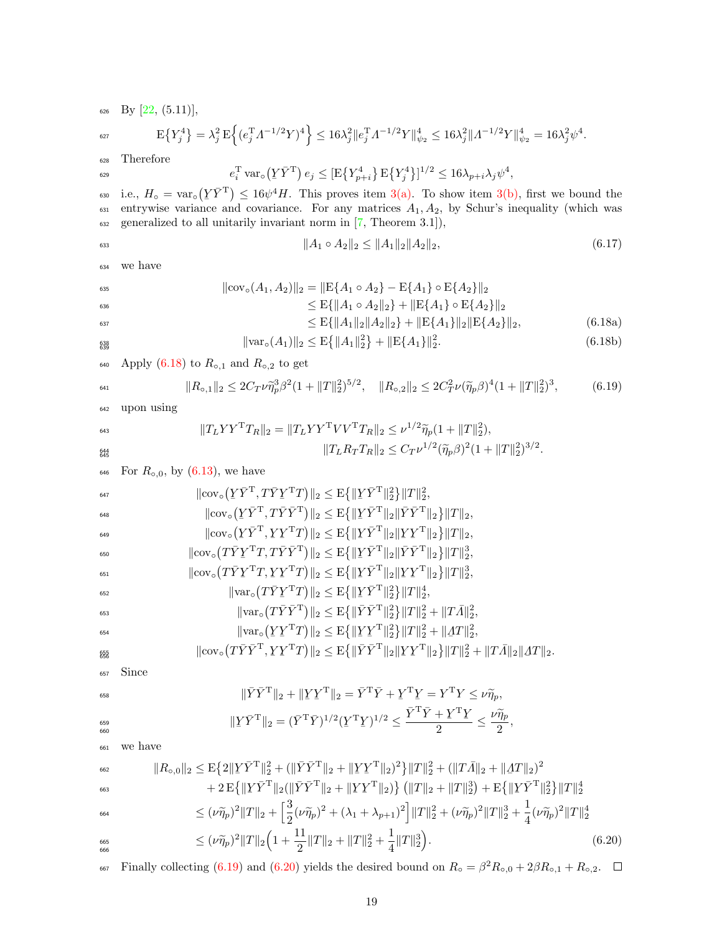626 By  $[22, (5.11)],$  $[22, (5.11)],$ 

$$
\mathbf{E}\left\{Y_j^4\right\} = \lambda_j^2 \mathbf{E}\left\{ (e_j^{\mathrm{T}} A^{-1/2} Y)^4 \right\} \le 16\lambda_j^2 \|e_j^{\mathrm{T}} A^{-1/2} Y\|_{\psi_2}^4 \le 16\lambda_j^2 \|A^{-1/2} Y\|_{\psi_2}^4 = 16\lambda_j^2 \psi^4.
$$

<sup>628</sup> Therefore

$$
e_i^{\mathrm{T}} \, \text{var}_\circ \left( \underline{Y} \, \overline{Y}^{\mathrm{T}} \right) e_j \leq [\mathrm{E} \{ Y_{p+i}^4 \} \, \mathrm{E} \{ Y_j^4 \}]^{1/2} \leq 16 \lambda_{p+i} \lambda_j \psi^4,
$$

<sup>630</sup> i.e.,  $H_0 = \text{var}_0(Y\bar{Y}^T) \le 16\psi^4 H$ . This proves item [3\(a\).](#page-16-4) To show item [3\(b\),](#page-16-5) first we bound the continuous variance and covariance. For our matrices  $A - A$  by Schur's inequality (which we  $\epsilon_{631}$  entrywise variance and covariance. For any matrices  $A_1, A_2$ , by Schur's inequality (which was  $632$  generalized to all unitarily invariant norm in [\[7,](#page-35-14) Theorem 3.1]),

<span id="page-18-3"></span><span id="page-18-0"></span>
$$
||A_1 \circ A_2||_2 \le ||A_1||_2 ||A_2||_2, \tag{6.17}
$$

<sup>634</sup> we have

$$
\|\text{cov}_{\circ}(A_1, A_2)\|_2 = \|\text{E}\{A_1 \circ A_2\} - \text{E}\{A_1\} \circ \text{E}\{A_2\}\|_2
$$
  
\n
$$
\leq \text{E}\{\|A_1 \circ A_2\|_2\} + \|\text{E}\{A_1\} \circ \text{E}\{A_2\}\|_2
$$
  
\n
$$
\leq \text{E}\{\|A_1\|_2 \|A_2\|_2\} + \|\text{E}\{A_1\}\|_2 \|\text{E}\{A_2\}\|_2,
$$
 (6.18a)

$$
\|\text{var}_{\circ}(A_1)\|_2 \le \mathcal{E}\{\|A_1\|_2^2\} + \|\mathcal{E}\{A_1\}\|_2^2. \tag{6.18b}
$$

640 Apply [\(6.18\)](#page-18-0) to  $R_{\circ,1}$  and  $R_{\circ,2}$  to get

<span id="page-18-1"></span>
$$
\|R_{\circ,1}\|_2 \le 2C_T\nu\tilde{\eta}_p^3\beta^2(1+\|T\|_2^2)^{5/2}, \quad \|R_{\circ,2}\|_2 \le 2C_T^2\nu(\tilde{\eta}_p\beta)^4(1+\|T\|_2^2)^3,\tag{6.19}
$$

<sup>642</sup> upon using

$$
^{643}
$$

645

$$
||T_L Y Y^{\mathrm{T}} T_R||_2 = ||T_L Y Y^{\mathrm{T}} V V^{\mathrm{T}} T_R||_2 \leq \nu^{1/2} \widetilde{\eta}_p (1 + ||T||_2^2),
$$
  

$$
||T_L R_T T_R||_2 \leq C_T \nu^{1/2} (\widetilde{\eta}_p \beta)^2 (1 + ||T||_2^2)^{3/2}.
$$

646 For  $R_{\circ,0}$ , by  $(6.13)$ , we have

| 647 | $\ \text{cov}_{\circ}(\underline{Y}\bar{Y}^{\mathrm{T}}, T\bar{Y}\underline{Y}^{\mathrm{T}}T)\ _{2} \leq E\{\ \underline{Y}\bar{Y}^{\mathrm{T}}\ _{2}^{2}\}\ T\ _{2}^{2},$                                                                               |
|-----|----------------------------------------------------------------------------------------------------------------------------------------------------------------------------------------------------------------------------------------------------------|
| 648 | $\ \text{cov}_{\circ}(\underline{Y}\bar{Y}^T, T\bar{Y}\bar{Y}^T)\ _2 \leq E\{\ \underline{Y}\bar{Y}^T\ _2\ \bar{Y}\bar{Y}^T\ _2\}\ T\ _2,$                                                                                                               |
| 649 | $\ \text{cov}_{\circ}(\underline{Y}\overline{Y}^T, \underline{Y}\underline{Y}^TT)\ _2 \leq E\{\ \underline{Y}\overline{Y}^T\ _2\ \underline{Y}\underline{Y}^T\ _2\}\ T\ _2,$                                                                             |
| 650 | $\ \text{cov}_{\circ}(T\bar{Y}\underline{Y}^{\mathrm{T}}T, T\bar{Y}\bar{Y}^{\mathrm{T}})\ _{2} \leq E\{\ \underline{Y}\bar{Y}^{\mathrm{T}}\ _{2}\ \bar{Y}\bar{Y}^{\mathrm{T}}\ _{2}\}\ T\ _{2}^{3},$                                                     |
| 651 | $\ \text{cov}_{\circ}(T\bar{Y}Y^{\mathrm{T}}T, \underline{Y}\underline{Y}^{\mathrm{T}}T)\ _{2} \leq E\{\ \underline{Y}\bar{Y}^{\mathrm{T}}\ _{2}\ \underline{Y}\underline{Y}^{\mathrm{T}}\ _{2}\}\ T\ _{2}^{3},$                                         |
| 652 | $\ \text{var}_{\circ}(T\bar{Y}Y^{\mathrm{T}}T)\ _{2} \leq E\{\ \underline{Y}\bar{Y}^{\mathrm{T}}\ _{2}^{2}\}\ T\ _{2}^{4},$                                                                                                                              |
| 653 | $\ \text{var}_{\circ}(T\bar{Y}\bar{Y}^{\text{T}})\ _{2} \leq E\{\ \bar{Y}\bar{Y}^{\text{T}}\ _{2}^{2}\}\ T\ _{2}^{2} + \ T\bar{A}\ _{2}^{2},$                                                                                                            |
| 654 | $\ \text{var}_{\circ}(YY^{\mathrm{T}}T)\ _{2} \leq E\{\ YY^{\mathrm{T}}\ _{2}^{2}\}\ T\ _{2}^{2} + \ \Delta T\ _{2}^{2},$                                                                                                                                |
| 655 | $\ \text{cov}_{\circ}(T\bar{Y}\bar{Y}^{\mathrm{T}}, \underline{Y}\underline{Y}^{\mathrm{T}}T)\ _{2} \leq E\{\ \bar{Y}\bar{Y}^{\mathrm{T}}\ _{2}\ \underline{Y}\underline{Y}^{\mathrm{T}}\ _{2}\}\ T\ _{2}^{2} + \ T\bar{A}\ _{2}\ \underline{A}T\ _{2}.$ |

<sup>657</sup> Since

$$
\overline{658}
$$

660

662

663

$$
\begin{aligned}\n\|\bar{Y}\bar{Y}^{\mathrm{T}}\|_{2} + \|\underline{Y}\underline{Y}^{\mathrm{T}}\|_{2} &= \bar{Y}^{\mathrm{T}}\bar{Y} + \underline{Y}^{\mathrm{T}}\underline{Y} = Y^{\mathrm{T}}Y \leq \nu \widetilde{\eta}_{p}, \\
\|\underline{Y}\bar{Y}^{\mathrm{T}}\|_{2} &= (\bar{Y}^{\mathrm{T}}\bar{Y})^{1/2}(\underline{Y}^{\mathrm{T}}\underline{Y})^{1/2} \leq \frac{\bar{Y}^{\mathrm{T}}\bar{Y} + \underline{Y}^{\mathrm{T}}\underline{Y}}{2} \leq \frac{\nu \widetilde{\eta}_{p}}{2},\n\end{aligned}
$$

<sup>661</sup> we have

<span id="page-18-2"></span>
$$
||R_{\circ,0}||_2 \leq E\{2||Y\bar{Y}^T||_2^2 + (||\bar{Y}\bar{Y}^T||_2 + ||YY^T||_2)^2\}||T||_2^2 + (||T\bar{A}||_2 + ||\Delta T||_2)^2
$$
  
+ 2 E{||Y\bar{Y}^T||\_2(||\bar{Y}\bar{Y}^T||\_2 + ||YY^T||\_2)} (||T||\_2 + ||T||\_2^3) + E{||Y\bar{Y}^T||\_2^2}||T||\_2^4

$$
\leq (\nu \widetilde{\eta}_p)^2 \|T\|_2 + \left[\frac{3}{2} (\nu \widetilde{\eta}_p)^2 + (\lambda_1 + \lambda_{p+1})^2\right] \|T\|_2^2 + (\nu \widetilde{\eta}_p)^2 \|T\|_2^3 + \frac{1}{4} (\nu \widetilde{\eta}_p)^2 \|T\|_2^4
$$

$$
\leq (\nu \tilde{\eta}_p)^2 \|T\|_2 \left(1 + \frac{11}{2} \|T\|_2 + \|T\|_2^2 + \frac{1}{4} \|T\|_2^3\right). \tag{6.20}
$$

<sup>667</sup> Finally collecting [\(6.19\)](#page-18-1) and [\(6.20\)](#page-18-2) yields the desired bound on  $R_0 = \beta^2 R_{0,0} + 2\beta R_{0,1} + R_{0,2}$ .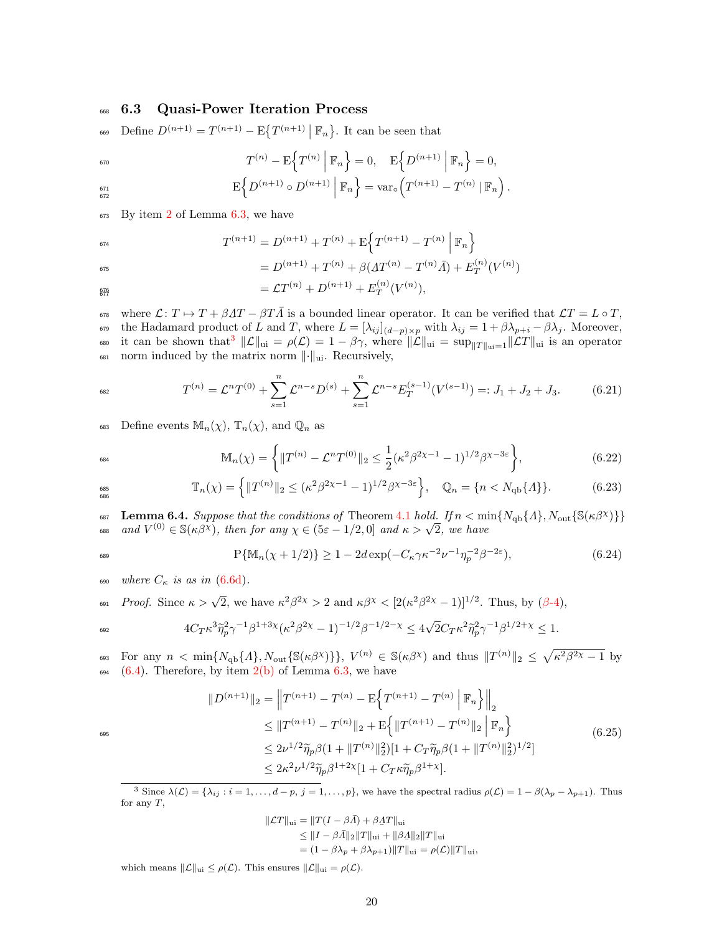#### <span id="page-19-0"></span><sup>668</sup> 6.3 Quasi-Power Iteration Process

669 Define  $D^{(n+1)} = T^{(n+1)} - \mathbb{E}\{T^{(n+1)} | \mathbb{F}_n\}$ . It can be seen that

$$
T^{(n)} - \mathbb{E}\left\{T^{(n)} \mid \mathbb{F}_n\right\} = 0, \quad \mathbb{E}\left\{D^{(n+1)} \mid \mathbb{F}_n\right\} = 0,
$$

$$
E\Big\{D^{(n+1)}\circ D^{(n+1)}\Big|\,\mathbb{F}_n\Big\} = \text{var}_{\circ}\Big(T^{(n+1)} - T^{(n)}\,|\,\mathbb{F}_n\Big)\,.
$$

 $673$  By item [2](#page-16-0) of Lemma [6.3,](#page-15-1) we have

$$
T^{(n+1)} = D^{(n+1)} + T^{(n)} + E\left\{T^{(n+1)} - T^{(n)}\middle|\mathbb{F}_n\right\}
$$

$$
= D^{(n+1)} + T^{(n)} + \beta(\underline{A}T^{(n)} - T^{(n)}\overline{A}) + E_T^{(n)}(V^{(n)})
$$

$$
{}_{\frac{676}{677}} = \mathcal{L}T^{(n)} + D^{(n+1)} + E_T^{(n)}(V^{(n)}),
$$

<sup>678</sup> where  $\mathcal{L}: T \mapsto T + \beta \Delta T - \beta T \overline{\Lambda}$  is a bounded linear operator. It can be verified that  $\mathcal{L}T = L \circ T$ , the Hadamard product of L and T, where  $L = [\lambda_{ij}]_{(d-p)\times p}$  with  $\lambda_{ij} = 1 + \beta \lambda_{p+i} - \beta \lambda_j$ . Moreover, <sup>680</sup> it can be shown that<sup>[3](#page-19-2)</sup>  $\|\mathcal{L}\|_{\text{ui}} = \rho(\mathcal{L}) = 1 - \beta \gamma$ , where  $\|\mathcal{L}\|_{\text{ui}} = \sup_{\|T\|_{\text{ui}}=1} \|\mathcal{L}T\|_{\text{ui}}$  is an operator  $\delta$ <sub>681</sub> norm induced by the matrix norm  $\lVert \cdot \rVert_{\text{ui}}$ . Recursively,

$$
T^{(n)} = \mathcal{L}^n T^{(0)} + \sum_{s=1}^n \mathcal{L}^{n-s} D^{(s)} + \sum_{s=1}^n \mathcal{L}^{n-s} E_T^{(s-1)}(V^{(s-1)}) =: J_1 + J_2 + J_3. \tag{6.21}
$$

683 Define events  $\mathbb{M}_n(\chi)$ ,  $\mathbb{T}_n(\chi)$ , and  $\mathbb{Q}_n$  as

$$
\mathbb{M}_n(\chi) = \left\{ \|T^{(n)} - \mathcal{L}^n T^{(0)}\|_2 \le \frac{1}{2} (\kappa^2 \beta^{2\chi - 1} - 1)^{1/2} \beta^{\chi - 3\varepsilon} \right\},\tag{6.22}
$$

$$
\mathbb{T}_{n}(\chi) = \left\{ \|T^{(n)}\|_{2} \le (\kappa^{2} \beta^{2\chi - 1} - 1)^{1/2} \beta^{\chi - 3\varepsilon} \right\}, \quad \mathbb{Q}_{n} = \{ n < N_{\text{qb}}\{A\} \}. \tag{6.23}
$$

<span id="page-19-1"></span><sup>687</sup> **Lemma 6.4.** Suppose that the conditions of Theorem [4.1](#page-6-1) hold. If  $n < \min\{N_{\text{qb}}\{A\}, N_{\text{out}}\{\mathbb{S}(\kappa\beta^{\chi})\}\}\$ **Lemma 6.4.** Suppose that the conditions of Theorem 4.1 hold. If  $n <$  m:<br>
and  $V^{(0)} \in \mathcal{S}(\kappa \beta^{\chi})$ , then for any  $\chi \in (5\varepsilon - 1/2, 0]$  and  $\kappa > \sqrt{2}$ , we have

$$
\mathbb{P}\{\mathbb{M}_n(\chi+1/2)\} \ge 1 - 2d\exp(-C_\kappa \gamma \kappa^{-2} \nu^{-1} \eta_p^{-2} \beta^{-2\varepsilon}),\tag{6.24}
$$

- 690 where  $C_{\kappa}$  is as in [\(6.6d\)](#page-13-4).
- <sup>691</sup> Proof. Since  $\kappa > \sqrt{2}$ , we have  $\kappa^2 \beta^{2\chi} > 2$  and  $\kappa \beta^{\chi} < [2(\kappa^2 \beta^{2\chi} 1)]^{1/2}$ . Thus, by (β[-4\)](#page-13-5),

$$
4C_T\kappa^3\tilde{\eta}_p^2\gamma^{-1}\beta^{1+3\chi}(\kappa^2\beta^{2\chi}-1)^{-1/2}\beta^{-1/2-\chi}\leq 4\sqrt{2}C_T\kappa^2\tilde{\eta}_p^2\gamma^{-1}\beta^{1/2+\chi}\leq 1.
$$

<sup>693</sup> For any  $n < \min\{N_{\text{qb}}\{A\}, N_{\text{out}}\{\mathbb{S}(\kappa\beta^{\chi})\}\}, V^{(n)} \in \mathbb{S}(\kappa\beta^{\chi})$  and thus  $||T^{(n)}||_2 \leq \sqrt{\kappa^2\beta^{2\chi}-1}$  by  $694$  [\(6.4\)](#page-4-1). Therefore, by item  $2(b)$  of Lemma [6.3,](#page-15-1) we have

$$
||D^{(n+1)}||_2 = ||T^{(n+1)} - T^{(n)} - E\left\{T^{(n+1)} - T^{(n)} || \mathbb{F}_n\right\}||_2
$$
  
\n
$$
\leq ||T^{(n+1)} - T^{(n)}||_2 + E\left\{ ||T^{(n+1)} - T^{(n)}||_2 \right\} \mathbb{F}_n \left\}
$$
  
\n
$$
\leq 2\nu^{1/2}\tilde{\eta}_p\beta(1 + ||T^{(n)}||_2^2)[1 + C_T\tilde{\eta}_p\beta(1 + ||T^{(n)}||_2^2)^{1/2}]
$$
  
\n
$$
\leq 2\kappa^2\nu^{1/2}\tilde{\eta}_p\beta^{1+2\chi}[1 + C_T\kappa\tilde{\eta}_p\beta^{1+\chi}].
$$
\n(6.25)

<span id="page-19-2"></span><sup>3</sup> Since  $\lambda(\mathcal{L}) = {\lambda_{ij} : i = 1, ..., d - p, j = 1, ..., p}$ , we have the spectral radius  $\rho(\mathcal{L}) = 1 - \beta(\lambda_p - \lambda_{p+1})$ . Thus for any T,

$$
||\mathcal{L}T||_{\text{ui}} = ||T(I - \beta \bar{A}) + \beta \Delta T||_{\text{ui}}
$$
  
\n
$$
\leq ||I - \beta \bar{A}||_2 ||T||_{\text{ui}} + ||\beta \Delta ||_2 ||T||_{\text{ui}}
$$
  
\n
$$
= (1 - \beta \lambda_p + \beta \lambda_{p+1}) ||T||_{\text{ui}} = \rho(\mathcal{L}) ||T||_{\text{ui}},
$$

which means  $||\mathcal{L}||_{\text{ui}} \leq \rho(\mathcal{L})$ . This ensures  $||\mathcal{L}||_{\text{ui}} = \rho(\mathcal{L})$ .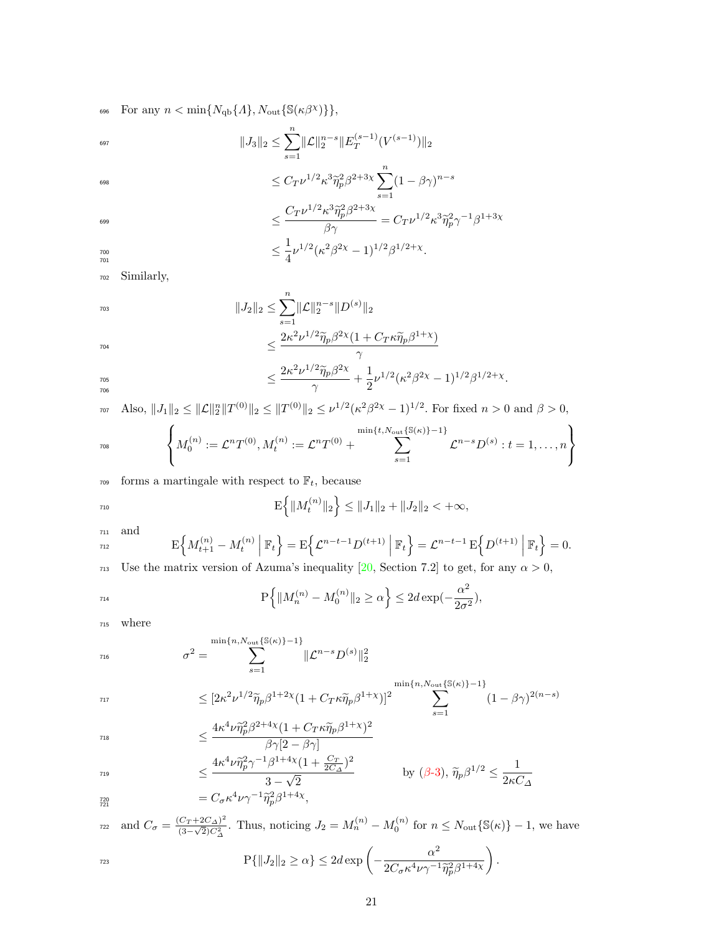$\text{for any } n < \min\{N_{\text{qb}}\{A\}, N_{\text{out}}\{\mathbb{S}(\kappa \beta^{\chi})\}\},$ 

$$
||J_3||_2 \le \sum_{s=1}^n ||\mathcal{L}||_2^{n-s} ||E_T^{(s-1)}(V^{(s-1)})||_2
$$

698

$$
\leq C_T \nu^{1/2} \kappa^3 \tilde{\eta}_p^2 \beta^{2+3\chi} \sum_{s=1}^n (1 - \beta \gamma)^{n-s}
$$
\n
$$
\leq \frac{C_T \nu^{1/2} \kappa^3 \tilde{\eta}_p^2 \beta^{2+3\chi}}{\beta \gamma} = C_T \nu^{1/2} \kappa^3 \tilde{\eta}_p^2 \gamma^{-1} \beta^{1+3\chi}
$$
\n
$$
\leq \frac{1}{4} \nu^{1/2} (\kappa^2 \beta^{2\chi} - 1)^{1/2} \beta^{1/2+\chi}.
$$

701

699

<sup>702</sup> Similarly,

$$
||J_2||_2 \le \sum_{s=1}^n ||\mathcal{L}||_2^{n-s} ||D^{(s)}||_2
$$
  

$$
\le \frac{2\kappa^2 \nu^{1/2} \tilde{\eta}_p \beta^{2\chi} (1 + C_T \kappa \tilde{\eta}_p \beta^{1+\chi})}{\xi^{2\chi} \beta^{2\chi} (1 + C_T \kappa \tilde{\eta}_p \beta^{1+\chi})}
$$

$$
\leq \frac{1}{\gamma} \left( \frac{2\kappa^2 \nu^{1/2} \widetilde{\eta}_p \beta^{2\chi}}{\gamma} + \frac{1}{2} \nu^{1/2} (\kappa^2 \beta^{2\chi} - 1)^{1/2} \beta^{1/2 + \chi} \right).
$$

707 Also,  $||J_1||_2 \le ||\mathcal{L}||_2^n ||T^{(0)}||_2 \le ||T^{(0)}||_2 \le \nu^{1/2} (\kappa^2 \beta^{2\chi} - 1)^{1/2}$ . For fixed  $n > 0$  and  $\beta > 0$ ,

$$
I_{\text{708}}\left\{M_0^{(n)} := \mathcal{L}^n T^{(0)}, M_t^{(n)} := \mathcal{L}^n T^{(0)} + \sum_{s=1}^{\min\{t, N_{\text{out}}\{\mathbb{S}(\kappa)\}-1\}} \mathcal{L}^{n-s} D^{(s)} : t = 1, \ldots, n\right\}
$$

 $_{\rm 709}$   $\,$  forms a martingale with respect to  $\mathbb{F}_{t},$  because

$$
\mathrm{E}\Big\{\|M_t^{(n)}\|_2\Big\} \le \|J_1\|_2 + \|J_2\|_2 < +\infty,
$$

and 
$$
E\left\{M_{t+1}^{(n)} - M_t^{(n)}\middle| \mathbb{F}_t\right\} = E\left\{\mathcal{L}^{n-t-1}D^{(t+1)}\middle| \mathbb{F}_t\right\} = \mathcal{L}^{n-t-1}E\left\{D^{(t+1)}\middle| \mathbb{F}_t\right\} = 0.
$$

713 Use the matrix version of Azuma's inequality [\[20,](#page-36-5) Section 7.2] to get, for any  $\alpha > 0$ ,

$$
\mathbf{P}\Big\{\|M_n^{(n)}-M_0^{(n)}\|_2\geq \alpha\Big\}\leq 2d\exp(-\frac{\alpha^2}{2\sigma^2}),
$$

<sup>715</sup> where

$$
\sigma^{2} = \sum_{s=1}^{\min\{n, N_{\text{out}}\{\mathbb{S}(\kappa)\}-1\}} \|\mathcal{L}^{n-s}D^{(s)}\|_{2}^{2}
$$

$$
\leq [2\kappa^2 \nu^{1/2} \widetilde{\eta}_p \beta^{1+2\chi} (1 + C_T \kappa \widetilde{\eta}_p \beta^{1+\chi})]^2 \sum_{s=1}^{\min\{n, N_{\text{out}}\{\mathbb{S}(\kappa)\}-1\}} (1 - \beta \gamma)^{2(n-s)}
$$

$$
\leq \frac{4\kappa^4\nu\tilde{\eta}_p^2\beta^{2+4\chi}(1+C_T\kappa\tilde{\eta}_p\beta^{1+\chi})^2}{\beta\gamma[2-\beta\gamma]}
$$

$$
\leq \frac{4\kappa^4 \nu \tilde{\eta}_{p}^2 \gamma^{-1} \beta^{1+4\chi} (1 + \frac{C_T}{2C_{\Delta}})^2}{3 - \sqrt{2}}
$$
 by (β-3),  $\tilde{\eta}_{p} \beta^{1/2} \leq \frac{1}{2\kappa C_{\Delta}}$   

$$
= C_{\sigma} \kappa^4 \nu \gamma^{-1} \tilde{\eta}_{p}^2 \beta^{1+4\chi},
$$

721

$$
\text{and } C_{\sigma} = \frac{(C_T + 2C_{\Delta})^2}{(3 - \sqrt{2})C_{\Delta}^2}. \text{ Thus, noticing } J_2 = M_n^{(n)} - M_0^{(n)} \text{ for } n \le N_{\text{out}} \{ \mathbb{S}(\kappa) \} - 1 \text{, we have}
$$

$$
\mathbf{P}\{\|J_2\|_2 \ge \alpha\} \le 2d\exp\left(-\frac{\alpha^2}{2C_\sigma\kappa^4\nu\gamma^{-1}\tilde{\eta}_p^2\beta^{1+4\chi}}\right).
$$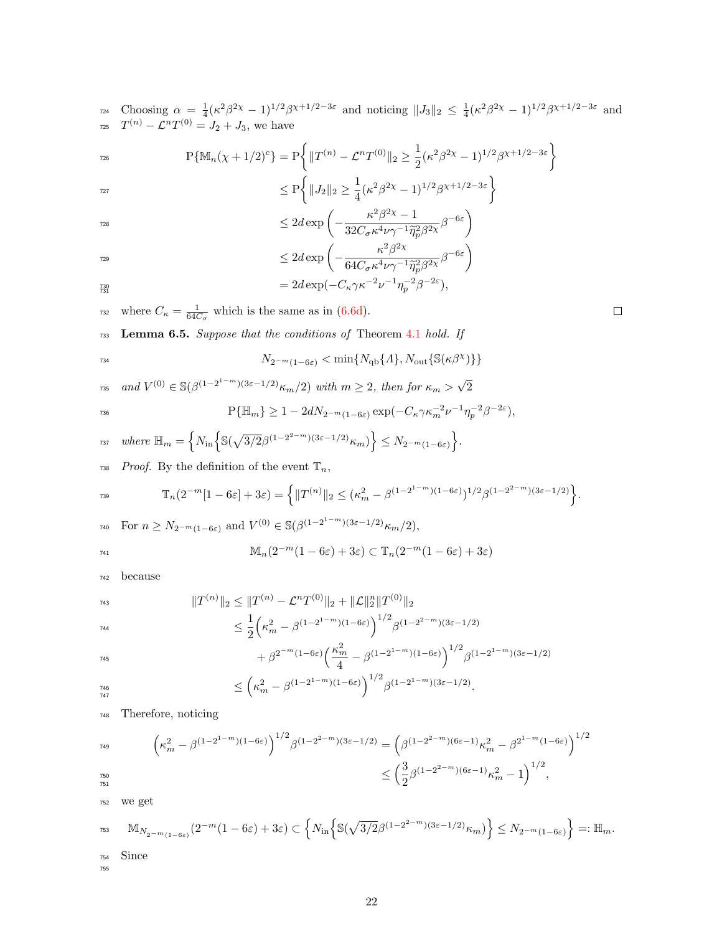<sup>724</sup> Choosing  $\alpha = \frac{1}{4}(\kappa^2 \beta^{2\chi} - 1)^{1/2} \beta^{\chi+1/2-3\varepsilon}$  and noticing  $||J_3||_2 \leq \frac{1}{4}(\kappa^2 \beta^{2\chi} - 1)^{1/2} \beta^{\chi+1/2-3\varepsilon}$  and  $T^{(n)} - \mathcal{L}^n T^{(0)} = J_2 + J_3$ , we have

$$
P\{\mathbb{M}_n(\chi+1/2)^c\} = P\bigg\{\|T^{(n)} - \mathcal{L}^n T^{(0)}\|_2 \ge \frac{1}{2}(\kappa^2 \beta^{2\chi} - 1)^{1/2} \beta^{\chi+1/2 - 3\epsilon}\bigg\}
$$

$$
\leq P\bigg\{\|J_2\|_2 \geq \frac{1}{4}(\kappa^2 \beta^{2\chi} - 1)^{1/2} \beta^{\chi+1/2 - 3\varepsilon}\bigg\}
$$

$$
\leq 2d \exp\left(-\frac{\kappa^2 \beta^{2\chi} - 1}{32C_{\sigma}\kappa^4 \nu \gamma^{-1} \tilde{\eta}_{p}^2 \beta^{2\chi}} \beta^{-6\varepsilon}\right)
$$

$$
\leq 2d \exp\left(-\frac{\kappa^2 \beta^{2\chi}}{64C_{\sigma}\kappa^4 \nu \gamma^{-1} \tilde{\eta}_p^2 \beta^{2\chi}} \beta^{-6\varepsilon}\right)
$$
  
=  $2d \exp(-C_{\kappa}\gamma \kappa^{-2} \nu^{-1} \eta_p^{-2} \beta^{-2\varepsilon}),$ 

$$
\frac{1}{31} = 2a \exp(-C_{\kappa} \gamma \kappa \quad \nu \quad \eta_p
$$

<sup>732</sup> where  $C_{\kappa} = \frac{1}{64C_{\sigma}}$  which is the same as in [\(6.6d\)](#page-13-4).

<span id="page-21-0"></span><sup>733</sup> Lemma 6.5. Suppose that the conditions of Theorem [4.1](#page-6-1) hold. If

$$
N_{2^{-m}(1-6\varepsilon)} < \min\{N_{\rm qb}\{A\}, N_{\rm out}\{\mathbb{S}(\kappa\beta^{\chi})\}\}
$$

and  $V^{(0)} \in \mathbb{S}(\beta^{(1-2^{1-m})(3\varepsilon-1/2)}\kappa_m/2)$  with  $m \geq 2$ , then for  $\kappa_m > \sqrt{2^{1-m}(\beta^{(1-m)/2})}$  $_{735}$  and  $V^{(0)} \in \mathbb{S}(\beta^{(1-2^{1-m})(3\varepsilon-1/2)} \kappa_m/2)$  with  $m \geq 2$ , then for  $\kappa_m > \sqrt{2}$  $P{\{\mathbb{H}_m\}} \geq 1-2dN_{2^{-m}(1-6\varepsilon)}\exp(-C_\kappa\gamma\kappa_m^{-2}\nu^{-1}\eta_p^{-2}\beta^{-2\varepsilon}),$ 

$$
\text{where } \mathbb{H}_m = \left\{ N_{\text{in}} \left\{ \mathbb{S}(\sqrt{3/2} \beta^{(1-2^{2-m})(3\varepsilon - 1/2)} \kappa_m) \right\} \le N_{2^{-m}(1-6\varepsilon)} \right\}.
$$

738 Proof. By the definition of the event  $\mathbb{T}_n$ ,

$$
\mathbb{T}_n(2^{-m}[1-6\varepsilon]+3\varepsilon)=\left\{\|T^{(n)}\|_2\leq (\kappa_m^2-\beta^{(1-2^{1-m})(1-6\varepsilon)})^{1/2}\beta^{(1-2^{2-m})(3\varepsilon-1/2)}\right\}.
$$

$$
\begin{aligned}\n\text{For } n \ge N_{2^{-m}(1-6\varepsilon)} \text{ and } V^{(0)} \in \mathbb{S}(\beta^{(1-2^{1-m})(3\varepsilon-1/2)} \kappa_m/2), \\
\mathbb{M}_n(2^{-m}(1-6\varepsilon) + 3\varepsilon) \subset \mathbb{T}_n(2^{-m}(1-6\varepsilon) + 3\varepsilon)\n\end{aligned}
$$

$$
\text{INL}_{n}(2^{-\cdots}(1-6\varepsilon)+3\varepsilon)\subset
$$

<sup>742</sup> because

$$
||T^{(n)}||_2 \le ||T^{(n)} - \mathcal{L}^n T^{(0)}||_2 + ||\mathcal{L}||_2^n ||T^{(0)}||_2
$$
  

$$
\le \frac{1}{2} \Big( \kappa_m^2 - \beta^{(1-2^{1-m})(1-6\varepsilon)} \Big)^{1/2} \beta^{(1-2^{2-m})(3\varepsilon - 1/2)}
$$

$$
+ \beta^{2^{-m}(1-6\varepsilon)} \left(\frac{\kappa_m^2}{4} - \beta^{(1-2^{1-m})(1-6\varepsilon)}\right)^{1/2} \beta^{(1-2^{1-m})(3\varepsilon-1/2)}
$$

$$
\leq \left(\kappa_m^2 - \beta^{(1-2^{1-m})(1-6\varepsilon)}\right)^{1/2} \beta^{(1-2^{1-m})(3\varepsilon - 1/2)}.
$$

<sup>748</sup> Therefore, noticing

$$
\begin{array}{ll} \left( \kappa_m^2 - \beta^{(1-2^{1-m})(1-6\varepsilon)} \right)^{1/2} \beta^{(1-2^{2-m})(3\varepsilon-1/2)} = \left( \beta^{(1-2^{2-m})(6\varepsilon-1)} \kappa_m^2 - \beta^{2^{1-m}(1-6\varepsilon)} \right)^{1/2} \\ \leq \left( \frac{3}{2} \beta^{(1-2^{2-m})(6\varepsilon-1)} \kappa_m^2 - 1 \right)^{1/2}, \end{array}
$$

<sup>752</sup> we get

$$
\mathrm{M}_{N_{2^{-m}(1-6\varepsilon)}}(2^{-m}(1-6\varepsilon)+3\varepsilon)\subset \left\{N_{\mathrm{in}}\Big\{ \mathbb{S}(\sqrt{3/2}\beta^{(1-2^{2-m})(3\varepsilon-1/2)}\kappa_m)\Big\}\le N_{2^{-m}(1-6\varepsilon)}\right\}=: \mathbb{H}_m.
$$

<sup>754</sup> Since 755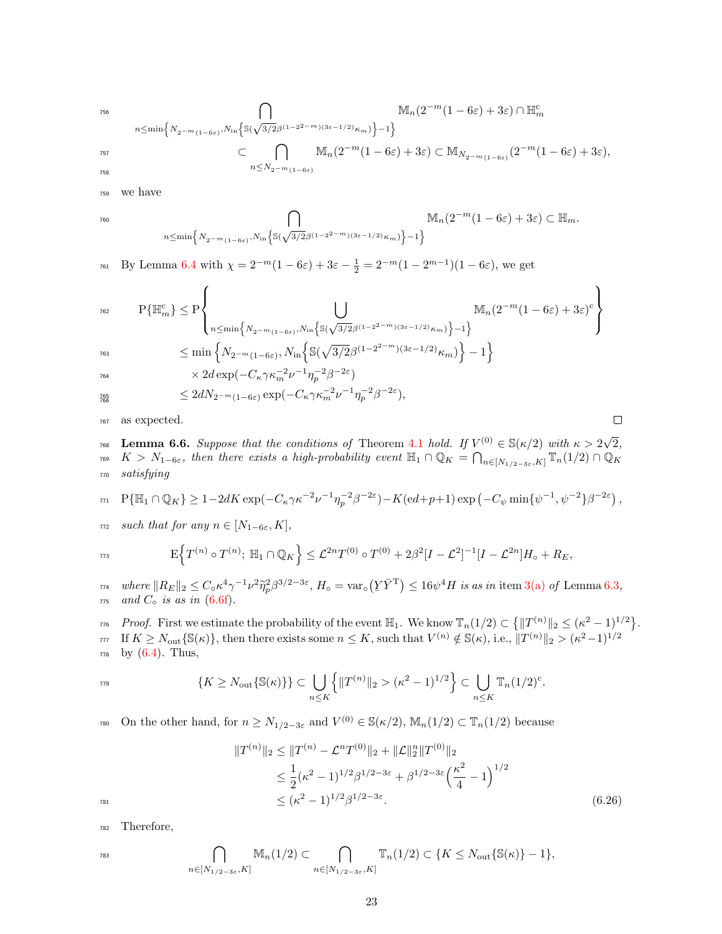$$
^{756}
$$

756  
\n
$$
\bigcap_{n \leq \min\left\{N_{2^{-m}(1-\delta\varepsilon)}, N_{\infty}\left\{\mathbb{S}(\sqrt{3/2}\beta^{(1-2^{2-m})(3\varepsilon-1/2)}\kappa_{m})\right\}-1\right\}}^{\infty} \mathbb{M}_{n}(2^{-m}(1-\delta\varepsilon)+3\varepsilon) \cap \mathbb{H}_{m}^{\mathbb{C}}
$$
\n
$$
\subset \bigcap_{n \leq N_{2^{-m}(1-\delta\varepsilon)}}^{\infty} \mathbb{M}_{n}(2^{-m}(1-\delta\varepsilon)+3\varepsilon) \subset \mathbb{M}_{N_{2^{-m}(1-\delta\varepsilon)}}(2^{-m}(1-\delta\varepsilon)+3\varepsilon),
$$

<sup>759</sup> we have

$$
\bigcap_{n\leq \min\left\{N_{2^{-m}(1-6\varepsilon)},N_{\inf}\left\{\mathbb{S}(\sqrt{3/2}\beta^{(1-2^{2-m})(3\varepsilon-1/2)}\kappa_m)\right\}-1\right\}}\mathbb{M}_n(2^{-m}(1-6\varepsilon)+3\varepsilon)\subset \mathbb{H}_m.
$$

<sup>761</sup> By Lemma [6.4](#page-19-1) with  $\chi = 2^{-m}(1 - 6\varepsilon) + 3\varepsilon - \frac{1}{2} = 2^{-m}(1 - 2^{m-1})(1 - 6\varepsilon)$ , we get

$$
\nonumber \begin{array}{ll} \displaystyle \mathrm{P}\{\mathbb{H}_m^{\mathrm{c}}\} \leq \mathrm{P}\Bigg\{\bigcup_{n\leq \min\left\{N_2-m_{(1-6\varepsilon)},N_{\mathrm{in}}\left\{\mathbb{S}(\sqrt{3/2}\beta^{(1-2^{2-m})(3\varepsilon-1/2)}\kappa_m)\right\}-1\right\}} \mathbb{M}_n(2^{-m}(1-6\varepsilon)+3\varepsilon)^{\mathrm{c}}\Bigg\}\\ \hspace{2cm} \displaystyle \leq \min\left\{N_2-m_{(1-6\varepsilon)},N_{\mathrm{in}}\Big\{\mathbb{S}(\sqrt{3/2}\beta^{(1-2^{2-m})(3\varepsilon-1/2)}\kappa_m)\Big\}-1\right\} \end{array}
$$

 $\lambda$ 

 $\Box$ 

766

$$
\times 2d\exp(-C_{\kappa}\gamma\kappa_m^{-2}\nu^{-1}\eta_p^{-2}\beta^{-2\varepsilon})
$$

$$
\leq 2d N_{2^{-m}(1-6\varepsilon)} \exp(-C_\kappa \gamma \kappa_m^{-2}\nu^{-1}\eta_p^{-2}\beta^{-2\varepsilon}),
$$

<sup>767</sup> as expected.

<span id="page-22-0"></span>**Lemma 6.6.** Suppose that the conditions of Theorem [4.1](#page-6-1) hold. If  $V^{(0)} \in \mathbb{S}(\kappa/2)$  with  $\kappa > 2\sqrt{2}$ <sup>768</sup> Lemma 6.6. Suppose that the conditions of Theorem 4.1 hold. If  $V^{(0)} \in S(\kappa/2)$  with  $\kappa > 2\sqrt{2}$ , <sup>769</sup>  $K > N_{1-6\varepsilon}$ , then there exists a high-probability event  $\mathbb{H}_{1} \cap \mathbb{Q}_{K} = \bigcap_{n \in [N_{1/2-3\varepsilon}, K]} \mathbb{T}_{n}(1/2) \cap \mathbb{Q}_{K}$ <sup>770</sup> satisfying

$$
\text{m} \quad \mathbf{P}\{\mathbb{H}_1 \cap \mathbb{Q}_K\} \ge 1 - 2dK \exp(-C_{\kappa} \gamma \kappa^{-2} \nu^{-1} \eta_p^{-2} \beta^{-2\varepsilon}) - K(\mathbf{e}d + p + 1) \exp\left(-C_{\psi} \min\{\psi^{-1}, \psi^{-2}\}\beta^{-2\varepsilon}\right),
$$

 $\tau$ <sup>772</sup> such that for any  $n \in [N_{1-6\varepsilon}, K]$ ,

$$
F\Big\{T^{(n)}\circ T^{(n)}; \ \mathbb{H}_1\cap\mathbb{Q}_K\Big\}\leq \mathcal{L}^{2n}T^{(0)}\circ T^{(0)}+2\beta^2[I-\mathcal{L}^2]^{-1}[I-\mathcal{L}^{2n}]H_0+R_E,
$$

 $\lim_{\tau \to \infty}$  where  $||R_E||_2 \leq C_0 \kappa^4 \gamma^{-1} \nu^2 \tilde{\eta}_p^2 \beta^{3/2-3\varepsilon}$ ,  $H_0 = \text{var}_0(Y\bar{Y}^T) \leq 16\psi^4 H$  is as in item [3\(a\)](#page-16-4) of Lemma [6.3](#page-15-1),  $775$  and  $C<sub>o</sub>$  is as in [\(6.6f\)](#page-13-6).

*r*<sup>6</sup> Proof. First we estimate the probability of the event  $\mathbb{H}_1$ . We know  $\mathbb{T}_n(1/2) \subset \{ ||T^{(n)}||_2 \leq (\kappa^2 - 1)^{1/2} \}$ . If  $K \geq N_{\text{out}}\{\mathbb{S}(\kappa)\}\,$ , then there exists some  $n \leq K$ , such that  $V^{(n)} \notin \mathbb{S}(\kappa)$ , i.e.,  $||T^{(n)}||_2 > (\kappa^2 - 1)^{1/2}$ 777  $778$  by  $(6.4)$ . Thus,

$$
\{K \ge N_{\text{out}}\{\mathbb{S}(\kappa)\}\} \subset \bigcup_{n \le K} \left\{ \|T^{(n)}\|_2 > (\kappa^2 - 1)^{1/2} \right\} \subset \bigcup_{n \le K} \mathbb{T}_n (1/2)^c.
$$

<sup>780</sup> On the other hand, for  $n \geq N_{1/2-3\varepsilon}$  and  $V^{(0)} \in \mathbb{S}(\kappa/2)$ ,  $\mathbb{M}_n(1/2) \subset \mathbb{T}_n(1/2)$  because

$$
||T^{(n)}||_2 \le ||T^{(n)} - \mathcal{L}^n T^{(0)}||_2 + ||\mathcal{L}||_2^n ||T^{(0)}||_2
$$
  
\n
$$
\le \frac{1}{2} (\kappa^2 - 1)^{1/2} \beta^{1/2 - 3\varepsilon} + \beta^{1/2 - 3\varepsilon} \left(\frac{\kappa^2}{4} - 1\right)^{1/2}
$$
  
\n
$$
\le (\kappa^2 - 1)^{1/2} \beta^{1/2 - 3\varepsilon}.
$$
\n(6.26)

<sup>782</sup> Therefore,

$$
\bigcap_{n\in[N_{1/2-3\varepsilon},K]} \mathbb{M}_n(1/2) \subset \bigcap_{n\in[N_{1/2-3\varepsilon},K]} \mathbb{T}_n(1/2) \subset \{K \le N_{\text{out}}\{\mathbb{S}(\kappa)\}-1\},
$$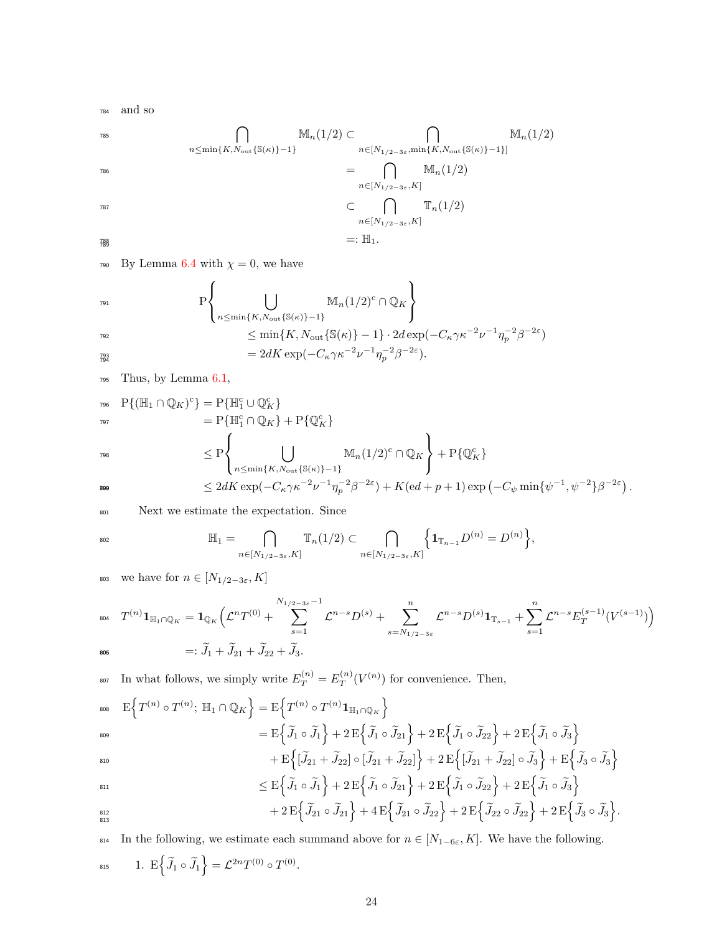<sup>784</sup> and so

785  
\n
$$
\bigcap_{n \le \min\{K, N_{\text{out}}\{S(\kappa)\}-1\}} \mathbb{M}_n(1/2) \subset \bigcap_{n \in [N_{1/2-3\varepsilon}, \min\{K, N_{\text{out}}\{S(\kappa)\}-1\}]} \mathbb{M}_n(1/2)
$$
\n
$$
= \bigcap_{n \in [N_{1/2-3\varepsilon}, K]} \mathbb{M}_n(1/2)
$$
\n786  
\n
$$
\subset \bigcap_{n \in [N_{1/2-3\varepsilon}, K]} \mathbb{T}_n(1/2)
$$
\n
$$
=: \mathbb{H}_1.
$$

790 By Lemma [6.4](#page-19-1) with  $\chi = 0$ , we have

$$
\begin{aligned}\n &\text{P}\left\{\bigcup_{n\leq\min\{K,N_{\text{out}}\{\mathbb{S}(\kappa)\}-1\}}\mathbb{M}_n(1/2)^c\cap\mathbb{Q}_K\right\} \\
 &\leq\min\{K,N_{\text{out}}\{\mathbb{S}(\kappa)\}-1\}\cdot2d\exp(-C_\kappa\gamma\kappa^{-2}\nu^{-1}\eta_p^{-2}\beta^{-2\varepsilon}) \\
 &=2dK\exp(-C_\kappa\gamma\kappa^{-2}\nu^{-1}\eta_p^{-2}\beta^{-2\varepsilon}).\n\end{aligned}
$$

<sup>795</sup> Thus, by Lemma [6.1,](#page-13-1)

$$
P\{ (\mathbb{H}_1 \cap \mathbb{Q}_K)^c \} = P\{ \mathbb{H}_1^c \cup \mathbb{Q}_K^c \}
$$
  
\n
$$
= P\{ \mathbb{H}_1^c \cap \mathbb{Q}_K \} + P\{ \mathbb{Q}_K^c \}
$$
  
\n
$$
\leq P\left\{ \bigcup_{n \leq \min\{K, N_{\text{out}}\{S(\kappa)\}-1\}} M_n(1/2)^c \cap \mathbb{Q}_K \right\} + P\{ \mathbb{Q}_K^c \}
$$
  
\n
$$
\leq 2dK \exp(-C_\kappa \gamma \kappa^{-2} \nu^{-1} \eta_p^{-2} \beta^{-2\varepsilon}) + K(\mathrm{ed} + p + 1) \exp(-C_\psi \min{\{\psi^{-1}, \psi^{-2}\}\beta^{-2\varepsilon}}).
$$

<sup>801</sup> Next we estimate the expectation. Since

$$
\mathbb{H}_1 = \bigcap_{n \in [N_{1/2-3\varepsilon}, K]} \mathbb{T}_n(1/2) \subset \bigcap_{n \in [N_{1/2-3\varepsilon}, K]} \Big\{ \mathbf{1}_{\mathbb{T}_{n-1}} D^{(n)} = D^{(n)} \Big\},
$$

803 we have for  $n\in [N_{1/2-3\varepsilon},K]$ 

$$
\begin{aligned}\n\mathbf{1}_{\mathbb{R}^{n}} \quad T^{(n)} \mathbf{1}_{\mathbb{H}_{1} \cap \mathbb{Q}_{K}} &= \mathbf{1}_{\mathbb{Q}_{K}} \Big( \mathcal{L}^{n} T^{(0)} + \sum_{s=1}^{N_{1/2-3\varepsilon}-1} \mathcal{L}^{n-s} D^{(s)} + \sum_{s=N_{1/2-3\varepsilon}}^{n} \mathcal{L}^{n-s} D^{(s)} \mathbf{1}_{\mathbb{T}_{s-1}} + \sum_{s=1}^{n} \mathcal{L}^{n-s} E_{T}^{(s-1)} (V^{(s-1)}) \Big) \\
&=: \widetilde{J}_{1} + \widetilde{J}_{21} + \widetilde{J}_{22} + \widetilde{J}_{3}.\n\end{aligned}
$$

In what follows, we simply write  $E_T^{(n)} = E_T^{(n)}$ <sup>807</sup> In what follows, we simply write  $E_T^{(n)} = E_T^{(n)}(V^{(n)})$  for convenience. Then,  $\mathrm{E}\Big\{T^{(n)}\circ T^{(n)};\ \mathbb{H}_1\cap \mathbb{Q}_K\Big\}=\mathrm{E}\Big\{T^{(n)}\circ T^{(n)}\mathbf{1}_{\mathbb{H}_1\cap \mathbb{Q}_K}\Big\}.$ 808  $\mathcal{L} = \mathrm{E} \Big\{ \widetilde{J}_1 \circ \widetilde{J}_1 \Big\} + 2 \, \mathrm{E} \Big\{ \widetilde{J}_1 \circ \widetilde{J}_2 \Big\} + 2 \, \mathrm{E} \Big\{ \widetilde{J}_1 \circ \widetilde{J}_2 \Big\} + 2 \, \mathrm{E} \Big\{ \widetilde{J}_1 \circ \widetilde{J}_3 \Big\}$ 809

$$
+ E\left\{ \left[ \widetilde{J}_{21} + \widetilde{J}_{22} \right] \circ \left[ \widetilde{J}_{21} + \widetilde{J}_{22} \right] \right\} + 2 E\left\{ \left[ \widetilde{J}_{21} + \widetilde{J}_{22} \right] \circ \widetilde{J}_{3} \right\} + E\left\{ \widetilde{J}_{3} \circ \widetilde{J}_{3} \right\}
$$

$$
\leq E\Big\{\widetilde{J}_1\circ\widetilde{J}_1\Big\}+2E\Big\{\widetilde{J}_1\circ\widetilde{J}_21\Big\}+2E\Big\{\widetilde{J}_1\circ\widetilde{J}_22\Big\}+2E\Big\{\widetilde{J}_1\circ\widetilde{J}_3\Big\}\\+2E\Big\{\widetilde{J}_21\circ\widetilde{J}_21\Big\}+4E\Big\{\widetilde{J}_21\circ\widetilde{J}_22\Big\}+2E\Big\{\widetilde{J}_22\circ\widetilde{J}_22\Big\}+2E\Big\{\widetilde{J}_3\circ\widetilde{J}_3\Big\}.
$$

814 In the following, we estimate each summand above for  $n \in [N_{1-6\varepsilon}, K]$ . We have the following. 815 1.  $E\Big\{\widetilde{J}_1\circ\widetilde{J}_1\Big\} = \mathcal{L}^{2n}T^{(0)}\circ T^{(0)}.$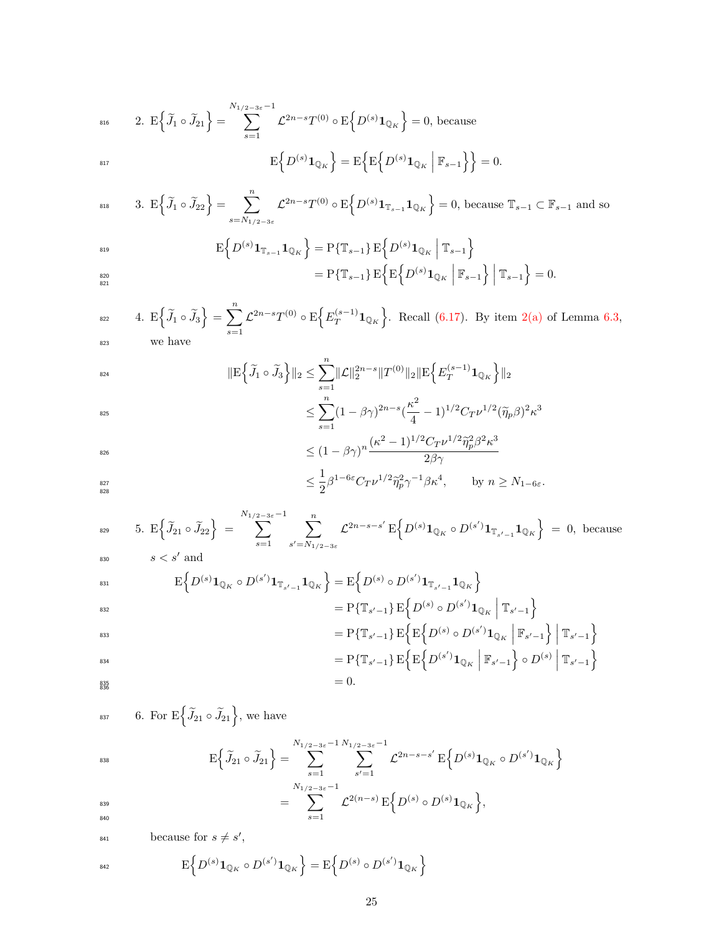$$
\begin{aligned}\n\text{and} \qquad \text{2. } \mathbb{E}\Big\{\widetilde{J}_1 \circ \widetilde{J}_{21}\Big\} &= \sum_{s=1}^{N_{1/2-3\varepsilon}-1} \mathcal{L}^{2n-s} T^{(0)} \circ \mathbb{E}\Big\{D^{(s)} \mathbf{1}_{\mathbb{Q}_K}\Big\} = 0 \text{, because} \\
\mathbb{E}\Big\{D^{(s)} \mathbf{1}_{\mathbb{Q}_K}\Big\} &= \mathbb{E}\Big\{\mathbb{E}\Big\{D^{(s)} \mathbf{1}_{\mathbb{Q}_K} \Big| \mathbb{F}_{s-1}\Big\}\Big\} = 0.\n\end{aligned}
$$

$$
\text{and} \qquad 3. \ \mathcal{E}\left\{\widetilde{J}_1 \circ \widetilde{J}_{22}\right\} = \sum_{s=N_{1/2-3\varepsilon}}^{n} \mathcal{L}^{2n-s} T^{(0)} \circ \mathcal{E}\left\{D^{(s)} \mathbf{1}_{\mathbb{T}_{s-1}} \mathbf{1}_{\mathbb{Q}_K}\right\} = 0, \text{ because } \mathbb{T}_{s-1} \subset \mathbb{F}_{s-1} \text{ and so}
$$

$$
\begin{aligned}\n\mathbf{E} \Big\{ D^{(s)} \mathbf{1}_{\mathbb{T}_{s-1}} \mathbf{1}_{\mathbb{Q}_K} \Big\} &= P \{ \mathbb{T}_{s-1} \} \, \mathbf{E} \Big\{ D^{(s)} \mathbf{1}_{\mathbb{Q}_K} \Big| \, \mathbb{T}_{s-1} \Big\} \\
&= P \{ \mathbb{T}_{s-1} \} \, \mathbf{E} \Big\{ \mathbf{E} \Big\{ D^{(s)} \mathbf{1}_{\mathbb{Q}_K} \Big| \, \mathbb{F}_{s-1} \Big\} \Big| \, \mathbb{T}_{s-1} \Big\} = 0.\n\end{aligned}
$$

$$
\begin{aligned}\n\text{and} \quad & \mathbb{E}\left\{\widetilde{J}_1 \circ \widetilde{J}_3\right\} = \sum_{s=1}^n \mathcal{L}^{2n-s} T^{(0)} \circ \mathbb{E}\left\{E_T^{(s-1)} \mathbf{1}_{\mathbb{Q}_K}\right\}. \text{ Recall (6.17). By item 2(a) of Lemma 6.3,} \\
& \text{we have}\n\end{aligned}
$$

$$
\| \mathbf{E} \left\{ \widetilde{J}_1 \circ \widetilde{J}_3 \right\} \|_2 \le \sum_{s=1}^n \| \mathcal{L} \|_2^{2n-s} \| T^{(0)} \|_2 \| \mathbf{E} \left\{ E_T^{(s-1)} \mathbf{1}_{\mathbb{Q}_K} \right\} \|_2
$$

$$
\leq \sum_{s=1}^{n} (1 - \beta \gamma)^{2n-s} \left(\frac{\kappa^2}{4} - 1\right)^{1/2} C_T \nu^{1/2} (\tilde{\eta}_p \beta)^2 \kappa^3
$$

$$
\leq (1 - \beta \sqrt{n})^n (\kappa^2 - 1)^{1/2} C_T \nu^{1/2} \tilde{\eta}_p^2 \beta^2 \kappa^3
$$

$$
\leq (1 - \beta \gamma)^n \frac{(\kappa^2 - 1)^{1/2} C_T \nu^{1/2} \tilde{\eta}_p^2 \beta^2 \kappa^3}{2\beta \gamma}
$$

$$
\leq \frac{1}{2}\beta^{1-6\varepsilon}C_T\nu^{1/2}\tilde{\eta}_p^2\gamma^{-1}\beta\kappa^4, \qquad \text{by } n \geq N_{1-6\varepsilon}.
$$

$$
\begin{array}{lll}\n\text{829} & 5. \ \mathbf{E} \Big\{ \widetilde{J}_{21} \circ \widetilde{J}_{22} \Big\} \ = \sum_{s=1}^{N_{1/2-3\varepsilon}-1} \sum_{s'=N_{1/2-3\varepsilon}}^{n} \mathcal{L}^{2n-s-s'} \, \mathbf{E} \Big\{ D^{(s)} \mathbf{1}_{\mathbb{Q}_K} \circ D^{(s')} \mathbf{1}_{\mathbb{T}_{s'-1}} \mathbf{1}_{\mathbb{Q}_K} \Big\} \ = \ 0, \text{ because} \\
\text{830} & s < s' \text{ and}\n\end{array}
$$

$$
\begin{aligned}\n\mathbf{E} \Big\{ D^{(s)} \mathbf{1}_{\mathbb{Q}_K} \circ D^{(s')} \mathbf{1}_{\mathbb{T}_{s'-1}} \mathbf{1}_{\mathbb{Q}_K} \Big\} &= \mathbf{E} \Big\{ D^{(s)} \circ D^{(s')} \mathbf{1}_{\mathbb{T}_{s'-1}} \mathbf{1}_{\mathbb{Q}_K} \Big\} \\
&= \mathbf{P} \{ \mathbb{T}_{s'-1} \} \, \mathbf{E} \Big\{ D^{(s)} \circ D^{(s')} \mathbf{1}_{\mathbb{Q}_K} \Big| \, \mathbb{T}_{s'-1} \Big\} \\
&= \mathbf{P} \{ \mathbb{T}_{s'-1} \} \, \mathbf{E} \Big\{ \mathbf{E} \Big\{ D^{(s)} \circ D^{(s')} \mathbf{1}_{\mathbb{Q}_K} \Big| \, \mathbb{F}_{s'-1} \Big\} \Big| \, \mathbb{T}_{s'-1} \Big\}\n\end{aligned}
$$

$$
= P\{\mathbb{T}_{s'-1}\} \mathbb{E}\Big\{\mathbb{E}\Big\{D^{(s')} \mathbf{1}_{\mathbb{Q}_K} \Big| \mathbb{F}_{s'-1}\Big\} \circ D^{(s)} \Big| \mathbb{T}_{s'-1}\Big\}
$$
  
= 0.

<sup>837</sup> 6. For  $E\left\{\widetilde{J}_{21} \circ \widetilde{J}_{21}\right\}$ , we have

$$
\mathrm{E}\Big\{\widetilde{J}_{21}\circ\widetilde{J}_{21}\Big\}=\sum_{s=1}^{N_{1/2-3\varepsilon}-1}\sum_{s'=1}^{N_{1/2-3\varepsilon}-1}\mathcal{L}^{2n-s-s'}\,\mathrm{E}\Big\{D^{(s)}\mathbf{1}_{\mathbb{Q}_K}\circ D^{(s')}\mathbf{1}_{\mathbb{Q}_K}\Big\}
$$

$$
= \sum_{s=1}^{N_{1/2-3\varepsilon}-1} \mathcal{L}^{2(n-s)} \, \mathcal{E} \Big\{ D^{(s)} \circ D^{(s)} \mathbf{1}_{\mathbb{Q}_K} \Big\},
$$

<sup>841</sup> because for  $s \neq s'$ ,

$$
E\Big\{D^{(s)}\mathbf{1}_{\mathbb{Q}_K}\circ D^{(s')}\mathbf{1}_{\mathbb{Q}_K}\Big\} = E\Big\{D^{(s)}\circ D^{(s')}\mathbf{1}_{\mathbb{Q}_K}\Big\}
$$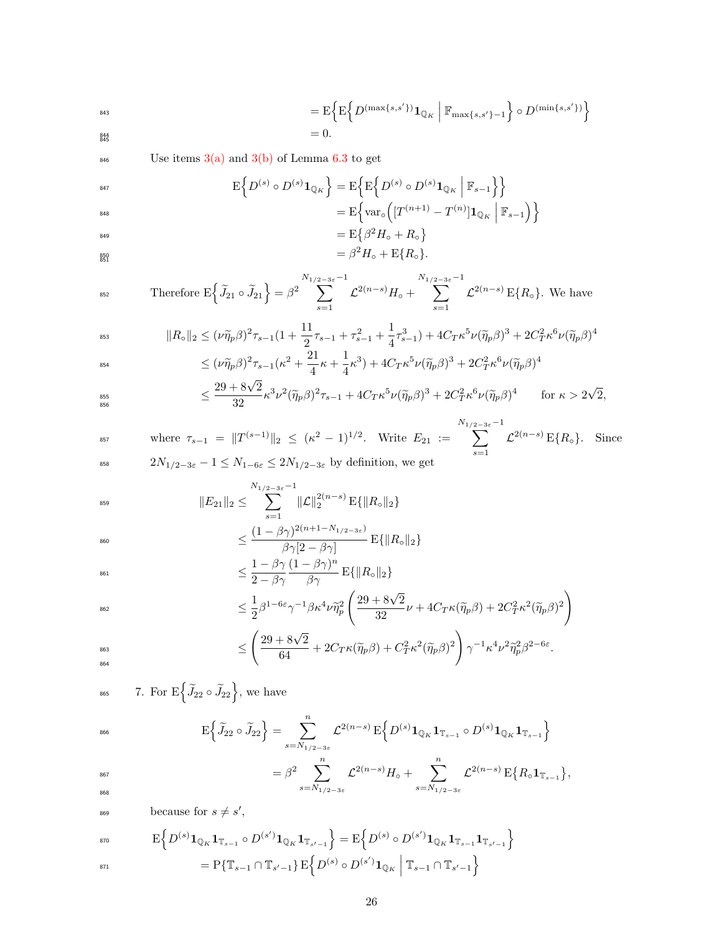$$
= \mathbf{E} \Big\{ \mathbf{E} \Big\{ D^{(\max\{s,s'\})} \mathbf{1}_{\mathbb{Q}_K} \Big| \, \mathbb{F}_{\max\{s,s'\}-1} \Big\} \circ D^{(\min\{s,s'\})} \Big\} = 0.
$$

846 Use items  $3(a)$  and  $3(b)$  of Lemma [6.3](#page-15-1) to get

$$
\begin{aligned} \mathbb{E}\Big\{D^{(s)}\circ D^{(s)}\mathbf{1}_{\mathbb{Q}_K}\Big\} &= \mathbb{E}\Big\{\mathbb{E}\Big\{D^{(s)}\circ D^{(s)}\mathbf{1}_{\mathbb{Q}_K}\Big| \mathbb{F}_{s-1}\Big\}\Big\} \\ &= \mathbb{E}\Big\{\text{var}_\circ\Big([T^{(n+1)}-T^{(n)}]\mathbf{1}_{\mathbb{Q}_K}\Big| \mathbb{F}_{s-1}\Big)\Big\} \end{aligned}
$$

$$
= \mathcal{E}\{\beta^2 H_{\circ} + R_{\circ}\}
$$
  
=  $\beta^2 H_{\circ} + \mathcal{E}\{R_{\circ}\}.$ 

$$
\text{Therefore } \mathcal{E}\Big\{\widetilde{J}_{21} \circ \widetilde{J}_{21}\Big\} = \beta^2 \sum_{s=1}^{N_{1/2-3\varepsilon}-1} \mathcal{L}^{2(n-s)} H_{\circ} + \sum_{s=1}^{N_{1/2-3\varepsilon}-1} \mathcal{L}^{2(n-s)} \mathcal{E}\{R_{\circ}\}. \text{ We have}
$$

$$
\|R_{\circ}\|_{2} \leq (\nu \widetilde{\eta}_{p}\beta)^{2}\tau_{s-1}\left(1+\frac{11}{2}\tau_{s-1}+\tau_{s-1}^{2}+\frac{1}{4}\tau_{s-1}^{3}\right)+4C_{T}\kappa^{5}\nu(\widetilde{\eta}_{p}\beta)^{3}+2C_{T}^{2}\kappa^{6}\nu(\widetilde{\eta}_{p}\beta)^{4}
$$

$$
\leq (\nu \widetilde{\eta}_{p}\beta)^{2}\tau_{s-1}(\kappa^{2}+\frac{21}{2}\kappa_{s}+\frac{1}{2}\kappa^{3})+4C_{T}\kappa^{5}\nu(\widetilde{\eta}_{p}\beta)^{3}+2C_{T}^{2}\kappa^{6}\nu(\widetilde{\eta}_{p}\beta)^{4}
$$

$$
\leq (\nu \tilde{\eta}_p \beta)^2 \tau_{s-1} (\kappa^2 + \frac{21}{4} \kappa + \frac{1}{4} \kappa^3) + 4C_T \kappa^5 \nu (\tilde{\eta}_p \beta)^3 + 2C_T^2 \kappa^6 \nu (\tilde{\eta}_p \beta)^4
$$
  

$$
\leq \frac{29 + 8\sqrt{2}}{32} \kappa^3 \nu^2 (\tilde{\eta}_p \beta)^2 \tau_{s-1} + 4C_T \kappa^5 \nu (\tilde{\eta}_p \beta)^3 + 2C_T^2 \kappa^6 \nu (\tilde{\eta}_p \beta)^4 \qquad \text{for } \kappa
$$

$$
\leq \frac{29 + 8\sqrt{2}}{32} \kappa^3 \nu^2 (\widetilde{\eta}_p \beta)^2 \tau_{s-1} + 4C_T \kappa^5 \nu (\widetilde{\eta}_p \beta)^3 + 2C_T^2 \kappa^6 \nu (\widetilde{\eta}_p \beta)^4 \qquad \text{for } \kappa > 2\sqrt{2},
$$

where 
$$
\tau_{s-1} = ||T^{(s-1)}||_2 \le (\kappa^2 - 1)^{1/2}
$$
. Write  $E_{21} := \sum_{s=1}^{N_{1/2-3\varepsilon}-1} \mathcal{L}^{2(n-s)} E\{R_o\}$ . Since   
\n $2N_{1/2-3\varepsilon} - 1 \le N_{1-6\varepsilon} \le 2N_{1/2-3\varepsilon}$  by definition, we get

$$
||E_{21}||_2 \le \sum_{s=1}^{N_{1/2-3\varepsilon}-1} ||\mathcal{L}||_2^{2(n-s)} \mathbf{E}\{||R_{\circ}||_2\}
$$

$$
\leq \frac{(1-\beta\gamma)^{2(n+1-N_{1/2-3\varepsilon})}}{\beta\gamma[2-\beta\gamma]} \mathbf{E}\{\|R_{\circ}\|_{2}\}
$$
  
1 -  $\beta\gamma(1-\beta\gamma)^{n}$ 

$$
\leq \frac{1 - \beta \gamma}{2 - \beta \gamma} \frac{(1 - \beta \gamma)^n}{\beta \gamma} \mathbf{E}\{\|R_{\circ}\|_2\}
$$

$$
\leq \frac{1}{2}\beta^{1-6\varepsilon}\gamma^{-1}\beta\kappa^4\nu\widetilde{\eta}_p^2\left(\frac{29+8\sqrt{2}}{32}\nu+4C_T\kappa(\widetilde{\eta}_p\beta)+2C_T^2\kappa^2(\widetilde{\eta}_p\beta)^2\right)
$$

$$
\leq \left(\frac{29+8\sqrt{2}}{64}+2C_T\kappa(\widetilde{\eta}_p\beta)+C_T^2\kappa^2(\widetilde{\eta}_p\beta)^2\right)\gamma^{-1}\kappa^4\nu^2\widetilde{\eta}_p^2\beta^{2-6\varepsilon}.
$$

<sup>865</sup> 7. For  $E\left\{\widetilde{J}_{22} \circ \widetilde{J}_{22}\right\}$ , we have

$$
\mathrm{E}\Big\{\widetilde{J}_{22}\circ \widetilde{J}_{22}\Big\} = \sum_{s=N_{1/2-3\varepsilon}}^{n} \mathcal{L}^{2(n-s)} \, \mathrm{E}\Big\{D^{(s)}\mathbf{1}_{\mathbb{Q}_K}\mathbf{1}_{\mathbb{T}_{s-1}}\circ D^{(s)}\mathbf{1}_{\mathbb{Q}_K}\mathbf{1}_{\mathbb{T}_{s-1}}\Big\}
$$

$$
= \beta^2 \sum_{s=N_{1/2-3\varepsilon}}^n \mathcal{L}^{2(n-s)} H_{\circ} + \sum_{s=N_{1/2-3\varepsilon}}^n \mathcal{L}^{2(n-s)} \, \mathcal{E} \{ R_{\circ} \mathbf{1}_{\mathbb{T}_{s-1}} \},
$$

<sup>869</sup> because for  $s \neq s'$ ,

$$
\text{so} \qquad \qquad \mathbf{E}\Big\{D^{(s)}\mathbf{1}_{\mathbb{Q}_K}\mathbf{1}_{\mathbb{T}_{s-1}}\circ D^{(s')}\mathbf{1}_{\mathbb{Q}_K}\mathbf{1}_{\mathbb{T}_{s'-1}}\Big\}=\mathbf{E}\Big\{D^{(s)}\circ D^{(s')}\mathbf{1}_{\mathbb{Q}_K}\mathbf{1}_{\mathbb{T}_{s-1}}\mathbf{1}_{\mathbb{T}_{s'-1}}\Big\}
$$

$$
= P\{\mathbb{T}_{s-1} \cap \mathbb{T}_{s'-1}\} \, \mathcal{E}\Big\{ D^{(s)} \circ D^{(s')} \mathbf{1}_{\mathbb{Q}_K} \Big| \, \mathbb{T}_{s-1} \cap \mathbb{T}_{s'-1} \Big\}
$$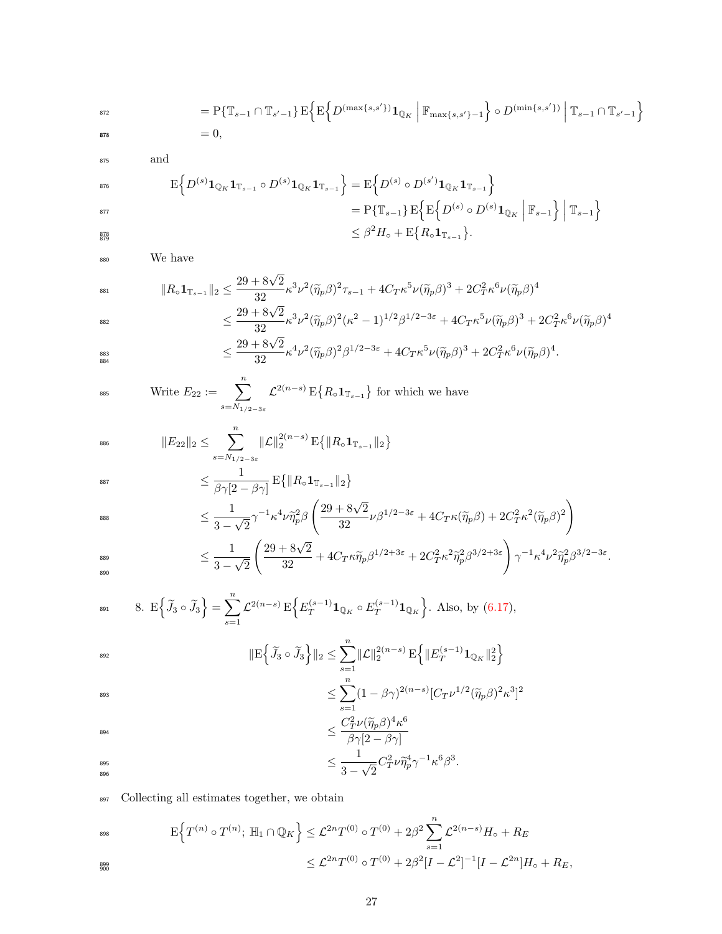= P{Ts−<sup>1</sup> ∩ T<sup>s</sup> <sup>0</sup>−1}E n E n <sup>D</sup>(max{s,s0})1Q<sup>K</sup> Fmax{s,s0}−<sup>1</sup> o ◦ D(min{s,s0}) Ts−<sup>1</sup> ∩ T<sup>s</sup> <sup>0</sup>−1 o 872 <sup>8743</sup> = 0,

877

879

$$
875 \hspace{35pt} \mathrm{and} \hspace{35pt}
$$

$$
\begin{aligned}\n\mathbf{E} \Big\{ D^{(s)} \mathbf{1}_{\mathbb{Q}_K} \mathbf{1}_{\mathbb{T}_{s-1}} \circ D^{(s)} \mathbf{1}_{\mathbb{Q}_K} \mathbf{1}_{\mathbb{T}_{s-1}} \Big\} &= \mathbf{E} \Big\{ D^{(s)} \circ D^{(s')} \mathbf{1}_{\mathbb{Q}_K} \mathbf{1}_{\mathbb{T}_{s-1}} \Big\} \\
&= P \{ \mathbb{T}_{s-1} \} \, \mathbf{E} \Big\{ \mathbf{E} \Big\{ D^{(s)} \circ D^{(s)} \mathbf{1}_{\mathbb{Q}_K} \, \Big| \, \mathbb{F}_{s-1} \Big\} \, \Big| \, \mathbb{T}_{s-1} \Big\} \\
&\leq \beta^2 H_{\circ} + \mathbf{E} \{ R_{\circ} \mathbf{1}_{\mathbb{T}_{s-1}} \}.\n\end{aligned}
$$

<sup>880</sup> We have

$$
\|R_{\circ}\mathbf{1}_{\mathbb{T}_{s-1}}\|_{2} \leq \frac{29 + 8\sqrt{2}}{32} \kappa^{3} \nu^{2} (\tilde{\eta}_{p}\beta)^{2} \tau_{s-1} + 4C_{T}\kappa^{5} \nu (\tilde{\eta}_{p}\beta)^{3} + 2C_{T}^{2}\kappa^{6} \nu (\tilde{\eta}_{p}\beta)^{4}
$$
  

$$
\leq \frac{29 + 8\sqrt{2}}{32} \kappa^{3} \nu^{2} (\tilde{\eta}_{p}\beta)^{2} (\kappa^{2} - 1)^{1/2} \beta^{1/2 - 3\varepsilon} + 4C_{T}\kappa^{5} \nu (\tilde{\eta}_{p}\beta)^{3} + 2C_{T}^{2}\kappa^{6} \nu (\tilde{\eta}_{p}\beta)^{4}
$$
  

$$
\leq \frac{29 + 8\sqrt{2}}{32} \kappa^{3} \nu^{2} (\tilde{\eta}_{p}\beta)^{2} (\kappa^{2} - 1)^{1/2} \beta^{1/2 - 3\varepsilon} + 4C_{T}\kappa^{5} \nu (\tilde{\eta}_{p}\beta)^{3} + 2C_{T}^{2}\kappa^{6} \nu (\tilde{\eta}_{p}\beta)^{4}
$$

$$
\leq \frac{29+8\sqrt{2}}{32}\kappa^4\nu^2(\widetilde{\eta}_p\beta)^2\beta^{1/2-3\varepsilon}+4C_T\kappa^5\nu(\widetilde{\eta}_p\beta)^3+2C_T^2\kappa^6\nu(\widetilde{\eta}_p\beta)^4.
$$

$$
\text{First: } E_{22} := \sum_{s=N_{1/2-3\varepsilon}}^{n} \mathcal{L}^{2(n-s)} \, \mathbb{E} \big\{ R_{\circ} \mathbf{1}_{\mathbb{T}_{s-1}} \big\} \text{ for which we have}
$$

$$
\|E_{22}\|_2 \leq \sum_{s=N_{1/2-3\varepsilon}}^n \|\mathcal{L}\|_2^{2(n-s)} \, \mathcal{E}\{\|R_{\circ}\mathbf{1}_{\mathbb{T}_{s-1}}\|_2\}
$$

$$
\leq \frac{1}{\beta\gamma[2-\beta\gamma]} \operatorname{E}\!\big\{\|R_\circ\mathbf{1}_{\mathbb{T}_{s-1}}\|_2\big\}
$$

$$
\leq \frac{1}{3-\sqrt{2}}\gamma^{-1}\kappa^4\nu\widetilde{\eta}_p^2\beta\left(\frac{29+8\sqrt{2}}{32}\nu\beta^{1/2-3\varepsilon}+4C_T\kappa(\widetilde{\eta}_p\beta)+2C_T^2\kappa^2(\widetilde{\eta}_p\beta)^2\right)
$$

$$
\leq \frac{1}{3-\sqrt{2}} \left(\frac{29+8\sqrt{2}}{32}+4C_T\kappa \widetilde{\eta}_p\beta^{1/2+3\varepsilon}+2C_T^2\kappa^2\widetilde{\eta}_p^2\beta^{3/2+3\varepsilon}\right)\gamma^{-1}\kappa^4\nu^2\widetilde{\eta}_p^2\beta^{3/2-3\varepsilon}.
$$

$$
8. \ \mathcal{E}\left\{\widetilde{J}_3\circ\widetilde{J}_3\right\} = \sum_{s=1}^n \mathcal{L}^{2(n-s)} \mathcal{E}\left\{E_T^{(s-1)}\mathbf{1}_{\mathbb{Q}_K}\circ E_T^{(s-1)}\mathbf{1}_{\mathbb{Q}_K}\right\}. \text{ Also, by (6.17),}
$$

$$
\begin{aligned} \max_{\text{393}} \qquad & \| \mathbf{E} \Big\{ \widetilde{J}_3 \circ \widetilde{J}_3 \Big\} \|_2 \le \sum_{s=1}^n \! \| \mathcal{L} \|_2^{2(n-s)} \, \mathbf{E} \Big\{ \| E_T^{(s-1)} \mathbf{1}_{\mathbb{Q}_K} \|_2^2 \Big\} \\ &\le \sum_{n} (1 - \beta \gamma)^{2(n-s)} [ C_T \nu^{1/2} ( \widetilde{\eta}_p \beta )^2 \kappa^3 ]^2 \end{aligned}
$$

$$
\leq \sum_{s=1} (1 - \beta \gamma)^{2(n-s)} [C_T \nu^{1/2} (\widetilde{\eta}_p \beta
$$

$$
C^2 \nu (\widetilde{\eta}_p \beta)^4 \nu^6
$$

$$
\leq \frac{C_T^2 \nu (\widetilde{\eta}_p \beta)^4 \kappa^6}{\beta \gamma [2 - \beta \gamma]}
$$

$$
\leq \frac{1}{3-\sqrt{2}} C_T^2 \nu \widetilde{\eta}_p^4 \gamma^{-1} \kappa^6 \beta^3.
$$

897 Collecting all estimates together, we obtain

$$
\begin{aligned} \mathbb{E}\Big\{T^{(n)}\circ T^{(n)};\ \mathbb{H}_1\cap\mathbb{Q}_K\Big\} &\leq \mathcal{L}^{2n}T^{(0)}\circ T^{(0)} + 2\beta^2\sum_{s=1}^n \mathcal{L}^{2(n-s)}H_\circ + R_E\\ &\leq \mathcal{L}^{2n}T^{(0)}\circ T^{(0)} + 2\beta^2[I - \mathcal{L}^2]^{-1}[I - \mathcal{L}^{2n}]H_\circ + R_E, \end{aligned}
$$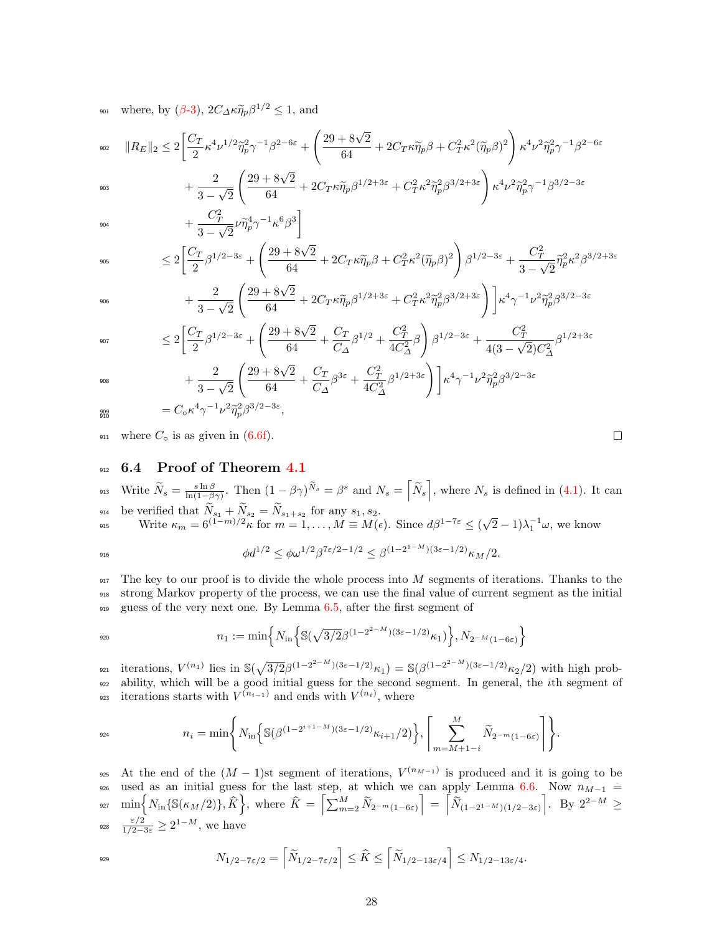<sup>901</sup> where, by ( $\beta$ [-3\)](#page-13-3),  $2C_{\Delta} \kappa \tilde{\eta}_p \beta^{1/2} \le 1$ , and

$$
\|R_E\|_2 \le 2\bigg[\frac{C_T}{2}\kappa^4\nu^{1/2}\tilde{\eta}_p^2\gamma^{-1}\beta^{2-6\varepsilon} + \left(\frac{29+8\sqrt{2}}{64} + 2C_T\kappa\tilde{\eta}_p\beta + C_T^2\kappa^2(\tilde{\eta}_p\beta)^2\right)\kappa^4\nu^2\tilde{\eta}_p^2\gamma^{-1}\beta^{2-6\varepsilon}
$$

$$
+\frac{2}{3-\sqrt{2}}\left(\frac{29+8\sqrt{2}}{64}+2C_T\kappa\widetilde{\eta}_p\beta^{1/2+3\varepsilon}+C_T^2\kappa^2\widetilde{\eta}_p^2\beta^{3/2+3\varepsilon}\right)\kappa^4\nu^2\widetilde{\eta}_p^2\gamma^{-1}\beta^{3/2-3\varepsilon} \\+\frac{C_T^2}{3-\sqrt{2}}\nu\widetilde{\eta}_p^4\gamma^{-1}\kappa^6\beta^3\bigg]
$$

904

903

$$
3-\sqrt{2} \int_{905}^{\sqrt{2}} \frac{3-\sqrt{2}}{2} d\theta
$$
  

$$
\leq 2\left[\frac{C_T}{2}\beta^{1/2-3\varepsilon} + \left(\frac{29+8\sqrt{2}}{64} + 2C_T\kappa\widetilde{\eta}_p\beta + C_T^2\kappa^2(\widetilde{\eta}_p\beta)^2\right)\beta^{1/2-3\varepsilon} + \frac{C_T^2}{3-\sqrt{2}}\widetilde{\eta}_p^2\kappa^2\beta^{3/2+3\varepsilon}\right]
$$

$$
+\frac{2}{3-\sqrt{2}}\left(\frac{29+8\sqrt{2}}{64}+2C_T\kappa\widetilde{\eta}_p\beta^{1/2+3\varepsilon}+C_T^2\kappa^2\widetilde{\eta}_p^2\beta^{3/2+3\varepsilon}\right)\bigg]\kappa^4\gamma^{-1}\nu^2\widetilde{\eta}_p^2\beta^{3/2-3\varepsilon}
$$

$$
\leq 2\left[\frac{C_T}{2}\beta^{1/2-3\varepsilon} + \left(\frac{29+8\sqrt{2}}{64} + \frac{C_T}{C_\Delta}\beta^{1/2} + \frac{C_T^2}{4C_\Delta^2}\beta\right)\beta^{1/2-3\varepsilon} + \frac{C_T^2}{4(3-\sqrt{2})C_\Delta^2}\beta^{1/2+3\varepsilon} \right. \\ \left. + \frac{2}{3-\sqrt{2}}\left(\frac{29+8\sqrt{2}}{64} + \frac{C_T}{C_\Delta}\beta^{3\varepsilon} + \frac{C_T^2}{4C_\Delta^2}\beta^{1/2+3\varepsilon}\right)\right]\kappa^4\gamma^{-1}\nu^2\widetilde{\eta}_p^2\beta^{3/2-3\varepsilon}
$$

908

$$
{}_{910}^{\text{999}} = C_0 \kappa^4 \gamma^{-1} \nu^2 \tilde{\eta}_p^2 \beta^{3/2 - 3\varepsilon},
$$

911 where  $C_{\circ}$  is as given in [\(6.6f\)](#page-13-6).

### <span id="page-27-0"></span>912 6.4 Proof of Theorem [4.1](#page-6-1)

3 − √ 2

913 Write  $\widetilde{N}_s = \frac{s \ln \beta}{\ln(1-\beta\gamma)}$ . Then  $(1-\beta\gamma)^{\widetilde{N}_s} = \beta^s$  and  $N_s = \left[\widetilde{N}_s\right]$ , where  $N_s$  is defined in [\(4.1\)](#page-3-1). It can 914 be verified that  $N_{s_1} + N_{s_2} = N_{s_1+s_2}$  for any  $s_1, s_2$ . Write  $\kappa_m = 6^{(1-m)/2}\kappa$  for  $m = 1, ..., M \equiv M(\epsilon)$ . Since  $d\beta^{1-7\epsilon} \leq (\sqrt{\epsilon})^{1/2}$ 915 Write  $\kappa_m = 6^{(1-m)/2}\kappa$  for  $m = 1, ..., M \equiv M(\epsilon)$ . Since  $d\beta^{1-7\epsilon} \le (\sqrt{2}-1)\lambda_1^{-1}\omega$ , we know

$$
\phi d^{1/2} \le \phi \omega^{1/2} \beta^{7\varepsilon/2 - 1/2} \le \beta^{(1 - 2^{1 - M})(3\varepsilon - 1/2)} \kappa_M/2.
$$

 $917$  The key to our proof is to divide the whole process into M segments of iterations. Thanks to the <sup>918</sup> strong Markov property of the process, we can use the final value of current segment as the initial <sup>919</sup> guess of the very next one. By Lemma [6.5,](#page-21-0) after the first segment of

$$
n_1 := \min\left\{ N_{\text{in}}\left\{ \mathbb{S}(\sqrt{3/2}\beta^{(1-2^{2-M})(3\varepsilon-1/2)}\kappa_1) \right\}, N_{2^{-M}(1-6\varepsilon)} \right\}
$$

<sup>921</sup> iterations,  $V^{(n_1)}$  lies in  $\mathbb{S}(\sqrt{3/2}\beta^{(1-2^{2-M})(3\varepsilon-1/2)}\kappa_1) = \mathbb{S}(\beta^{(1-2^{2-M})(3\varepsilon-1/2)}\kappa_2/2)$  with high prob-<sup>922</sup> ability, which will be a good initial guess for the second segment. In general, the ith segment of 923 iterations starts with  $V^{(n_{i-1})}$  and ends with  $V^{(n_i)}$ , where

$$
n_i = \min\bigg\{N_{\rm in}\bigg\{S(\beta^{(1-2^{i+1-M})(3\varepsilon-1/2)}\kappa_{i+1}/2)\bigg\},\bigg[\sum_{m=M+1-i}^{M}\widetilde{N}_{2^{-m}(1-6\varepsilon)}\bigg]\bigg\}.
$$

925 At the end of the  $(M-1)$ st segment of iterations,  $V^{(n_{M-1})}$  is produced and it is going to be 926 used as an initial guess for the last step, at which we can apply Lemma [6.6.](#page-22-0) Now  $n_{M-1}$  =  $\text{min}\Big\{N_{\text{in}}\{\mathbb{S}(\kappa_M/2)\},\widehat{K}\Big\}, \text{ where }\widehat{K}\ =\ \Big[\textstyle{\sum_{m=2}^M\widetilde{N}_{2^{-m}(1-6\varepsilon)}}\Big] \ =\ \Big[\widetilde{N}_{(1-2^{1-M})(1/2-3\varepsilon)}\Big].\ \ \text{By}\ \ 2^{2-M}\ \geq\ \ \text{by}\ \ 2^{2-M}\ \geq\ \ \text{by}\ \ 2^{2-M}\ \geq\ \ \text{by}\ \ 2^{2-M}\ \geq\ \ \text{by}\ \ 2^{2-M}\ \geq\ \ \text{by}\ \ 2^{2-M}\ \geq$ 928  $\frac{\varepsilon/2}{1/2-3\varepsilon} \geq 2^{1-M}$ , we have

$$
N_{1/2-7\varepsilon/2} = \left\lceil \widetilde{N}_{1/2-7\varepsilon/2} \right\rceil \leq \widehat{K} \leq \left\lceil \widetilde{N}_{1/2-13\varepsilon/4} \right\rceil \leq N_{1/2-13\varepsilon/4}.
$$

| × |  |
|---|--|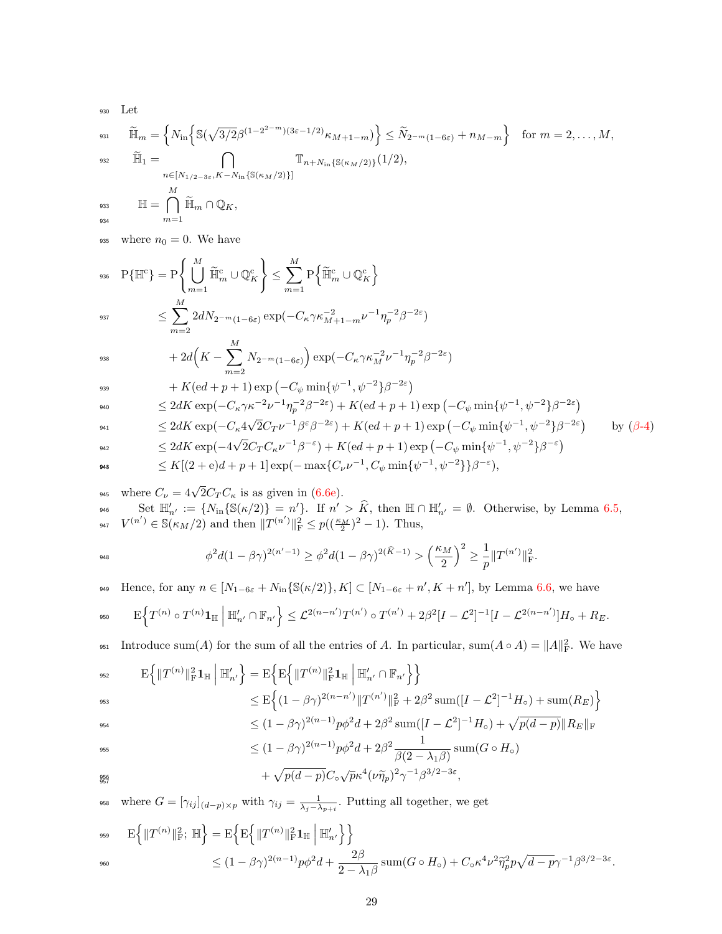930 Let  
\n931 
$$
\widetilde{\mathbb{H}}_m = \left\{ N_{\text{in}} \left\{ \mathbb{S}(\sqrt{3/2}\beta^{(1-2^{2-m})(3\varepsilon-1/2)}\kappa_{M+1-m}) \right\} \le \widetilde{N}_{2^{-m}(1-6\varepsilon)} + n_{M-m} \right\}
$$
 for  $m = 2, ..., M$ ,  
\n932  $\widetilde{\mathbb{H}}_1 = \bigcap_{n \in [N_{1/2-3\varepsilon}, K-N_{\text{in}}\{\mathbb{S}(\kappa_M/2)\}\}} \mathbb{T}_{n+N_{\text{in}}\{\mathbb{S}(\kappa_M/2)\}}(1/2),$   
\n933  $\mathbb{H} = \bigcap_{m=1}^M \widetilde{\mathbb{H}}_m \cap \mathbb{Q}_K,$ 

935 where  $n_0 = 0$ . We have

$$
\begin{aligned} \text{936} \quad & \mathbf{P}\{\mathbb{H}^c\} = \mathbf{P}\Bigg\{\bigcup_{m=1}^M \widetilde{\mathbb{H}}_m^c \cup \mathbb{Q}_K^c\Bigg\} \leq \sum_{m=1}^M \mathbf{P}\Big\{\widetilde{\mathbb{H}}_m^c \cup \mathbb{Q}_K^c\Big\}\\ & \leq \sum_{m=2}^M 2dN_{2^{-m}(1-6\varepsilon)}\exp(-C_\kappa\gamma\kappa_{M+1-m}^{-2}\nu^{-1}\eta_p^{-2}\beta^{-2\varepsilon}) \end{aligned}
$$

$$
+2d\Big(K-\sum_{m=2}^M N_{2^{-m}(1-6\varepsilon)}\Big)\exp(-C_\kappa\gamma\kappa_M^{-2}\nu^{-1}\eta_p^{-2}\beta^{-2\varepsilon})
$$

$$
+ K(\mathrm{e} d + p + 1) \exp\left(-C_{\psi} \min\{\psi^{-1}, \psi^{-2}\}\beta^{-2\varepsilon}\right)
$$

$$
\leq 2dK \exp(-C_{\kappa} \gamma \kappa^{-2} \nu^{-1} \eta_{p}^{-2} \beta^{-2\varepsilon}) + K(\varepsilon d + p + 1) \exp\left(-C_{\psi} \min\{\psi^{-1}, \psi^{-2}\} \beta^{-2\varepsilon}\right)
$$

$$
\leq 2dK \exp(-C_{\kappa}4\sqrt{2}C_{T}\nu^{-1}\beta^{\varepsilon}\beta^{-2\varepsilon}) + K(\mathbf{e}d + p + 1)\exp(-C_{\psi}\min\{\psi^{-1},\psi^{-2}\}\beta^{-2\varepsilon}) \qquad \text{by (} \beta-4)
$$
  

$$
\leq 2dK \exp(-4\sqrt{2}C_{T}C_{\kappa}\nu^{-1}\beta^{-\varepsilon}) + K(\mathbf{e}d + p + 1)\exp(-C_{\psi}\min\{\psi^{-1},\psi^{-2}\}\beta^{-\varepsilon})
$$

$$
\text{943}\qquad \qquad \leq K[(2+{\rm e})d+p+1]\exp(-\max\{C_{\nu}\nu^{-1},C_{\psi}\min\{\psi^{-1},\psi^{-2}\}\}\beta^{-\varepsilon}),
$$

<sup>945</sup> where  $C_{\nu} = 4\sqrt{2}C_{T}C_{\kappa}$  is as given in [\(6.6e\)](#page-13-7).  $S_{946}$  Set  $\mathbb{H}'_{n'} := \{N_{\text{in}}\{\mathbb{S}(\kappa/2)\} = n'\}\.$  If  $n' > \widehat{K}$ , then  $\mathbb{H} \cap \mathbb{H}'_{n'} = \emptyset$ . Otherwise, by Lemma [6.5,](#page-21-0) <sup>947</sup>  $V^{(n')} \in \mathbb{S}(\kappa_M/2)$  and then  $||T^{(n')}||^2_F \leq p((\frac{\kappa_M}{2})^2 - 1)$ . Thus,

$$
\phi^2 d(1-\beta\gamma)^{2(n'-1)} \ge \phi^2 d(1-\beta\gamma)^{2(\hat{K}-1)} > \left(\frac{\kappa_M}{2}\right)^2 \ge \frac{1}{p} \|T^{(n')} \|_{\mathrm{F}}^2.
$$

Hence, for any  $n \in [N_{1-6\varepsilon}+N_{\text{in}}\{\mathbb{S}(\kappa/2)\}, K] \subset [N_{1-6\varepsilon}+n', K+n']$ , by Lemma [6.6,](#page-22-0) we have

$$
E\Big\{T^{(n)}\circ T^{(n)}\mathbf{1}_{\mathbb{H}}\Big|\ \mathbb{H}'_{n'}\cap\mathbb{F}_{n'}\Big\}\leq \mathcal{L}^{2(n-n')}T^{(n')}\circ T^{(n')}+2\beta^2[I-\mathcal{L}^2]^{-1}[I-\mathcal{L}^{2(n-n')}]H_0+R_E.
$$

 $\text{Introduce sum}(A)$  for the sum of all the entries of A. In particular,  $\text{sum}(A \circ A) = ||A||_F^2$ . We have

$$
\begin{aligned}\n\mathbf{E}\left\{\|T^{(n)}\|_{\mathbf{F}}^{2}\mathbf{1}_{\mathbb{H}}\,\Big|\,\mathbb{H}'_{n'}\right\} &= \mathbf{E}\left\{\mathbf{E}\left\{\|T^{(n)}\|_{\mathbf{F}}^{2}\mathbf{1}_{\mathbb{H}}\,\Big|\,\mathbb{H}'_{n'}\cap\mathbb{F}_{n'}\right\}\right\} \\
&\leq \mathbf{E}\left\{(1-\beta\gamma)^{2(n-n')} \|T^{(n')} \|_{\mathbf{F}}^{2} + 2\beta^{2} \operatorname{sum}([I-\mathcal{L}^{2}]^{-1}H_{o}) + \operatorname{sum}(R_{E})\right\} \\
&< (1-\beta\gamma)^{2(n-1)}\alpha\gamma^{2}d + 2\beta^{2} \operatorname{sum}([I-\mathcal{L}^{2}]^{-1}H_{o}) + \sqrt{\alpha(d-n)}\|B\|_{\mathbf{F}}\n\end{aligned}
$$

$$
\leq (1 - \beta \gamma)^{2(n-1)} p \phi^2 d + 2\beta^2 \operatorname{sum}([I - \mathcal{L}^2]^{-1} H_{\circ}) + \sqrt{p(d-p)} \|R_E\|_{\mathcal{F}}
$$
  

$$
\leq (1 - \beta \gamma)^{2(n-1)} \|A_E\|_F
$$

$$
\leq (1 - \beta \gamma)^{2(n-1)} p \phi^2 d + 2\beta^2 \frac{1}{\beta(2 - \lambda_1 \beta)} \operatorname{sum}(G \circ H_o)
$$
  
+ 
$$
\sqrt{p(d-p)} C_\circ \sqrt{p} \kappa^4 (\nu \widetilde{\eta}_p)^2 \gamma^{-1} \beta^{3/2 - 3\varepsilon},
$$

<sup>958</sup> where  $G = [\gamma_{ij}]_{(d-p)\times p}$  with  $\gamma_{ij} = \frac{1}{\lambda_j - \lambda_{p+i}}$ . Putting all together, we get

959 
$$
E\left\{\|T^{(n)}\|_{\mathrm{F}}^2;\ \mathbb{H}\right\} = E\left\{E\left\{\|T^{(n)}\|_{\mathrm{F}}^2\mathbf{1}_{\mathbb{H}}\ \Big|\ \mathbb{H}'_{n'}\right\}\right\}
$$

$$
\leq (1 - \beta\gamma)^{2(n-1)}p\phi^2d + \frac{2\beta}{2 - \lambda_1\beta}\mathrm{sum}(G\circ H_{\circ}) + C_{\circ}\kappa^4\nu^2\tilde{\eta}_p^2p\sqrt{d - p}\gamma^{-1}\beta^{3/2 - 3\varepsilon}.
$$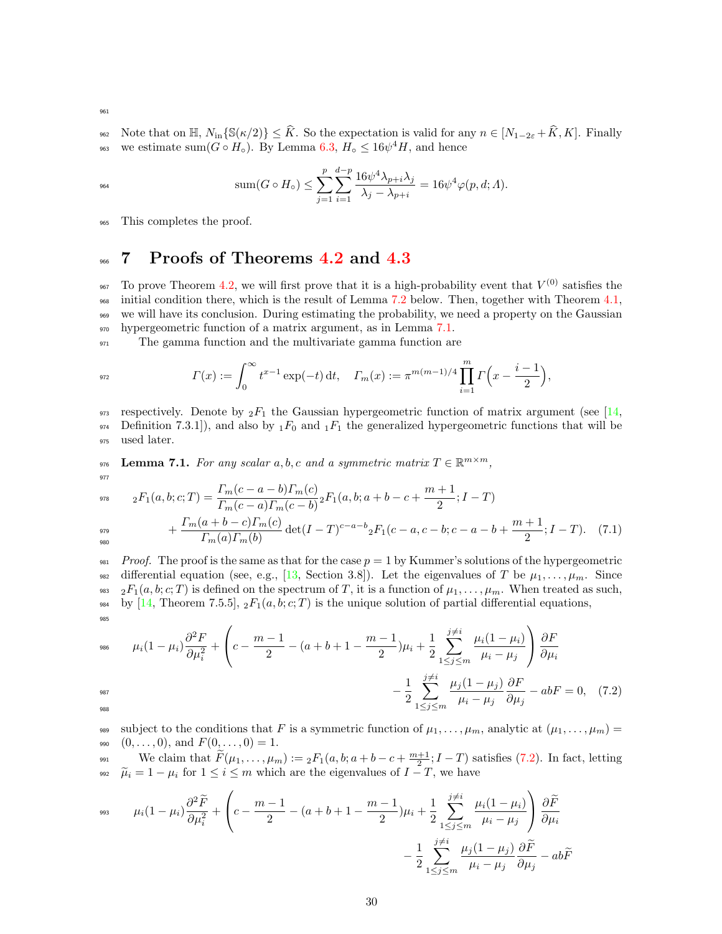962 Note that on  $\mathbb{H}$ ,  $N_{\text{in}}\{S(\kappa/2)\}\leq \widehat{K}$ . So the expectation is valid for any  $n \in [N_{1-2\varepsilon} + \widehat{K}, K]$ . Finally we estimate sum( $G \circ H_o$ ). By Lemma 6.3,  $H_o \leq 16\psi^4 H$ , and hence <sup>963</sup> we estimate sum( $G \circ H_{\circ}$ ). By Lemma [6.3,](#page-15-1)  $H_{\circ} \leq 16\psi^4 H$ , and hence

$$
\mathrm{sum}(G\circ H_\circ)\leq \sum_{j=1}^p\sum_{i=1}^{d-p}\frac{16\psi^4\lambda_{p+i}\lambda_j}{\lambda_j-\lambda_{p+i}}=16\psi^4\varphi(p,d;A).
$$

<sup>965</sup> This completes the proof.

# <span id="page-29-0"></span>966 7 Proofs of Theorems [4.2](#page-7-0) and [4.3](#page-8-0)

<sup>967</sup> To prove Theorem [4.2,](#page-7-0) we will first prove that it is a high-probability event that  $V^{(0)}$  satisfies the initial condition there, which is the result of Lemma [7.2](#page-31-0) below. Then, together with Theorem [4.1,](#page-6-1) we will have its conclusion. During estimating the probability, we need a property on the Gaussian hypergeometric function of a matrix argument, as in Lemma [7.1.](#page-29-1)

<sup>971</sup> The gamma function and the multivariate gamma function are

$$
\Gamma(x) := \int_0^\infty t^{x-1} \exp(-t) \, \mathrm{d}t, \quad \Gamma_m(x) := \pi^{m(m-1)/4} \prod_{i=1}^m \Gamma\Big(x - \frac{i-1}{2}\Big),
$$

973 respectively. Denote by  ${}_2F_1$  the Gaussian hypergeometric function of matrix argument (see [\[14,](#page-35-15) 974 Definition 7.3.1]), and also by  $_1F_0$  and  $_1F_1$  the generalized hypergeometric functions that will be <sup>975</sup> used later.

<span id="page-29-1"></span>976 Lemma 7.1. For any scalar a, b, c and a symmetric matrix  $T \in \mathbb{R}^{m \times m}$ , 977

$$
{}_{978} \qquad {}_{2}F_{1}(a,b;c;T) = \frac{\Gamma_{m}(c-a-b)\Gamma_{m}(c)}{\Gamma_{m}(c-a)\Gamma_{m}(c-b)} {}_{2}F_{1}(a,b;a+b-c+\frac{m+1}{2};I-T) + \frac{\Gamma_{m}(a+b-c)\Gamma_{m}(c)}{\Gamma_{m}(a)\Gamma_{m}(b)} \det(I-T)^{c-a-b} {}_{2}F_{1}(c-a,c-b;c-a-b+\frac{m+1}{2};I-T). \tag{7.1}
$$

980

981 Proof. The proof is the same as that for the case  $p = 1$  by Kummer's solutions of the hypergeometric 982 differential equation (see, e.g., [\[13,](#page-35-16) Section 3.8]). Let the eigenvalues of T be  $\mu_1, \ldots, \mu_m$ . Since 983 2 $F_1(a, b; c; T)$  is defined on the spectrum of T, it is a function of  $\mu_1, \ldots, \mu_m$ . When treated as such, 984 by [\[14,](#page-35-15) Theorem 7.5.5],  ${}_2F_1(a, b; c; T)$  is the unique solution of partial differential equations, 985

$$
\mu_i (1 - \mu_i) \frac{\partial^2 F}{\partial \mu_i^2} + \left( c - \frac{m - 1}{2} - (a + b + 1 - \frac{m - 1}{2}) \mu_i + \frac{1}{2} \sum_{1 \le j \le m}^{j \ne i} \frac{\mu_i (1 - \mu_i)}{\mu_i - \mu_j} \right) \frac{\partial F}{\partial \mu_i} - \frac{1}{2} \sum_{1 \le j \le m}^{j \ne i} \frac{\mu_j (1 - \mu_j)}{\mu_i - \mu_j} \frac{\partial F}{\partial \mu_j} - abF = 0, \quad (7.2)
$$

989 subject to the conditions that F is a symmetric function of  $\mu_1, \ldots, \mu_m$ , analytic at  $(\mu_1, \ldots, \mu_m)$  = 990  $(0, \ldots, 0)$ , and  $F(0, \ldots, 0) = 1$ .

We claim that  $\widetilde{F}(\mu_1,\ldots,\mu_m) := {}_2F_1(a,b;a+b-c+\frac{m+1}{2};I-T)$  satisfies [\(7.2\)](#page-3-2). In fact, letting  $\tilde{\mu}_i = 1 - \mu_i$  for  $1 \leq i \leq m$  which are the eigenvalues of  $I - T$ , we have

$$
\mu_i (1 - \mu_i) \frac{\partial^2 \widetilde{F}}{\partial \mu_i^2} + \left( c - \frac{m-1}{2} - (a+b+1-\frac{m-1}{2})\mu_i + \frac{1}{2} \sum_{1 \le j \le m}^{j \ne i} \frac{\mu_i (1 - \mu_i)}{\mu_i - \mu_j} \right) \frac{\partial \widetilde{F}}{\partial \mu_i} - \frac{1}{2} \sum_{1 \le j \le m}^{j \ne i} \frac{\mu_j (1 - \mu_j)}{\mu_i - \mu_j} \frac{\partial \widetilde{F}}{\partial \mu_j} - ab \widetilde{F}
$$

961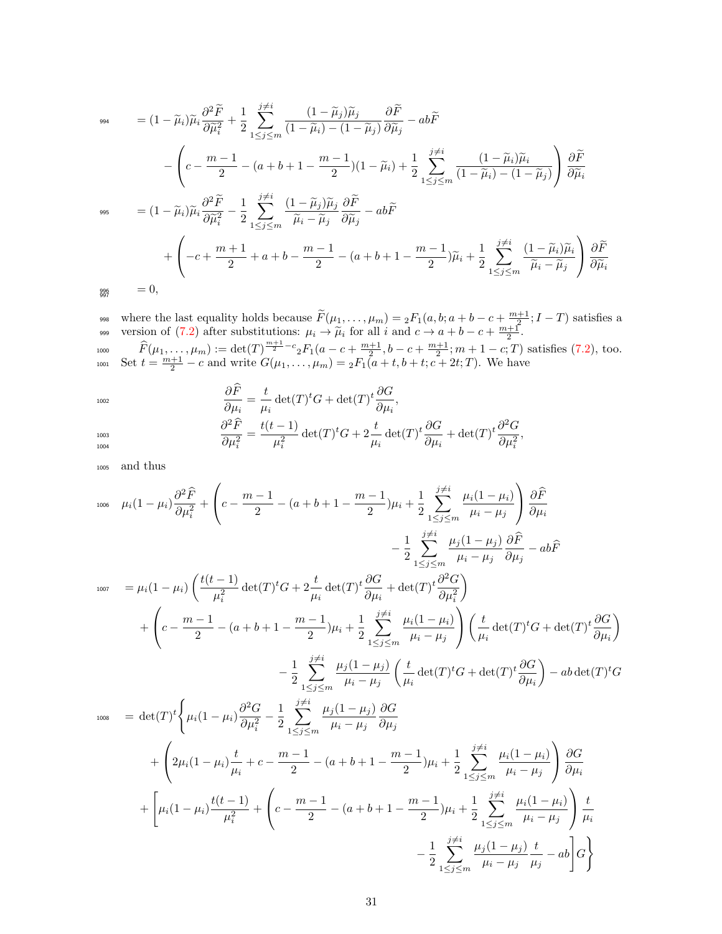994 
$$
= (1 - \widetilde{\mu}_i) \widetilde{\mu}_i \frac{\partial^2 \widetilde{F}}{\partial \widetilde{\mu}_i^2} + \frac{1}{2} \sum_{1 \le j \le m}^{j \ne i} \frac{(1 - \widetilde{\mu}_j) \widetilde{\mu}_j}{(1 - \widetilde{\mu}_i) - (1 - \widetilde{\mu}_j)} \frac{\partial \widetilde{F}}{\partial \widetilde{\mu}_j} - ab \widetilde{F}
$$
  
\n
$$
- \left( c - \frac{m - 1}{2} - (a + b + 1 - \frac{m - 1}{2}) (1 - \widetilde{\mu}_i) + \frac{1}{2} \sum_{1 \le j \le m}^{j \ne i} \frac{(1 - \widetilde{\mu}_i) \widetilde{\mu}_i}{(1 - \widetilde{\mu}_i) - (1 - \widetilde{\mu}_j)} \right) \frac{\partial \widetilde{F}}{\partial \widetilde{\mu}_i}
$$
  
\n995 
$$
= (1 - \widetilde{\mu}_i) \widetilde{\mu}_i \frac{\partial^2 \widetilde{F}}{\partial \widetilde{\mu}_i^2} - \frac{1}{2} \sum_{1 \le j \le m}^{j \ne i} \frac{(1 - \widetilde{\mu}_j) \widetilde{\mu}_j}{\widetilde{\mu}_i - \widetilde{\mu}_j} \frac{\partial \widetilde{F}}{\partial \widetilde{\mu}_j} - ab \widetilde{F}
$$
  
\n
$$
+ \left( -c + \frac{m + 1}{2} + a + b - \frac{m - 1}{2} - (a + b + 1 - \frac{m - 1}{2}) \widetilde{\mu}_i + \frac{1}{2} \sum_{1 \le j \le m}^{j \ne i} \frac{(1 - \widetilde{\mu}_i) \widetilde{\mu}_i}{\widetilde{\mu}_i - \widetilde{\mu}_j} \right) \frac{\partial \widetilde{F}}{\partial \widetilde{\mu}_i}
$$
  
\n= 0,

where the last equality holds because  $\widetilde{F}(\mu_1, \ldots, \mu_m) = {}_2F_1(a, b; a+b-c+\frac{m+1}{2}; I-T)$  satisfies a version of [\(7.2\)](#page-3-2) after substitutions:  $\mu_i \to \tilde{\mu}_i$  for all i and  $c \to a + b - c + \frac{m+1}{2}$ 1000  $\hat{F}(\mu_1, \ldots, \mu_m) := \det(T)^{\frac{m+1}{2} - c} {}_2F_1(a - c + \frac{m+1}{2}, b - c + \frac{m+1}{2}; m+1-c; T)$  satisfies [\(7.2\)](#page-3-2), too. 1001 Set  $t = \frac{m+1}{2} - c$  and write  $G(\mu_1, \ldots, \mu_m) = {}_2F_1(a+t, b+t; c+t; T)$ . We have

$$
\frac{\partial \widehat{F}}{\partial \mu_i} = \frac{t}{\mu_i} \det(T)^t G + \det(T)^t \frac{\partial G}{\partial \mu_i},
$$

$$
\frac{\partial \mu_i}{\partial \mu_i^2} = \frac{t(t-1)}{\mu_i^2} \det(T)^t G + 2 \frac{t}{\mu_i} \det(T)^t \frac{\partial G}{\partial \mu_i} + \det(T)^t \frac{\partial^2 G}{\partial \mu_i^2},
$$

<sup>1005</sup> and thus

1004

$$
\mu_{i}(1-\mu_{i})\frac{\partial^{2}\hat{F}}{\partial\mu_{i}^{2}} + \left(c - \frac{m-1}{2} - (a+b+1-\frac{m-1}{2})\mu_{i} + \frac{1}{2}\sum_{1 \leq j \leq m} \frac{j\neq i}{\mu_{i} - \mu_{j}} \mu_{j} \frac{(1-\mu_{i})}{\partial\mu_{i}} \right) \frac{\partial \hat{F}}{\partial\mu_{i}} \n- \frac{1}{2}\sum_{1 \leq j \leq m} \frac{j\neq i}{\mu_{i} - \mu_{j}} \frac{\mu_{j}(1-\mu_{j})}{\partial\mu_{j}} \frac{\partial \hat{F}}{\partial\mu_{j}} - ab\hat{F} \n+ \left(c - \frac{m-1}{2} - (a+b+1-\frac{m-1}{2})\mu_{i} + \frac{1}{2}\sum_{1 \leq j \leq m} \frac{j\neq i}{\mu_{i} - \mu_{j}} \frac{\mu_{i}(1-\mu_{i})}{\partial\mu_{i}^{2}} \right) \left(\frac{t}{\mu_{i}} \det(T)^{t}G + \det(T)^{t} \frac{\partial G}{\partial\mu_{i}}\right) \n- \frac{1}{2}\sum_{1 \leq j \leq m} \frac{j\neq i}{\mu_{i} - \mu_{j}} \left(\frac{\mu_{j}(1-\mu_{i})}{\mu_{i}}\right) \left(\frac{t}{\mu_{i}} \det(T)^{t}G + \det(T)^{t} \frac{\partial G}{\partial\mu_{i}}\right) - ab \det(T)^{t}G \n+ \left(2\mu_{i}(1-\mu_{i})\frac{\partial^{2}G}{\partial\mu_{i}^{2}} - \frac{1}{2}\sum_{1 \leq j \leq m} \frac{j\neq i}{\mu_{i} - \mu_{j}} \frac{\mu_{j}(1-\mu_{j})}{\partial\mu_{j}}\right) \frac{G}{\mu_{j}} \n+ \left(2\mu_{i}(1-\mu_{i})\frac{t}{\mu_{i}} + c - \frac{m-1}{2} - (a+b+1-\frac{m-1}{2})\mu_{i} + \frac{1}{2}\sum_{1 \leq j \leq m} \frac{j\neq i}{\mu_{i} - \mu_{j}} \right) \frac{\partial G}{\partial\mu_{i}} \n+ \left[\mu_{i}(1-\mu_{i})\frac{t(t-1)}{\mu_{
$$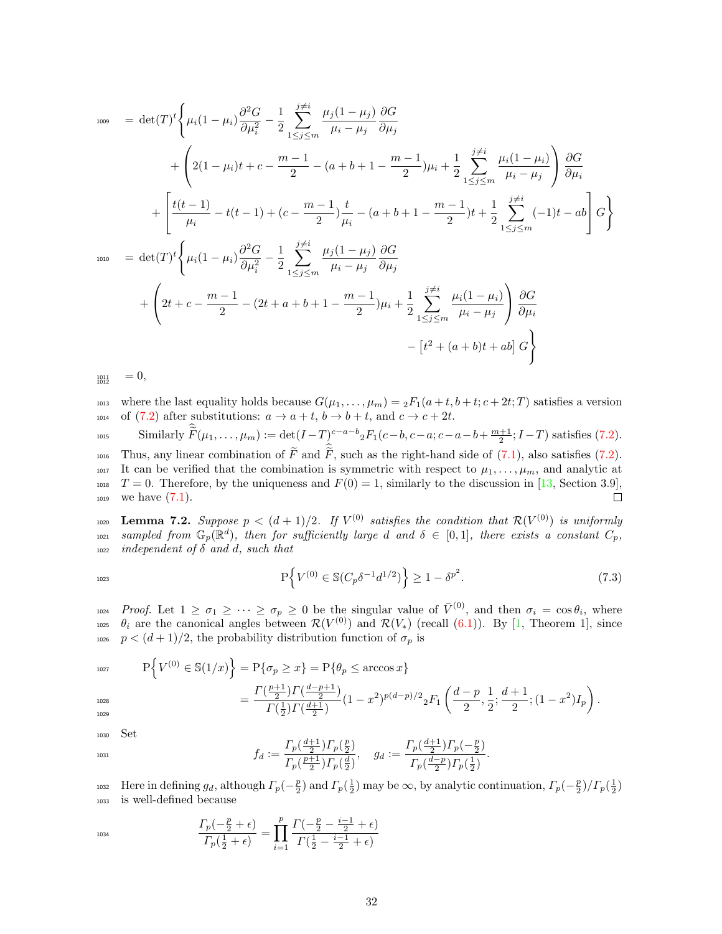$$
\begin{split}\n\text{1009} \quad &= \det(T)^t \Bigg\{ \mu_i (1 - \mu_i) \frac{\partial^2 G}{\partial \mu_i^2} - \frac{1}{2} \sum_{1 \le j \le m}^{j \ne i} \frac{\mu_j (1 - \mu_j) \partial G}{\mu_i - \mu_j \partial \mu_j} \\
&+ \Bigg\{ 2(1 - \mu_i) t + c - \frac{m - 1}{2} - (a + b + 1 - \frac{m - 1}{2}) \mu_i + \frac{1}{2} \sum_{1 \le j \le m}^{j \ne i} \frac{\mu_i (1 - \mu_i)}{\mu_i - \mu_j} \Bigg\} \frac{\partial G}{\partial \mu_i} \\
&+ \Bigg[ \frac{t(t - 1)}{\mu_i} - t(t - 1) + (c - \frac{m - 1}{2}) \frac{t}{\mu_i} - (a + b + 1 - \frac{m - 1}{2}) t + \frac{1}{2} \sum_{1 \le j \le m}^{j \ne i} (-1) t - ab \Bigg] G \Bigg\} \\
\text{1010} \quad &= \det(T)^t \Bigg\{ \mu_i (1 - \mu_i) \frac{\partial^2 G}{\partial \mu_i^2} - \frac{1}{2} \sum_{1 \le j \le m}^{j \ne i} \frac{\mu_j (1 - \mu_j)}{\mu_i - \mu_j} \frac{\partial G}{\partial \mu_j} \\
&+ \Bigg( 2t + c - \frac{m - 1}{2} - (2t + a + b + 1 - \frac{m - 1}{2}) \mu_i + \frac{1}{2} \sum_{1 \le j \le m}^{j \ne i} \frac{\mu_i (1 - \mu_i)}{\mu_i - \mu_j} \Bigg) \frac{\partial G}{\partial \mu_i} \\
&- \Big[ t^2 + (a + b)t + ab \Big] G \Bigg\}\n\end{split}
$$

 $= 0,$ 1012

1013 where the last equality holds because  $G(\mu_1, \ldots, \mu_m) = {}_2F_1(a+t, b+t; c+2t; T)$  satisfies a version 1014 of [\(7.2\)](#page-3-2) after substitutions:  $a \to a + t$ ,  $b \to b + t$ , and  $c \to c + 2t$ .

1015 Similarly  $\widetilde{F}(\mu_1,\ldots,\mu_m) := \det(I-T)_{\!-}^{c-a-b} {}_2F_1(c-b,c-a;c-a-b+\frac{m+1}{2};I-T)$  satisfies [\(7.2\)](#page-3-2).

 $\mu_{1016}$  Thus, any linear combination of F and F, such as the right-hand side of [\(7.1\)](#page-3-1), also satisfies [\(7.2\)](#page-3-2). <sup>1017</sup> It can be verified that the combination is symmetric with respect to  $\mu_1, \ldots, \mu_m$ , and analytic at <sup>1018</sup>  $T = 0$ . Therefore, by the uniqueness and  $F(0) = 1$ , similarly to the discussion in [\[13,](#page-35-16) Section 3.9], 1019 we have  $(7.1)$ .  $\Box$ 

<span id="page-31-0"></span>1020 Lemma 7.2. Suppose  $p < (d+1)/2$ . If  $V^{(0)}$  satisfies the condition that  $\mathcal{R}(V^{(0)})$  is uniformly <sup>1021</sup> sampled from  $\mathbb{G}_p(\mathbb{R}^d)$ , then for sufficiently large d and  $\delta \in [0,1]$ , there exists a constant  $C_p$ ,  $_{1022}$  independent of  $\delta$  and d, such that

$$
P\left\{V^{(0)} \in \mathbb{S}(C_p\delta^{-1}d^{1/2})\right\} \ge 1 - \delta^{p^2}.\tag{7.3}
$$

1024 Proof. Let  $1 \geq \sigma_1 \geq \cdots \geq \sigma_p \geq 0$  be the singular value of  $\bar{V}^{(0)}$ , and then  $\sigma_i = \cos \theta_i$ , where  $\theta_i$  are the canonical angles between  $\mathcal{R}(V^{(0)})$  and  $\mathcal{R}(V_*)$  (recall [\(6.1\)](#page-3-1)). By [\[1,](#page-35-17) Theorem 1], since 1026  $p < (d+1)/2$ , the probability distribution function of  $\sigma_p$  is

1027  
\n
$$
P\left\{V^{(0)} \in \mathbb{S}(1/x)\right\} = P\{\sigma_p \ge x\} = P\{\theta_p \le \arccos x\}
$$
\n
$$
= \frac{\Gamma(\frac{p+1}{2})\Gamma(\frac{d-p+1}{2})}{\Gamma(\frac{1}{2})\Gamma(\frac{d+1}{2})} (1-x^2)^{p(d-p)/2} {}_2F_1\left(\frac{d-p}{2}, \frac{1}{2}; \frac{d+1}{2}; (1-x^2)I_p\right).
$$

<sup>1030</sup> Set

$$
f_d := \frac{\Gamma_p(\frac{d+1}{2})\Gamma_p(\frac{p}{2})}{\Gamma_p(\frac{p+1}{2})\Gamma_p(\frac{d}{2})}, \quad g_d := \frac{\Gamma_p(\frac{d+1}{2})\Gamma_p(-\frac{p}{2})}{\Gamma_p(\frac{d-p}{2})\Gamma_p(\frac{1}{2})}.
$$

1032 Here in defining  $g_d$ , although  $\Gamma_p(-\frac{p}{2})$  and  $\Gamma_p(\frac{1}{2})$  may be  $\infty$ , by analytic continuation,  $\Gamma_p(-\frac{p}{2})/\Gamma_p(\frac{1}{2})$ <sup>1033</sup> is well-defined because

$$
\frac{\Gamma_p(-\frac{p}{2}+\epsilon)}{\Gamma_p(\frac{1}{2}+\epsilon)} = \prod_{i=1}^p \frac{\Gamma(-\frac{p}{2}-\frac{i-1}{2}+\epsilon)}{\Gamma(\frac{1}{2}-\frac{i-1}{2}+\epsilon)}
$$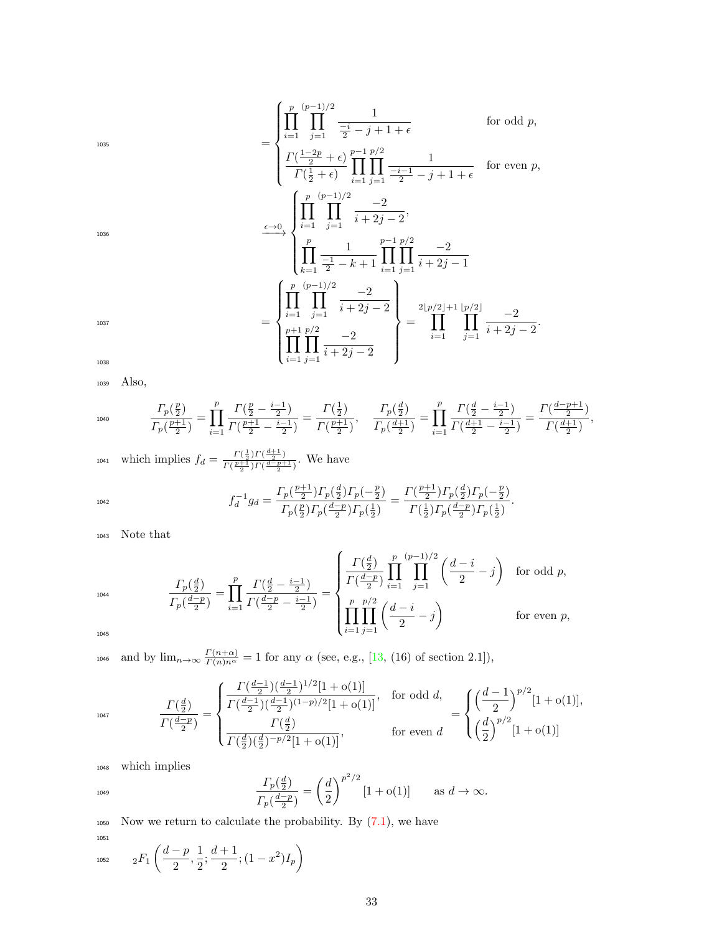1036

$$
\sum_{1035}^{1035} = \begin{cases}\n\prod_{i=1}^{p} \prod_{j=1}^{(p-1)/2} \frac{1}{\frac{-i}{2} - j + 1 + \epsilon} & \text{for odd } p, \\
\frac{\Gamma(\frac{1-2p}{2} + \epsilon)}{\Gamma(\frac{1}{2} + \epsilon)} \prod_{i=1}^{p-1} \prod_{j=1}^{p/2} \frac{1}{\frac{-i-1}{2} - j + 1 + \epsilon} & \text{for even } p, \\
\prod_{i=1}^{p} \prod_{j=1}^{(p-1)/2} \frac{-2}{i + 2j - 2}, & \\
\prod_{k=1}^{p} \frac{1}{\frac{-1}{2} - k + 1} \prod_{i=1}^{p-1} \prod_{j=1}^{p/2} \frac{-2}{i + 2j - 1} & \\
= \begin{cases}\n\prod_{i=1}^{p} \prod_{j=1}^{(p-1)/2} \frac{-2}{i + 2j - 2} \\
\prod_{i=1}^{p-1} \prod_{j=1}^{p/2} \frac{-2}{i + 2j - 2}\n\end{cases} = \prod_{i=1}^{1037} \prod_{j=1}^{1037} \frac{-2}{i + 2j - 2}.\n\end{cases}
$$

1038

<sup>1039</sup> Also,

$$
I_{1040} \qquad \frac{\Gamma_p\left(\frac{p}{2}\right)}{\Gamma_p\left(\frac{p+1}{2}\right)} = \prod_{i=1}^p \frac{\Gamma\left(\frac{p}{2} - \frac{i-1}{2}\right)}{\Gamma\left(\frac{p+1}{2} - \frac{i-1}{2}\right)} = \frac{\Gamma\left(\frac{1}{2}\right)}{\Gamma\left(\frac{p+1}{2}\right)}, \quad \frac{\Gamma_p\left(\frac{d}{2}\right)}{\Gamma_p\left(\frac{d+1}{2}\right)} = \prod_{i=1}^p \frac{\Gamma\left(\frac{d}{2} - \frac{i-1}{2}\right)}{\Gamma\left(\frac{d+1}{2} - \frac{i-1}{2}\right)} = \frac{\Gamma\left(\frac{d-p+1}{2}\right)}{\Gamma\left(\frac{d+1}{2}\right)},
$$

which implies  $f_d = \frac{\Gamma(\frac{1}{2})\Gamma(\frac{d+1}{2})}{\Gamma(\frac{p+1}{2})\Gamma(\frac{d-p+1}{2})}$ 1041 which implies  $f_d = \frac{I(\frac{1}{2})I(\frac{-2}{2})}{\Gamma(\frac{p+1}{2})\Gamma(\frac{d-p+1}{2})}$ . We have

$$
f_d^{-1}g_d = \frac{\Gamma_p(\frac{p+1}{2})\Gamma_p(\frac{d}{2})\Gamma_p(-\frac{p}{2})}{\Gamma_p(\frac{p}{2})\Gamma_p(\frac{d-p}{2})\Gamma_p(\frac{1}{2})} = \frac{\Gamma(\frac{p+1}{2})\Gamma_p(\frac{d}{2})\Gamma_p(-\frac{p}{2})}{\Gamma(\frac{1}{2})\Gamma_p(\frac{d-p}{2})\Gamma_p(\frac{1}{2})}.
$$

<sup>1043</sup> Note that

$$
\frac{\Gamma_p(\frac{d}{2})}{\Gamma_p(\frac{d-p}{2})} = \prod_{i=1}^p \frac{\Gamma(\frac{d}{2} - \frac{i-1}{2})}{\Gamma(\frac{d-p}{2} - \frac{i-1}{2})} = \begin{cases} \frac{\Gamma(\frac{d}{2})}{\Gamma(\frac{d-p}{2})} \prod_{i=1}^p \prod_{j=1}^{(p-1)/2} \left(\frac{d-i}{2} - j\right) & \text{for odd } p, \\ \prod_{i=1}^p \prod_{j=1}^{p/2} \left(\frac{d-i}{2} - j\right) & \text{for even } p, \end{cases}
$$

1045

1047

1044

1046 and by  $\lim_{n\to\infty}\frac{\Gamma(n+\alpha)}{\Gamma(n)n^{\alpha}}=1$  for any  $\alpha$  (see, e.g., [\[13,](#page-35-16) (16) of section 2.1]),

$$
\frac{\Gamma(\frac{d}{2})}{\Gamma(\frac{d-p}{2})} = \begin{cases}\n\frac{\Gamma(\frac{d-1}{2})(\frac{d-1}{2})^{1/2}[1+o(1)]}{\Gamma(\frac{d-1}{2})(\frac{d-1}{2})^{(1-p)/2}[1+o(1)]}, & \text{for odd } d, \\
\frac{\Gamma(\frac{d}{2})}{\Gamma(\frac{d}{2})(\frac{d}{2})^{-p/2}[1+o(1)]}, & \text{for even } d\n\end{cases} = \begin{cases}\n\left(\frac{d-1}{2}\right)^{p/2}[1+o(1)], \\
\left(\frac{d}{2}\right)^{p/2}[1+o(1)]\n\end{cases}
$$

<sup>1048</sup> which implies

$$
\frac{\Gamma_p(\frac{d}{2})}{\Gamma_p(\frac{d-p}{2})} = \left(\frac{d}{2}\right)^{p^2/2} [1 + o(1)] \quad \text{as } d \to \infty.
$$

 $_{1050}$  Now we return to calculate the probability. By  $(7.1)$ , we have 1051

$$
{}_{1052} \qquad {}_{2}F_{1}\left(\frac{d-p}{2},\frac{1}{2};\frac{d+1}{2};(1-x^{2})I_{p}\right)
$$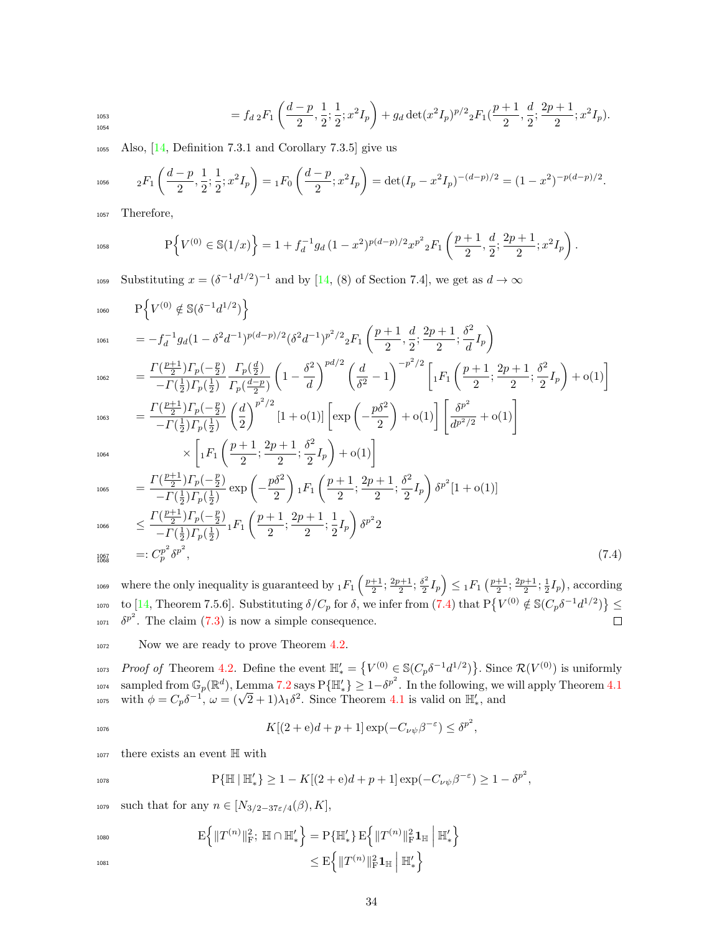$$
= f_{d\,2} F_1\left(\frac{d-p}{2}, \frac{1}{2}; \frac{1}{2}; x^2 I_p\right) + g_d \det(x^2 I_p)^{p/2} {}_2F_1(\frac{p+1}{2}, \frac{d}{2}; \frac{2p+1}{2}; x^2 I_p).
$$

<sup>1055</sup> Also, [\[14,](#page-35-15) Definition 7.3.1 and Corollary 7.3.5] give us

$$
{}_{1056} \t {}_{2}F_{1}\left(\frac{d-p}{2},\frac{1}{2};\frac{1}{2};x^{2}I_{p}\right) = {}_{1}F_{0}\left(\frac{d-p}{2};x^{2}I_{p}\right) = \det(I_{p} - x^{2}I_{p})^{-(d-p)/2} = (1 - x^{2})^{-p(d-p)/2}.
$$

<sup>1057</sup> Therefore,

$$
P\left\{V^{(0)}\in\mathbb{S}(1/x)\right\} = 1 + f_d^{-1}g_d\left(1 - x^2\right)^{p(d-p)/2} x^{p^2}{}_2F_1\left(\frac{p+1}{2}, \frac{d}{2}; \frac{2p+1}{2}; x^2I_p\right).
$$

1059 Substituting  $x = (\delta^{-1}d^{1/2})^{-1}$  and by [\[14,](#page-35-15) (8) of Section 7.4], we get as  $d \to \infty$ 

$$
P\left\{V^{(0)} \notin \mathbb{S}(\delta^{-1}d^{1/2})\right\}
$$
\n
$$
= -f_d^{-1}g_d(1 - \delta^2 d^{-1})^{p(d-p)/2}(\delta^2 d^{-1})^{p^2/2} {}_2F_1\left(\frac{p+1}{2}, \frac{d}{2}; \frac{2p+1}{2}; \frac{\delta^2}{d}I_p\right)
$$
\n
$$
= \frac{\Gamma(\frac{p+1}{2})\Gamma_p(-\frac{p}{2})}{-\Gamma(\frac{1}{2})\Gamma_p(\frac{1}{2})}\frac{\Gamma_p(\frac{d}{2})}{\Gamma_p(\frac{d-p}{2})}\left(1 - \frac{\delta^2}{d}\right)^{pd/2}\left(\frac{d}{\delta^2} - 1\right)^{-p^2/2}\left[{}_1F_1\left(\frac{p+1}{2}; \frac{2p+1}{2}; \frac{\delta^2}{2}I_p\right) + o(1)\right]
$$
\n
$$
= \frac{\Gamma(\frac{p+1}{2})\Gamma_p(-\frac{p}{2})}{-\Gamma(\frac{1}{2})\Gamma_p(\frac{1}{2})}\left(\frac{d}{2}\right)^{p^2/2}\left[1 + o(1)\right]\left[\exp\left(-\frac{p\delta^2}{2}\right) + o(1)\right]\left[\frac{\delta^{p^2}}{d^{p^2/2}} + o(1)\right]
$$

$$
1064\,
$$

$$
\times \left[ {}_1F_1\left(\frac{p+1}{2}; \frac{2p+1}{2}; \frac{\delta^2}{2} I_p\right) + o(1)\right]
$$

$$
- \frac{\Gamma(\frac{p+1}{2})\Gamma_p(-\frac{p}{2})}{\Gamma_p(-\frac{p}{2})} \exp\left(-\frac{p\delta^2}{2}\right), F_1\left(\frac{p+1}{2}; \frac{2p+1}{2}; \frac{\delta^2}{2}\right)
$$

$$
I_{1065} = \frac{\Gamma(\frac{p+1}{2})\Gamma_p(-\frac{p}{2})}{-\Gamma(\frac{1}{2})\Gamma_p(\frac{1}{2})} \exp\left(-\frac{p\delta^2}{2}\right) {}_1F_1\left(\frac{p+1}{2};\frac{2p+1}{2};\frac{\delta^2}{2}I_p\right)\delta^{p^2}[1+o(1)]
$$
\n
$$
\sum \Gamma(\frac{p+1}{2})\Gamma_p(-\frac{p}{2}) \sum_{F_1} (p+1, 2p+1, 1, 1) \exp^2\alpha
$$

$$
\leq \frac{\Gamma\left(\frac{p+1}{2}\right)\Gamma_p\left(-\frac{p}{2}\right)}{-\Gamma\left(\frac{1}{2}\right)\Gamma_p\left(\frac{1}{2}\right)} \cdot F_1\left(\frac{p+1}{2}; \frac{2p+1}{2}; \frac{1}{2}I_p\right) \delta^{p^2} 2
$$
\n
$$
=: C_p^{p^2} \delta^{p^2},\tag{7.4}
$$

<sup>1069</sup> where the only inequality is guaranteed by  ${}_1F_1\left(\frac{p+1}{2};\frac{2p+1}{2};\frac{\delta^2}{2}I_p\right)\leq{}_1F_1\left(\frac{p+1}{2};\frac{2p+1}{2};\frac{1}{2}I_p\right)$ , according where the only inequality is guaranteed by  ${}_1F_1\left(\frac{p+1}{2};\frac{2p+1}{2};\frac{\delta^2}{2}\right)$ 1070 to  $[14,$  Theorem 7.5.6]. Substituting  $\delta/C_p$  for  $\delta$ , we infer from  $(7.4)$  that  $P\{V^{(0)} \notin \mathbb{S}(C_p\delta^{-1}d^{1/2})\} \leq$  $\delta^{p^2}$ . The claim [\(7.3\)](#page-4-3) is now a simple consequence.  $\Box$ 

1072 Now we are ready to prove Theorem [4.2.](#page-7-0)

<sup>1073</sup> Proof of Theorem [4.2](#page-7-0). Define the event  $\mathbb{H}'_* = \{V^{(0)} \in \mathbb{S}(C_p \delta^{-1} d^{1/2})\}$ . Since  $\mathcal{R}(V^{(0)})$  is uniformly <sup>1074</sup> sampled from  $\mathbb{G}_p(\mathbb{R}^d)$ , Lemma [7.2](#page-31-0) says  $P\{\mathbb{H}'_*\} \geq 1-\delta^{p^2}$ . In the following, we will apply Theorem [4.1](#page-6-1) with  $\phi = C_p \delta^{-1}$ ,  $\omega = (\sqrt{2} + 1)\lambda_1 \delta^2$ . Since Theorem [4.1](#page-6-1) is valid on  $\mathbb{H}'_*$ , and

$$
K[(2+\mathrm{e})d+p+1]\exp(-C_{\nu\psi}\beta^{-\varepsilon})\leq \delta^{p^2},
$$

<sup>1077</sup> there exists an event H with

$$
\Pr\{\mathbb{H} \mid \mathbb{H}'_*\} \ge 1 - K[(2 + \mathrm{e})d + p + 1] \exp(-C_{\nu\psi}\beta^{-\varepsilon}) \ge 1 - \delta^{p^2},
$$

1079 such that for any  $n \in [N_{3/2-37\varepsilon/4}(\beta), K],$ 

1080 
$$
E\left\{\|T^{(n)}\|_{F}^{2}; \ \mathbb{H} \cap \mathbb{H}'_{*}\right\} = P\{\mathbb{H}'_{*}\} E\left\{\|T^{(n)}\|_{F}^{2} \mathbf{1}_{\mathbb{H}} \middle| \ \mathbb{H}'_{*}\right\} \leq E\left\{\|T^{(n)}\|_{F}^{2} \mathbf{1}_{\mathbb{H}} \middle| \ \mathbb{H}'_{*}\right\}
$$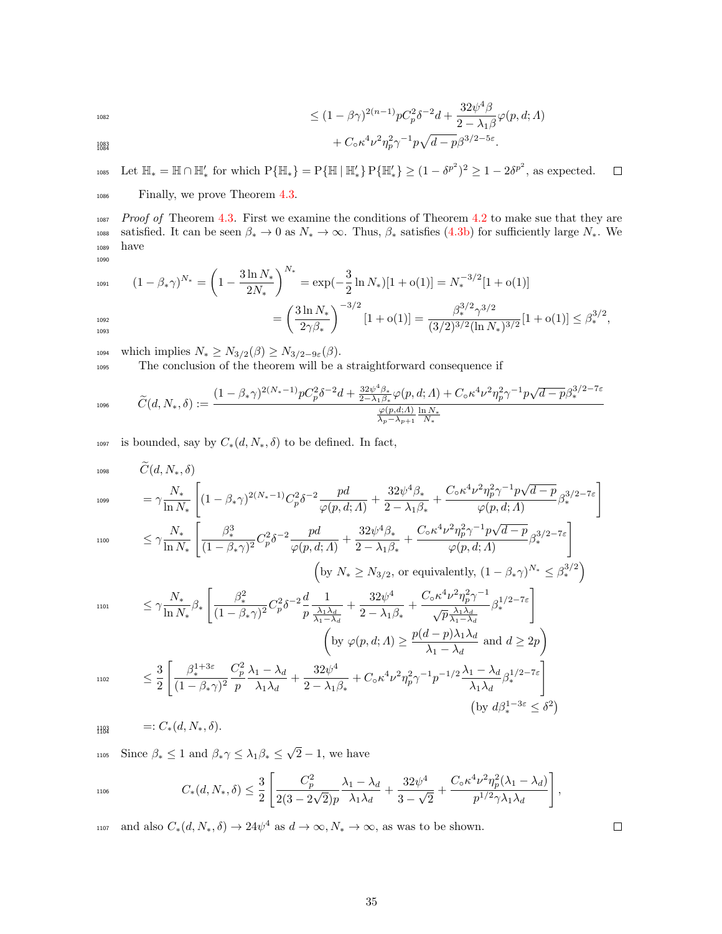$$
\leq (1 - \beta \gamma)^{2(n-1)} p C_p^2 \delta^{-2} d + \frac{32 \psi^4 \beta}{2 - \lambda_1 \beta} \varphi(p, d; \Lambda) + C_0 \kappa^4 \nu^2 \eta_p^2 \gamma^{-1} p \sqrt{d - p} \beta^{3/2 - 5\varepsilon}.
$$

1085 Let  $\mathbb{H}_* = \mathbb{H} \cap \mathbb{H}'_*$  for which  $P\{\mathbb{H}_*\} = P\{\mathbb{H} \mid \mathbb{H}'_*\} \geq (1 - \delta^{p^2})^2 \geq 1 - 2\delta^{p^2}$ , as expected.  $\Box$ 

<sup>1086</sup> Finally, we prove Theorem [4.3.](#page-8-0)

1087 Proof of Theorem [4.3](#page-8-0). First we examine the conditions of Theorem [4.2](#page-7-0) to make sue that they are 1088 satisfied. It can be seen  $\beta_* \to 0$  as  $N_* \to \infty$ . Thus,  $\beta_*$  satisfies [\(4.3b\)](#page-7-4) for sufficiently large  $N_*$ . We <sup>1089</sup> have 1090

$$
(1 - \beta_{*}\gamma)^{N_{*}} = \left(1 - \frac{3\ln N_{*}}{2N_{*}}\right)^{N_{*}} = \exp(-\frac{3}{2}\ln N_{*})[1 + o(1)] = N_{*}^{-3/2}[1 + o(1)]
$$

$$
= \left(\frac{3\ln N_{*}}{2\gamma\beta_{*}}\right)^{-3/2}[1 + o(1)] = \frac{\beta_{*}^{3/2}\gamma^{3/2}}{(3/2)^{3/2}(\ln N_{*})^{3/2}}[1 + o(1)] \leq \beta_{*}^{3/2},
$$

1094 which implies  $N_* \geq N_{3/2}(\beta) \geq N_{3/2-9\varepsilon}(\beta)$ .

<sup>1095</sup> The conclusion of the theorem will be a straightforward consequence if

$$
\widetilde{C}(d,N_*,\delta):=\frac{(1-\beta_*\gamma)^{2(N_*-1)}pC_p^2\delta^{-2}d+\frac{32\psi^4\beta_*}{2-\lambda_1\beta_*}\varphi(p,d;\Lambda)+C_\diamond\kappa^4\nu^2\eta_p^2\gamma^{-1}p\sqrt{d-p}\beta_*^{3/2-7\varepsilon}\sqrt{\frac{\varphi(p,d;\Lambda)}{\lambda_p-\lambda_{p+1}}\frac{\ln N_*}{N_*}}}{\frac{\varphi(p,d;\Lambda)}{\lambda_p-\lambda_{p+1}}\frac{\ln N_*}{N_*}}
$$

1097 is bounded, say by  $C_*(d, N_*, \delta)$  to be defined. In fact,

$$
\tilde{C}(d, N_*, \delta)
$$
\n
$$
= \gamma \frac{N_*}{\ln N_*} \left[ (1 - \beta_* \gamma)^{2(N_*-1)} C_p^2 \delta^{-2} \frac{pd}{\varphi(p, d; \Lambda)} + \frac{32\psi^4 \beta_*}{2 - \lambda_1 \beta_*} + \frac{C_0 \kappa^4 \nu^2 \eta_p^2 \gamma^{-1} p \sqrt{d-p}}{\varphi(p, d; \Lambda)} \beta_*^{3/2 - 7\varepsilon} \right]
$$
\n
$$
\leq \gamma \frac{N_*}{\ln N_*} \left[ \frac{\beta_*^3}{(1 - \beta_* \gamma)^2} C_p^2 \delta^{-2} \frac{pd}{\varphi(p, d; \Lambda)} + \frac{32\psi^4 \beta_*}{2 - \lambda_1 \beta_*} + \frac{C_0 \kappa^4 \nu^2 \eta_p^2 \gamma^{-1} p \sqrt{d-p}}{\varphi(p, d; \Lambda)} \beta_*^{3/2 - 7\varepsilon} \right]
$$
\n
$$
\left[ \text{by } N_* \geq N_{3/2}, \text{ or equivalently, } (1 - \beta_* \gamma)^{N_*} \leq \beta_*^{3/2} \right]
$$
\n
$$
\leq \gamma \frac{N_*}{\ln N_*} \beta_* \left[ \frac{\beta_*^2}{(1 - \beta_* \gamma)^2} C_p^2 \delta^{-2} \frac{d}{p} \frac{1}{\frac{\lambda_1 \lambda_d}{\lambda_1 - \lambda_d}} + \frac{32\psi^4}{2 - \lambda_1 \beta_*} + \frac{C_0 \kappa^4 \nu^2 \eta_p^2 \gamma^{-1}}{\sqrt{p} \frac{\lambda_1 \lambda_d}{\lambda_1 - \lambda_d}} \beta_*^{1/2 - 7\varepsilon} \right]
$$
\n
$$
\left[ \text{by } \varphi(p, d; \Lambda) \geq \frac{p(d-p)\lambda_1 \lambda_d}{\lambda_1 - \lambda_d} \text{ and } d \geq 2p \right)
$$
\n
$$
\leq \frac{3}{2} \left[ \frac{\beta_*^{1+3\varepsilon}}{(1 - \beta_* \gamma)^2} \frac{C_p^2}{p} \frac{\lambda_1 - \lambda_d}{\lambda_1 \lambda_d} + \frac{32\psi^4}{2 - \lambda_1 \beta_*} + C_0 \kappa^4 \nu^2 \eta_p^2 \gamma^{-1} p^{-1/2} \frac{\lambda_1 - \lambda_d}{\
$$

 $^{1103}_{1104}$ 

$$
\text{since } \beta_* \le 1 \text{ and } \beta_*\gamma \le \lambda_1 \beta_* \le \sqrt{2} - 1 \text{, we have}
$$

 $=: C_*(d, N_*, \delta).$ 

$$
C_*(d, N_*, \delta) \leq \frac{3}{2} \left[ \frac{C_p^2}{2(3 - 2\sqrt{2})p} \frac{\lambda_1 - \lambda_d}{\lambda_1 \lambda_d} + \frac{32\psi^4}{3 - \sqrt{2}} + \frac{C_\circ \kappa^4 \nu^2 \eta_p^2 (\lambda_1 - \lambda_d)}{p^{1/2} \gamma \lambda_1 \lambda_d} \right],
$$

1107 and also  $C_*(d, N_*, \delta) \to 24\psi^4$  as  $d \to \infty, N_* \to \infty$ , as was to be shown.

 $\Box$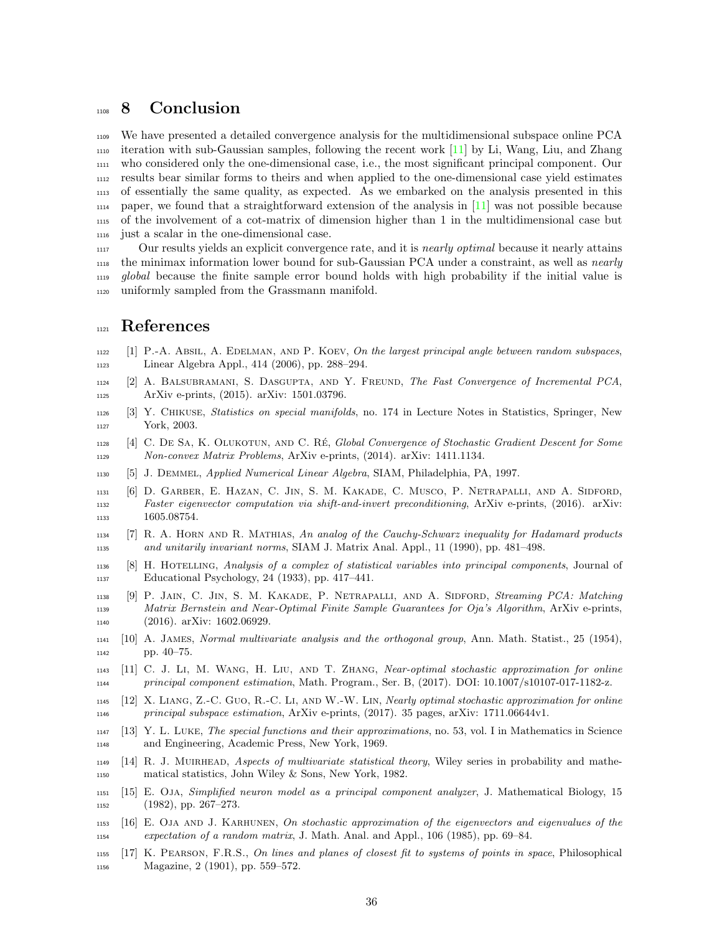## <span id="page-35-0"></span>1108 8 Conclusion

 We have presented a detailed convergence analysis for the multidimensional subspace online PCA  $_{1110}$  iteration with sub-Gaussian samples, following the recent work [\[11\]](#page-35-8) by Li, Wang, Liu, and Zhang who considered only the one-dimensional case, i.e., the most significant principal component. Our results bear similar forms to theirs and when applied to the one-dimensional case yield estimates of essentially the same quality, as expected. As we embarked on the analysis presented in this  $_{1114}$  paper, we found that a straightforward extension of the analysis in [\[11\]](#page-35-8) was not possible because of the involvement of a cot-matrix of dimension higher than 1 in the multidimensional case but just a scalar in the one-dimensional case.

<sup>1117</sup> Our results yields an explicit convergence rate, and it is *nearly optimal* because it nearly attains the minimax information lower bound for sub-Gaussian PCA under a constraint, as well as nearly global because the finite sample error bound holds with high probability if the initial value is uniformly sampled from the Grassmann manifold.

#### References

- <span id="page-35-17"></span> [1] P.-A. Absil, A. Edelman, and P. Koev, On the largest principal angle between random subspaces, Linear Algebra Appl., 414 (2006), pp. 288–294.
- <span id="page-35-5"></span>1124 [2] A. BALSUBRAMANI, S. DASGUPTA, AND Y. FREUND, The Fast Convergence of Incremental PCA, ArXiv e-prints, (2015). arXiv: 1501.03796.
- <span id="page-35-11"></span> [3] Y. Chikuse, Statistics on special manifolds, no. 174 in Lecture Notes in Statistics, Springer, New York, 2003.
- <span id="page-35-7"></span> [4] C. De Sa, K. Olukotun, and C. Re´, Global Convergence of Stochastic Gradient Descent for Some Non-convex Matrix Problems, ArXiv e-prints, (2014). arXiv: 1411.1134.
- <span id="page-35-13"></span>[5] J. Demmel, Applied Numerical Linear Algebra, SIAM, Philadelphia, PA, 1997.
- <span id="page-35-9"></span> [6] D. Garber, E. Hazan, C. Jin, S. M. Kakade, C. Musco, P. Netrapalli, and A. Sidford, Faster eigenvector computation via shift-and-invert preconditioning, ArXiv e-prints, (2016). arXiv: 1133 1605.08754.
- <span id="page-35-14"></span> [7] R. A. Horn and R. Mathias, An analog of the Cauchy-Schwarz inequality for Hadamard products and unitarily invariant norms, SIAM J. Matrix Anal. Appl., 11 (1990), pp. 481–498.
- <span id="page-35-1"></span> [8] H. Hotelling, Analysis of a complex of statistical variables into principal components, Journal of Educational Psychology, 24 (1933), pp. 417–441.
- <span id="page-35-6"></span> [9] P. Jain, C. Jin, S. M. Kakade, P. Netrapalli, and A. Sidford, Streaming PCA: Matching Matrix Bernstein and Near-Optimal Finite Sample Guarantees for Oja's Algorithm, ArXiv e-prints, (2016). arXiv: 1602.06929.
- <span id="page-35-12"></span> [10] A. James, Normal multivariate analysis and the orthogonal group, Ann. Math. Statist., 25 (1954), pp. 40–75.
- <span id="page-35-8"></span> [11] C. J. Li, M. Wang, H. Liu, and T. Zhang, Near-optimal stochastic approximation for online principal component estimation, Math. Program., Ser. B, (2017). DOI: 10.1007/s10107-017-1182-z.
- <span id="page-35-10"></span> [12] X. Liang, Z.-C. Guo, R.-C. Li, and W.-W. Lin, Nearly optimal stochastic approximation for online principal subspace estimation, ArXiv e-prints, (2017). 35 pages, arXiv: 1711.06644v1.
- <span id="page-35-16"></span> [13] Y. L. Luke, The special functions and their approximations, no. 53, vol. I in Mathematics in Science and Engineering, Academic Press, New York, 1969.
- <span id="page-35-15"></span> [14] R. J. Muirhead, Aspects of multivariate statistical theory, Wiley series in probability and mathe-matical statistics, John Wiley & Sons, New York, 1982.
- <span id="page-35-3"></span> [15] E. Oja, Simplified neuron model as a principal component analyzer, J. Mathematical Biology, 15 (1982), pp. 267–273.
- <span id="page-35-4"></span> [16] E. Oja and J. Karhunen, On stochastic approximation of the eigenvectors and eigenvalues of the expectation of a random matrix, J. Math. Anal. and Appl., 106 (1985), pp. 69–84.
- <span id="page-35-2"></span> [17] K. Pearson, F.R.S., On lines and planes of closest fit to systems of points in space, Philosophical Magazine, 2 (1901), pp. 559–572.